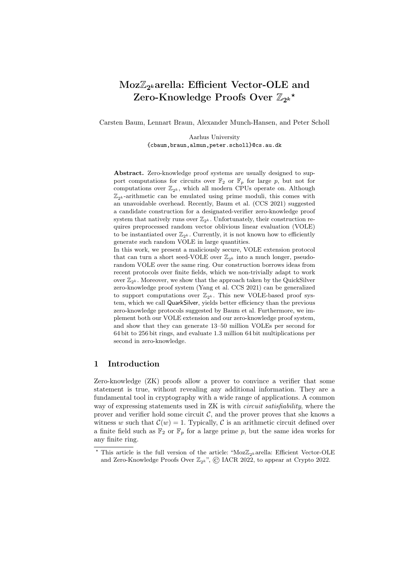# Moz $\mathbb{Z}_{2^k}$ arella: Efficient Vector-OLE and Zero-Knowledge Proofs Over  $\mathbb{Z}_{2^k}$ \*

Carsten Baum, Lennart Braun, Alexander Munch-Hansen, and Peter Scholl

Aarhus University {cbaum,braun,almun,peter.scholl}@cs.au.dk

Abstract. Zero-knowledge proof systems are usually designed to support computations for circuits over  $\mathbb{F}_2$  or  $\mathbb{F}_p$  for large p, but not for computations over  $\mathbb{Z}_{2^k}$ , which all modern CPUs operate on. Although  $\mathbb{Z}_{2k}$ -arithmetic can be emulated using prime moduli, this comes with an unavoidable overhead. Recently, Baum et al. (CCS 2021) suggested a candidate construction for a designated-verifier zero-knowledge proof system that natively runs over  $\mathbb{Z}_{2^k}$ . Unfortunately, their construction requires preprocessed random vector oblivious linear evaluation (VOLE) to be instantiated over  $\mathbb{Z}_{2^k}$ . Currently, it is not known how to efficiently generate such random VOLE in large quantities.

In this work, we present a maliciously secure, VOLE extension protocol that can turn a short seed-VOLE over  $\mathbb{Z}_{2^k}$  into a much longer, pseudorandom VOLE over the same ring. Our construction borrows ideas from recent protocols over finite fields, which we non-trivially adapt to work over  $\mathbb{Z}_{2^k}$ . Moreover, we show that the approach taken by the QuickSilver zero-knowledge proof system (Yang et al. CCS 2021) can be generalized to support computations over  $\mathbb{Z}_{2^k}$ . This new VOLE-based proof system, which we call QuarkSilver, yields better efficiency than the previous zero-knowledge protocols suggested by Baum et al. Furthermore, we implement both our VOLE extension and our zero-knowledge proof system, and show that they can generate 13–50 million VOLEs per second for 64 bit to 256 bit rings, and evaluate 1.3 million 64 bit multiplications per second in zero-knowledge.

# 1 Introduction

Zero-knowledge (ZK) proofs allow a prover to convince a verifier that some statement is true, without revealing any additional information. They are a fundamental tool in cryptography with a wide range of applications. A common way of expressing statements used in ZK is with circuit satisfiability, where the prover and verifier hold some circuit  $C$ , and the prover proves that she knows a witness w such that  $\mathcal{C}(w) = 1$ . Typically, C is an arithmetic circuit defined over a finite field such as  $\mathbb{F}_2$  or  $\mathbb{F}_p$  for a large prime p, but the same idea works for any finite ring.

 $^\star$  This article is the full version of the article: "Moz $\mathbb{Z}_{2^k}$ arella: Efficient Vector-OLE and Zero-Knowledge Proofs Over  $\mathbb{Z}_{2^k}$ ",  $\odot$  IACR 2022, to appear at Crypto 2022.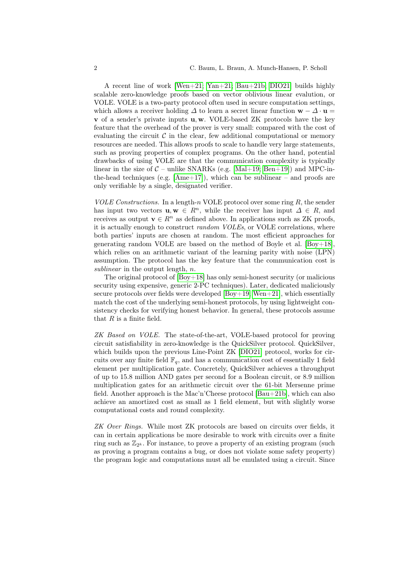A recent line of work [\[Wen+21;](#page-32-0) [Yan+21;](#page-32-1) [Bau+21b;](#page-31-0) [DIO21\]](#page-31-1) builds highly scalable zero-knowledge proofs based on vector oblivious linear evalution, or VOLE. VOLE is a two-party protocol often used in secure computation settings, which allows a receiver holding  $\Delta$  to learn a secret linear function  $\mathbf{w} - \Delta \cdot \mathbf{u} =$ **v** of a sender's private inputs  $\mathbf{u}, \mathbf{w}$ . VOLE-based ZK protocols have the key feature that the overhead of the prover is very small: compared with the cost of evaluating the circuit  $C$  in the clear, few additional computational or memory resources are needed. This allows proofs to scale to handle very large statements, such as proving properties of complex programs. On the other hand, potential drawbacks of using VOLE are that the communication complexity is typically linear in the size of  $C$  – unlike SNARKs (e.g. [\[Mal+19;](#page-32-2) [Ben+19\]](#page-31-2)) and MPC-inthe-head techniques (e.g.  $[Ame+17]$ ), which can be sublinear – and proofs are only verifiable by a single, designated verifier.

*VOLE Constructions.* In a length-n VOLE protocol over some ring  $R$ , the sender has input two vectors  $\mathbf{u}, \mathbf{w} \in \mathbb{R}^n$ , while the receiver has input  $\Delta \in \mathbb{R}$ , and receives as output  $\mathbf{v} \in \mathbb{R}^n$  as defined above. In applications such as ZK proofs, it is actually enough to construct *random VOLEs*, or VOLE correlations, where both parties' inputs are chosen at random. The most efficient approaches for generating random VOLE are based on the method of Boyle et al.  $[Boy+18]$ , which relies on an arithmetic variant of the learning parity with noise (LPN) assumption. The protocol has the key feature that the communication cost is sublinear in the output length,  $n$ .

The original protocol of [\[Boy+18\]](#page-31-3) has only semi-honest security (or malicious security using expensive, generic 2-PC techniques). Later, dedicated maliciously secure protocols over fields were developed  $[Boy+19; Wen+21]$  $[Boy+19; Wen+21]$ , which essentially match the cost of the underlying semi-honest protocols, by using lightweight consistency checks for verifying honest behavior. In general, these protocols assume that  $R$  is a finite field.

ZK Based on VOLE. The state-of-the-art, VOLE-based protocol for proving circuit satisfiability in zero-knowledge is the QuickSilver protocol. QuickSilver, which builds upon the previous Line-Point ZK [\[DIO21\]](#page-31-1) protocol, works for circuits over any finite field  $\mathbb{F}_q$ , and has a communication cost of essentially 1 field element per multiplication gate. Concretely, QuickSilver achieves a throughput of up to 15.8 million AND gates per second for a Boolean circuit, or 8.9 million multiplication gates for an arithmetic circuit over the 61-bit Mersenne prime field. Another approach is the Mac'n'Cheese protocol [\[Bau+21b\]](#page-31-0), which can also achieve an amortized cost as small as 1 field element, but with slightly worse computational costs and round complexity.

ZK Over Rings. While most ZK protocols are based on circuits over fields, it can in certain applications be more desirable to work with circuits over a finite ring such as  $\mathbb{Z}_{2^k}$ . For instance, to prove a property of an existing program (such as proving a program contains a bug, or does not violate some safety property) the program logic and computations must all be emulated using a circuit. Since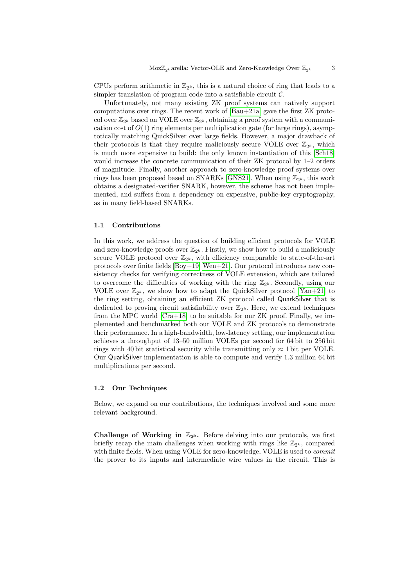CPUs perform arithmetic in  $\mathbb{Z}_{2^k}$ , this is a natural choice of ring that leads to a simpler translation of program code into a satisfiable circuit  $C$ .

Unfortunately, not many existing ZK proof systems can natively support computations over rings. The recent work of [\[Bau+21a\]](#page-31-5) gave the first ZK protocol over  $\mathbb{Z}_{2^k}$  based on VOLE over  $\mathbb{Z}_{2^k}$ , obtaining a proof system with a communication cost of  $O(1)$  ring elements per multiplication gate (for large rings), asymptotically matching QuickSilver over large fields. However, a major drawback of their protocols is that they require maliciously secure VOLE over  $\mathbb{Z}_{2^k}$ , which is much more expensive to build: the only known instantiation of this [\[Sch18\]](#page-32-3) would increase the concrete communication of their ZK protocol by 1–2 orders of magnitude. Finally, another approach to zero-knowledge proof systems over rings has been proposed based on SNARKs [\[GNS21\]](#page-32-4). When using  $\mathbb{Z}_{2^k}$ , this work obtains a designated-verifier SNARK, however, the scheme has not been implemented, and suffers from a dependency on expensive, public-key cryptography, as in many field-based SNARKs.

### 1.1 Contributions

In this work, we address the question of building efficient protocols for VOLE and zero-knowledge proofs over  $\mathbb{Z}_{2^k}$ . Firstly, we show how to build a maliciously secure VOLE protocol over  $\mathbb{Z}_{2^k}$ , with efficiency comparable to state-of-the-art protocols over finite fields [\[Boy+19;](#page-31-4) [Wen+21\]](#page-32-0). Our protocol introduces new consistency checks for verifying correctness of VOLE extension, which are tailored to overcome the difficulties of working with the ring  $\mathbb{Z}_{2^k}$ . Secondly, using our VOLE over  $\mathbb{Z}_{2^k}$ , we show how to adapt the QuickSilver protocol [\[Yan+21\]](#page-32-1) to the ring setting, obtaining an efficient ZK protocol called QuarkSilver that is dedicated to proving circuit satisfiability over  $\mathbb{Z}_{2^k}$ . Here, we extend techniques from the MPC world  $[Cra+18]$  to be suitable for our ZK proof. Finally, we implemented and benchmarked both our VOLE and ZK protocols to demonstrate their performance. In a high-bandwidth, low-latency setting, our implementation achieves a throughput of 13–50 million VOLEs per second for 64 bit to 256 bit rings with 40 bit statistical security while transmitting only  $\approx$  1 bit per VOLE. Our QuarkSilver implementation is able to compute and verify 1.3 million 64 bit multiplications per second.

#### 1.2 Our Techniques

Below, we expand on our contributions, the techniques involved and some more relevant background.

Challenge of Working in  $\mathbb{Z}_{2^k}$ . Before delving into our protocols, we first briefly recap the main challenges when working with rings like  $\mathbb{Z}_{2^k}$ , compared with finite fields. When using VOLE for zero-knowledge, VOLE is used to commit the prover to its inputs and intermediate wire values in the circuit. This is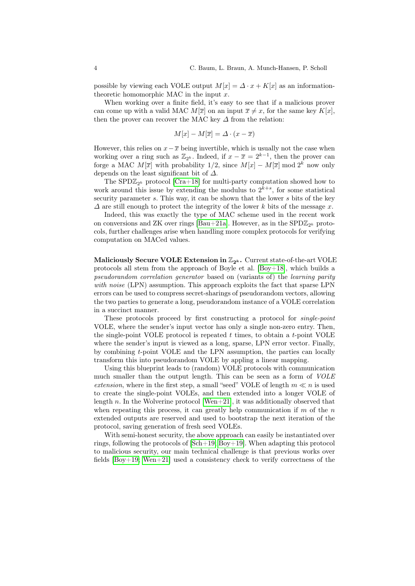possible by viewing each VOLE output  $M[x] = \Delta \cdot x + K[x]$  as an informationtheoretic homomorphic MAC in the input  $x$ .

When working over a finite field, it's easy to see that if a malicious prover can come up with a valid MAC  $M[\overline{x}]$  on an input  $\overline{x} \neq x$ , for the same key  $K[x]$ , then the prover can recover the MAC key  $\Delta$  from the relation:

$$
M[x] - M[\overline{x}] = \Delta \cdot (x - \overline{x})
$$

However, this relies on  $x-\overline{x}$  being invertible, which is usually not the case when working over a ring such as  $\mathbb{Z}_{2^k}$ . Indeed, if  $x - \overline{x} = 2^{k-1}$ , then the prover can forge a MAC  $M[\overline{x}]$  with probability 1/2, since  $M[x] - M[\overline{x}]$  mod  $2^k$  now only depends on the least significant bit of  $\Delta$ .

The SPD $\mathbb{Z}_{2^k}$  protocol [\[Cra+18\]](#page-31-6) for multi-party computation showed how to work around this issue by extending the modulus to  $2^{k+s}$ , for some statistical security parameter s. This way, it can be shown that the lower s bits of the key  $\Delta$  are still enough to protect the integrity of the lower k bits of the message x.

Indeed, this was exactly the type of MAC scheme used in the recent work on conversions and ZK over rings [\[Bau+21a\]](#page-31-5). However, as in the  ${\rm SPD}{\mathbb Z}_{2^k}$  protocols, further challenges arise when handling more complex protocols for verifying computation on MACed values.

Maliciously Secure VOLE Extension in  $\mathbb{Z}_{2^k}$ . Current state-of-the-art VOLE protocols all stem from the approach of Boyle et al. [\[Boy+18\]](#page-31-3), which builds a pseudorandom correlation generator based on (variants of) the learning parity with noise (LPN) assumption. This approach exploits the fact that sparse LPN errors can be used to compress secret-sharings of pseudorandom vectors, allowing the two parties to generate a long, pseudorandom instance of a VOLE correlation in a succinct manner.

These protocols proceed by first constructing a protocol for single-point VOLE, where the sender's input vector has only a single non-zero entry. Then, the single-point VOLE protocol is repeated  $t$  times, to obtain a  $t$ -point VOLE where the sender's input is viewed as a long, sparse, LPN error vector. Finally, by combining t-point VOLE and the LPN assumption, the parties can locally transform this into pseudorandom VOLE by appling a linear mapping.

Using this blueprint leads to (random) VOLE protocols with communication much smaller than the output length. This can be seen as a form of VOLE extension, where in the first step, a small "seed" VOLE of length  $m \ll n$  is used to create the single-point VOLEs, and then extended into a longer VOLE of length n. In the Wolverine protocol [\[Wen+21\]](#page-32-0), it was additionally observed that when repeating this process, it can greatly help communication if  $m$  of the  $n$ extended outputs are reserved and used to bootstrap the next iteration of the protocol, saving generation of fresh seed VOLEs.

With semi-honest security, the above approach can easily be instantiated over rings, following the protocols of [\[Sch+19;](#page-32-5) [Boy+19\]](#page-31-4). When adapting this protocol to malicious security, our main technical challenge is that previous works over fields  $[Boy+19; Wen+21]$  $[Boy+19; Wen+21]$  used a consistency check to verify correctness of the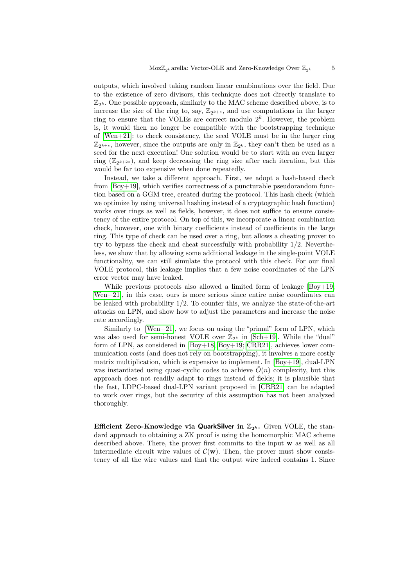outputs, which involved taking random linear combinations over the field. Due to the existence of zero divisors, this technique does not directly translate to  $\mathbb{Z}_{2^k}$ . One possible approach, similarly to the MAC scheme described above, is to increase the size of the ring to, say,  $\mathbb{Z}_{2^{k+s}}$ , and use computations in the larger ring to ensure that the VOLEs are correct modulo  $2<sup>k</sup>$ . However, the problem is, it would then no longer be compatible with the bootstrapping technique of  $[Wen+21]$ : to check consistency, the seed VOLE must be in the larger ring  $\mathbb{Z}_{2^{k+s}}$ , however, since the outputs are only in  $\mathbb{Z}_{2^k}$ , they can't then be used as a seed for the next execution! One solution would be to start with an even larger ring  $(\mathbb{Z}_{2^{k+2s}})$ , and keep decreasing the ring size after each iteration, but this would be far too expensive when done repeatedly.

Instead, we take a different approach. First, we adopt a hash-based check from [\[Boy+19\]](#page-31-4), which verifies correctness of a puncturable pseudorandom function based on a GGM tree, created during the protocol. This hash check (which we optimize by using universal hashing instead of a cryptographic hash function) works over rings as well as fields, however, it does not suffice to ensure consistency of the entire protocol. On top of this, we incorporate a linear combination check, however, one with binary coefficients instead of coefficients in the large ring. This type of check can be used over a ring, but allows a cheating prover to try to bypass the check and cheat successfully with probability 1/2. Nevertheless, we show that by allowing some additional leakage in the single-point VOLE functionality, we can still simulate the protocol with this check. For our final VOLE protocol, this leakage implies that a few noise coordinates of the LPN error vector may have leaked.

While previous protocols also allowed a limited form of leakage  $[Boy+19;$ Wen $+21$ , in this case, ours is more serious since entire noise coordinates can be leaked with probability  $1/2$ . To counter this, we analyze the state-of-the-art attacks on LPN, and show how to adjust the parameters and increase the noise rate accordingly.

Similarly to [\[Wen+21\]](#page-32-0), we focus on using the "primal" form of LPN, which was also used for semi-honest VOLE over  $\mathbb{Z}_{2^k}$  in [\[Sch+19\]](#page-32-5). While the "dual" form of LPN, as considered in [\[Boy+18;](#page-31-3) [Boy+19;](#page-31-4) [CRR21\]](#page-31-7), achieves lower communication costs (and does not rely on bootstrapping), it involves a more costly matrix multiplication, which is expensive to implement. In  $[Boy+19]$ , dual-LPN was instantiated using quasi-cyclic codes to achieve  $\hat{O}(n)$  complexity, but this approach does not readily adapt to rings instead of fields; it is plausible that the fast, LDPC-based dual-LPN variant proposed in [\[CRR21\]](#page-31-7) can be adapted to work over rings, but the security of this assumption has not been analyzed thoroughly.

Efficient Zero-Knowledge via QuarkSilver in  $\mathbb{Z}_{2^k}$ . Given VOLE, the standard approach to obtaining a ZK proof is using the homomorphic MAC scheme described above. There, the prover first commits to the input w as well as all intermediate circuit wire values of  $\mathcal{C}(\mathbf{w})$ . Then, the prover must show consistency of all the wire values and that the output wire indeed contains 1. Since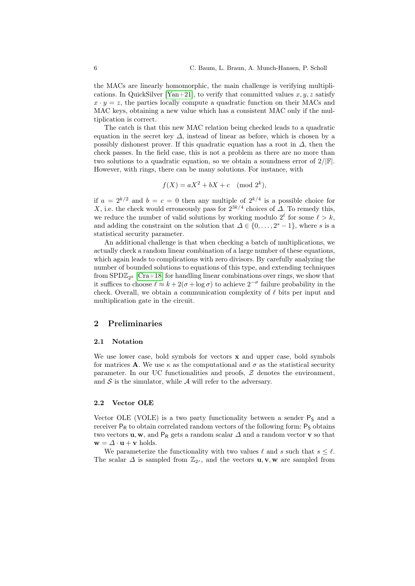the MACs are linearly homomorphic, the main challenge is verifying multipli-cations. In QuickSilver [\[Yan+21\]](#page-32-1), to verify that committed values  $x, y, z$  satisfy  $x \cdot y = z$ , the parties locally compute a quadratic function on their MACs and MAC keys, obtaining a new value which has a consistent MAC only if the multiplication is correct.

The catch is that this new MAC relation being checked leads to a quadratic equation in the secret key  $\Delta$ , instead of linear as before, which is chosen by a possibly dishonest prover. If this quadratic equation has a root in  $\Delta$ , then the check passes. In the field case, this is not a problem as there are no more than two solutions to a quadratic equation, so we obtain a soundness error of  $2/|\mathbb{F}|$ . However, with rings, there can be many solutions. For instance, with

$$
f(X) = aX^2 + bX + c \pmod{2^k},
$$

if  $a = 2^{k/2}$  and  $b = c = 0$  then any multiple of  $2^{k/4}$  is a possible choice for X, i.e. the check would erroneously pass for  $2^{3k/4}$  choices of  $\Delta$ . To remedy this, we reduce the number of valid solutions by working modulo  $2^{\ell}$  for some  $\ell > k$ , and adding the constraint on the solution that  $\Delta \in \{0, \ldots, 2^s - 1\}$ , where s is a statistical security parameter.

An additional challenge is that when checking a batch of multiplications, we actually check a random linear combination of a large number of these equations, which again leads to complications with zero divisors. By carefully analyzing the number of bounded solutions to equations of this type, and extending techniques from  $\text{SPD}\mathbb{Z}_{2^k}$  [\[Cra+18\]](#page-31-6) for handling linear combinations over rings, we show that it suffices to choose  $\ell \approx k + 2(\sigma + \log \sigma)$  to achieve  $2^{-\sigma}$  failure probability in the check. Overall, we obtain a communication complexity of  $\ell$  bits per input and multiplication gate in the circuit.

# 2 Preliminaries

#### 2.1 Notation

We use lower case, bold symbols for vectors  $x$  and upper case, bold symbols for matrices **A**. We use  $\kappa$  as the computational and  $\sigma$  as the statistical security parameter. In our UC functionalities and proofs,  $Z$  denotes the environment, and  $S$  is the simulator, while  $A$  will refer to the adversary.

#### <span id="page-5-0"></span>2.2 Vector OLE

Vector OLE (VOLE) is a two party functionality between a sender  $P<sub>S</sub>$  and a receiver  $P_R$  to obtain correlated random vectors of the following form:  $P_S$  obtains two vectors **u**, **w**, and P<sub>R</sub> gets a random scalar  $\Delta$  and a random vector **v** so that  $\mathbf{w} = \Delta \cdot \mathbf{u} + \mathbf{v}$  holds.

We parameterize the functionality with two values  $\ell$  and s such that  $s \leq \ell$ . The scalar  $\Delta$  is sampled from  $\mathbb{Z}_{2^s}$ , and the vectors  $\mathbf{u}, \mathbf{v}, \mathbf{w}$  are sampled from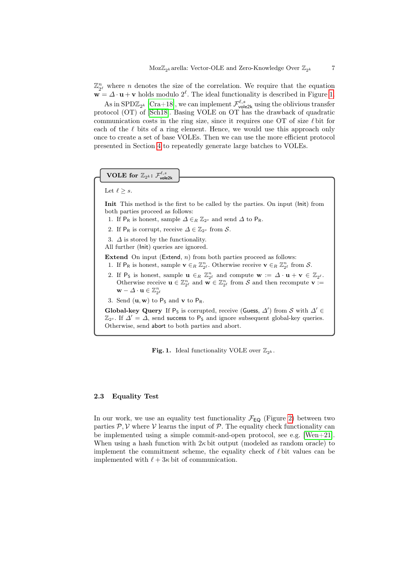$\mathbb{Z}_{2^{\ell}}^{n}$  where *n* denotes the size of the correlation. We require that the equation  $\mathbf{w} = \Delta \cdot \mathbf{u} + \mathbf{v}$  holds modulo  $2^{\ell}$ . The ideal functionality is described in Figure [1.](#page-6-0)

As in SPD $\mathbb{Z}_{2^k}$  [\[Cra+18\]](#page-31-6), we can implement  $\mathcal{F}^{\ell,s}_{\text{vole2k}}$  using the oblivious transfer protocol (OT) of [\[Sch18\]](#page-32-3). Basing VOLE on OT has the drawback of quadratic communication costs in the ring size, since it requires one OT of size  $\ell$  bit for each of the  $\ell$  bits of a ring element. Hence, we would use this approach only once to create a set of base VOLEs. Then we can use the more efficient protocol presented in Section [4](#page-16-0) to repeatedly generate large batches to VOLEs.

# $\textbf{VOLE} \text{ for } \mathbb{Z}_{2^k} \colon \mathcal{F}^{\ell,s}_\textsf{vole2k}$

Let  $\ell \geq s$ .

Init This method is the first to be called by the parties. On input (Init) from both parties proceed as follows:

- 1. If P<sub>R</sub> is honest, sample  $\Delta \in_R \mathbb{Z}_{2^s}$  and send  $\Delta$  to P<sub>R</sub>.
- 2. If P<sub>R</sub> is corrupt, receive  $\Delta \in \mathbb{Z}_{2^s}$  from S.
- 3.  $\Delta$  is stored by the functionality.
- All further (Init) queries are ignored.

Extend On input (Extend,  $n$ ) from both parties proceed as follows:

- 1. If P<sub>R</sub> is honest, sample  $\mathbf{v} \in_R \mathbb{Z}_{2^{\ell}}^n$ . Otherwise receive  $\mathbf{v} \in_R \mathbb{Z}_{2^{\ell}}^n$  from S.
- 2. If P<sub>S</sub> is honest, sample  $\mathbf{u} \in_R \mathbb{Z}_{2^{\ell}}^n$  and compute  $\mathbf{w} := \Delta \cdot \mathbf{u} + \mathbf{v} \in \mathbb{Z}_{2^{\ell}}$ . Otherwise receive  $\mathbf{u} \in \mathbb{Z}_{2^{\ell}}^n$  and  $\mathbf{w} \in \mathbb{Z}_{2^{\ell}}^n$  from S and then recompute  $\mathbf{v} :=$  $\mathbf{w} - \Delta \cdot \mathbf{u} \in \mathbb{Z}_{2^{\ell}}^n$
- 3. Send  $(\mathbf{u}, \mathbf{w})$  to  $P_S$  and  $\mathbf{v}$  to  $P_R$ .

Global-key Query If  $P_S$  is corrupted, receive (Guess,  $\Delta'$ ) from S with  $\Delta' \in$  $\mathbb{Z}_{2^s}$ . If  $\Delta' = \Delta$ , send success to P<sub>S</sub> and ignore subsequent global-key queries. Otherwise, send abort to both parties and abort.

<span id="page-6-0"></span>**Fig. 1.** Ideal functionality VOLE over  $\mathbb{Z}_{2^k}$ .

## <span id="page-6-1"></span>2.3 Equality Test

In our work, we use an equality test functionality  $\mathcal{F}_{EQ}$  (Figure [2\)](#page-7-0) between two parties  $P, V$  where  $V$  learns the input of  $P$ . The equality check functionality can be implemented using a simple commit-and-open protocol, see e.g. [\[Wen+21\]](#page-32-0). When using a hash function with  $2\kappa$  bit output (modeled as random oracle) to implement the commitment scheme, the equality check of  $\ell$  bit values can be implemented with  $\ell + 3\kappa$  bit of communication.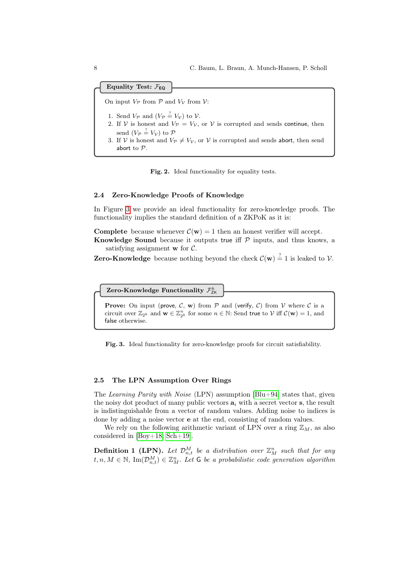Equality Test:  $\mathcal{F}_{EQ}$ 

On input  $V_P$  from  $\mathcal P$  and  $V_V$  from  $\mathcal V$ :

- 1. Send  $V_{\mathcal{P}}$  and  $(V_{\mathcal{P}} \stackrel{?}{=} V_{\mathcal{V}})$  to  $\mathcal{V}$ .
- 2. If V is honest and  $V_P = V_V$ , or V is corrupted and sends continue, then send  $(V_{\mathcal{P}} \stackrel{?}{=} V_{\mathcal{V}})$  to  $\mathcal{P}$
- 3. If V is honest and  $V_P \neq V_V$ , or V is corrupted and sends abort, then send abort to P.

<span id="page-7-0"></span>Fig. 2. Ideal functionality for equality tests.

# 2.4 Zero-Knowledge Proofs of Knowledge

In Figure [3](#page-7-1) we provide an ideal functionality for zero-knowledge proofs. The functionality implies the standard definition of a ZKPoK as it is:

**Complete** because whenever  $\mathcal{C}(\mathbf{w}) = 1$  then an honest verifier will accept.

Knowledge Sound because it outputs true iff  $P$  inputs, and thus knows, a satisfying assignment  $\bf{w}$  for  $\mathcal{C}$ .

**Zero-Knowledge** because nothing beyond the check  $\mathcal{C}(\mathbf{w}) \stackrel{?}{=} 1$  is leaked to  $\mathcal{V}$ .

Zero-Knowledge Functionality  $\mathcal{F}^k_{\text{ZK}}$ 

**Prove:** On input (prove,  $C$ , w) from  $P$  and (verify,  $C$ ) from  $V$  where  $C$  is a circuit over  $\mathbb{Z}_{2^k}$  and  $\mathbf{w} \in \mathbb{Z}_{2^k}^n$  for some  $n \in \mathbb{N}$ : Send true to  $\mathcal V$  iff  $\mathcal C(\mathbf{w}) = 1$ , and false otherwise.

<span id="page-7-1"></span>Fig. 3. Ideal functionality for zero-knowledge proofs for circuit satisfiability.

#### <span id="page-7-3"></span>2.5 The LPN Assumption Over Rings

The Learning Parity with Noise (LPN) assumption  $[Blu+94]$  states that, given the noisy dot product of many public vectors  $a_i$  with a secret vector s, the result is indistinguishable from a vector of random values. Adding noise to indices is done by adding a noise vector e at the end, consisting of random values.

We rely on the following arithmetic variant of LPN over a ring  $\mathbb{Z}_M$ , as also considered in [\[Boy+18;](#page-31-3) [Sch+19\]](#page-32-5).

<span id="page-7-2"></span>**Definition 1 (LPN).** Let  $\mathcal{D}_{n,t}^M$  be a distribution over  $\mathbb{Z}_M^n$  such that for any  $t, n, M \in \mathbb{N}$ ,  $\text{Im}(\mathcal{D}_{n,t}^M) \in \mathbb{Z}_{M}^n$ . Let G be a probabilistic code generation algorithm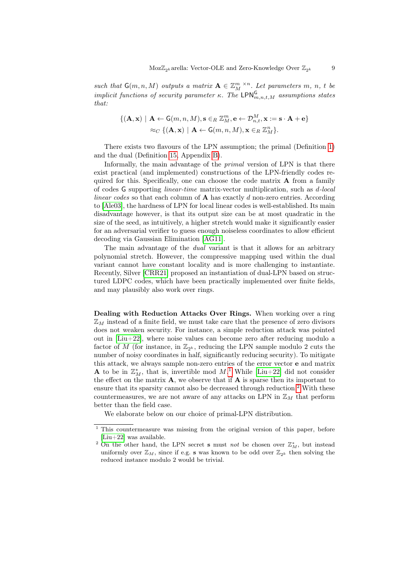such that  $\mathsf{G}(m,n,M)$  outputs a matrix  $\mathbf{A} \in \mathbb{Z}_{M}^{m \times n}$ . Let parameters  $m, n, t$  be implicit functions of security parameter  $\kappa$ . The LPN $_{m,n,t,M}^{\mathsf{G}}$  assumptions states that:

$$
\{(\mathbf{A}, \mathbf{x}) \mid \mathbf{A} \leftarrow \mathsf{G}(m, n, M), \mathbf{s} \in_R \mathbb{Z}_M^m, \mathbf{e} \leftarrow \mathcal{D}_{n, t}^M, \mathbf{x} := \mathbf{s} \cdot \mathbf{A} + \mathbf{e}\}
$$
  

$$
\approx_C \{(\mathbf{A}, \mathbf{x}) \mid \mathbf{A} \leftarrow \mathsf{G}(m, n, M), \mathbf{x} \in_R \mathbb{Z}_M^n\}.
$$

There exists two flavours of the LPN assumption; the primal (Definition [1\)](#page-7-2) and the dual (Definition [15,](#page-33-0) Appendix [B\)](#page-33-1).

Informally, the main advantage of the *primal* version of LPN is that there exist practical (and implemented) constructions of the LPN-friendly codes required for this. Specifically, one can choose the code matrix  $\bf{A}$  from a family of codes G supporting linear-time matrix-vector multiplication, such as d-local linear codes so that each column of  $A$  has exactly d non-zero entries. According to [\[Ale03\]](#page-30-1), the hardness of LPN for local linear codes is well-established. Its main disadvantage however, is that its output size can be at most quadratic in the size of the seed, as intuitively, a higher stretch would make it significantly easier for an adversarial verifier to guess enough noiseless coordinates to allow efficient decoding via Gaussian Elimination [\[AG11\]](#page-30-2).

The main advantage of the *dual* variant is that it allows for an arbitrary polynomial stretch. However, the compressive mapping used within the dual variant cannot have constant locality and is more challenging to instantiate. Recently, Silver [\[CRR21\]](#page-31-7) proposed an instantiation of dual-LPN based on structured LDPC codes, which have been practically implemented over finite fields, and may plausibly also work over rings.

Dealing with Reduction Attacks Over Rings. When working over a ring  $\mathbb{Z}_M$  instead of a finite field, we must take care that the presence of zero divisors does not weaken security. For instance, a simple reduction attack was pointed out in [\[Liu+22\]](#page-32-6), where noise values can become zero after reducing modulo a factor of M (for instance, in  $\mathbb{Z}_{2^k}$ , reducing the LPN sample modulo 2 cuts the number of noisy coordinates in half, significantly reducing security). To mitigate this attack, we always sample non-zero entries of the error vector e and matrix **A** to be in  $\mathbb{Z}_M^*$ , that is, invertible mod  $M$ .<sup>[1](#page-8-0)</sup> While [\[Liu+22\]](#page-32-6) did not consider the effect on the matrix  $\mathbf{A}$ , we observe that if  $\mathbf{A}$  is sparse then its important to ensure that its sparsity cannot also be decreased through reduction.<sup>[2](#page-8-1)</sup> With these countermeasures, we are not aware of any attacks on LPN in  $\mathbb{Z}_M$  that perform better than the field case.

We elaborate below on our choice of primal-LPN distribution.

<span id="page-8-0"></span><sup>&</sup>lt;sup>1</sup> This countermeasure was missing from the original version of this paper, before [\[Liu+22\]](#page-32-6) was available.

<span id="page-8-1"></span><sup>&</sup>lt;sup>2</sup> On the other hand, the LPN secret **s** must not be chosen over  $\mathbb{Z}_M^*$ , but instead uniformly over  $\mathbb{Z}_M$ , since if e.g. s was known to be odd over  $\mathbb{Z}_{2^k}$  then solving the reduced instance modulo 2 would be trivial.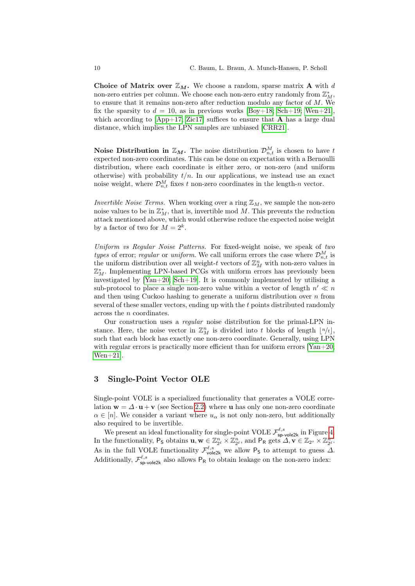Choice of Matrix over  $\mathbb{Z}_M$ . We choose a random, sparse matrix **A** with d non-zero entries per column. We choose each non-zero entry randomly from  $\mathbb{Z}_M^*$ , to ensure that it remains non-zero after reduction modulo any factor of  $M$ . We fix the sparsity to  $d = 10$ , as in previous works [\[Boy+18;](#page-31-3) [Sch+19;](#page-32-5) [Wen+21\]](#page-32-0), which according to  $[App+17; Zic17]$  $[App+17; Zic17]$  suffices to ensure that A has a large dual distance, which implies the LPN samples are unbiased [\[CRR21\]](#page-31-7).

Noise Distribution in  $\mathbb{Z}_M$ . The noise distribution  $\mathcal{D}_{n,t}^M$  is chosen to have t expected non-zero coordinates. This can be done on expectation with a Bernoulli distribution, where each coordinate is either zero, or non-zero (and uniform otherwise) with probability  $t/n$ . In our applications, we instead use an exact noise weight, where  $\mathcal{D}_{n,t}^M$  fixes t non-zero coordinates in the length-n vector.

Invertible Noise Terms. When working over a ring  $\mathbb{Z}_M$ , we sample the non-zero noise values to be in  $\mathbb{Z}_M^*$ , that is, invertible mod M. This prevents the reduction attack mentioned above, which would otherwise reduce the expected noise weight by a factor of two for  $M = 2^k$ .

Uniform vs Regular Noise Patterns. For fixed-weight noise, we speak of two types of error; regular or uniform. We call uniform errors the case where  $\mathcal{D}_{n,t}^M$  is the uniform distribution over all weight-t vectors of  $\mathbb{Z}_M^n$  with non-zero values in  $\mathbb{Z}_M^*$ . Implementing LPN-based PCGs with uniform errors has previously been investigated by  $[Van+20; Sch+19]$  $[Van+20; Sch+19]$ . It is commonly implemented by utilising a sub-protocol to place a single non-zero value within a vector of length  $n' \ll n$ and then using Cuckoo hashing to generate a uniform distribution over  $n$  from several of these smaller vectors, ending up with the t points distributed randomly across the n coordinates.

Our construction uses a regular noise distribution for the primal-LPN instance. Here, the noise vector in  $\mathbb{Z}_M^n$  is divided into t blocks of length  $\lfloor n/t \rfloor$ , such that each block has exactly one non-zero coordinate. Generally, using LPN with regular errors is practically more efficient than for uniform errors  $[Yan+20;$ [Wen+21\]](#page-32-0).

# <span id="page-9-0"></span>3 Single-Point Vector OLE

Single-point VOLE is a specialized functionality that generates a VOLE correlation  $\mathbf{w} = \Delta \cdot \mathbf{u} + \mathbf{v}$  (see Section [2.2\)](#page-5-0) where **u** has only one non-zero coordinate  $\alpha \in [n]$ . We consider a variant where  $u_{\alpha}$  is not only non-zero, but additionally also required to be invertible.

We present an ideal functionality for single-point VOLE  $\mathcal{F}^{\ell,s}_{\text{sp-vole2k}}$  in Figure [4.](#page-10-0) In the functionality,  $P_S$  obtains  $\mathbf{u}, \mathbf{w} \in \mathbb{Z}_{2^{\ell}}^n \times \mathbb{Z}_{2^{\ell}}^n$ , and  $P_R$  gets  $\Delta, \mathbf{v} \in \mathbb{Z}_{2^s} \times \mathbb{Z}_{2^{\ell}}^n$ . As in the full VOLE functionality  $\mathcal{F}_{\text{vole2k}}^{\ell,s}$  we allow P<sub>S</sub> to attempt to guess  $\Delta$ . Additionally,  $\mathcal{F}^{\ell,s}_{\text{sp-vole2k}}$  also allows  $P_R$  to obtain leakage on the non-zero index: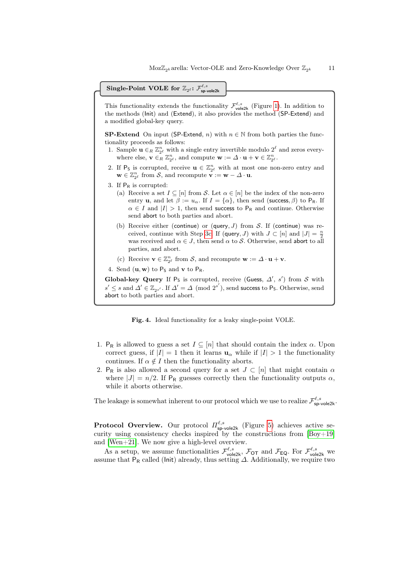# $\textbf{Single-Point } \textbf{VOLE} \textbf{ for } \mathbb{Z}_{2^\ell} \textbf{: } \mathcal{F}_{\textbf{sp-vole2k}}^{\ell,s}$

This functionality extends the functionality  $\mathcal{F}_{\text{vole2k}}^{\ell,s}$  (Figure [1\)](#page-6-0). In addition to the methods (Init) and (Extend), it also provides the method (SP-Extend) and a modified global-key query.

**SP-Extend** On input (SP-Extend, n) with  $n \in \mathbb{N}$  from both parties the functionality proceeds as follows:

- 1. Sample  $\mathbf{u} \in_R \mathbb{Z}_{2^{\ell}}^n$  with a single entry invertible modulo  $2^{\ell}$  and zeros everywhere else,  $\mathbf{v} \in_R \mathbb{Z}_{2^{\ell}}^n$ , and compute  $\mathbf{w} := \Delta \cdot \mathbf{u} + \mathbf{v} \in \mathbb{Z}_{2^{\ell}}^n$ .
- 2. If P<sub>S</sub> is corrupted, receive  $\mathbf{u} \in \mathbb{Z}_{2^{\ell}}^n$  with at most one non-zero entry and  $\mathbf{w} \in \mathbb{Z}_{2^{\ell}}^n$  from  $\mathcal{S}$ , and recompute  $\mathbf{v} := \mathbf{w} - \Delta \cdot \mathbf{u}$ .
- 3. If  $P_R$  is corrupted:
	- (a) Receive a set  $I \subseteq [n]$  from S. Let  $\alpha \in [n]$  be the index of the non-zero entry **u**, and let  $\beta := u_\alpha$ . If  $I = {\alpha}$ , then send (success,  $\beta$ ) to P<sub>R</sub>. If  $\alpha \in I$  and  $|I| > 1$ , then send success to P<sub>R</sub> and continue. Otherwise send abort to both parties and abort.
	- (b) Receive either (continue) or (query,  $J$ ) from  $S$ . If (continue) was re-ceived, continue with Step [3c.](#page-10-1) If (query, J) with  $J \subset [n]$  and  $|J| = \frac{n}{2}$ was received and  $\alpha \in J$ , then send  $\alpha$  to S. Otherwise, send abort to all parties, and abort.
	- (c) Receive  $\mathbf{v} \in \mathbb{Z}_{2^{\ell}}^n$  from  $\mathcal{S}$ , and recompute  $\mathbf{w} := \Delta \cdot \mathbf{u} + \mathbf{v}$ .
- <span id="page-10-1"></span>4. Send  $(\mathbf{u}, \mathbf{w})$  to  $P_S$  and  $\mathbf{v}$  to  $P_R$ .

Global-key Query If  $P_S$  is corrupted, receive (Guess,  $\Delta'$ , s') from S with  $s' \leq s$  and  $\varDelta' \in \mathbb{Z}_{2^{s'}}.$  If  $\varDelta' = \varDelta \pmod{2^{s'}}$ , send success to P<sub>S</sub>. Otherwise, send abort to both parties and abort.

<span id="page-10-0"></span>Fig. 4. Ideal functionality for a leaky single-point VOLE.

- 1. P<sub>R</sub> is allowed to guess a set  $I \subseteq [n]$  that should contain the index  $\alpha$ . Upon correct guess, if  $|I| = 1$  then it learns  $\mathbf{u}_{\alpha}$  while if  $|I| > 1$  the functionality continues. If  $\alpha \notin I$  then the functionality aborts.
- 2. P<sub>R</sub> is also allowed a second query for a set  $J \subset [n]$  that might contain  $\alpha$ where  $|J| = n/2$ . If P<sub>R</sub> guesses correctly then the functionality outputs  $\alpha$ , while it aborts otherwise.

The leakage is somewhat inherent to our protocol which we use to realize  $\mathcal{F}^{\ell,s}_{\text{sp-vole2k}}$ .

**Protocol Overview.** Our protocol  $\Pi_{\text{sp-vole2k}}^{\ell,s}$  (Figure [5\)](#page-13-0) achieves active security using consistency checks inspired by the constructions from [\[Boy+19\]](#page-31-4) and [\[Wen+21\]](#page-32-0). We now give a high-level overview.

As a setup, we assume functionalities  $\mathcal{F}^{\ell,s}_{\text{vole2k}}$ ,  $\mathcal{F}_{\text{OT}}$  and  $\mathcal{F}_{\text{EQ}}$ . For  $\mathcal{F}^{\ell,s}_{\text{vole2k}}$  we assume that  $P_R$  called (lnit) already, thus setting  $\Delta$ . Additionally, we require two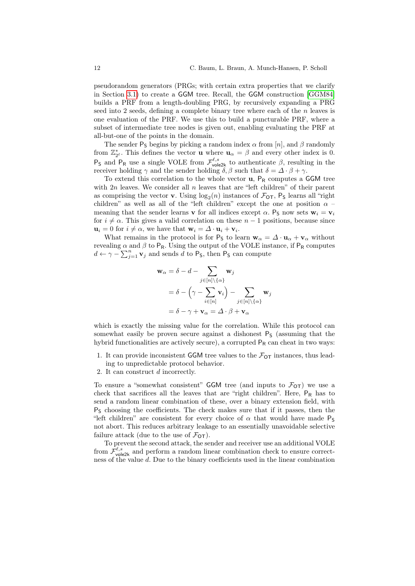pseudorandom generators (PRGs; with certain extra properties that we clarify in Section [3.1\)](#page-12-0) to create a GGM tree. Recall, the GGM construction [\[GGM84\]](#page-31-10) builds a PRF from a length-doubling PRG, by recursively expanding a PRG seed into 2 seeds, defining a complete binary tree where each of the  $n$  leaves is one evaluation of the PRF. We use this to build a puncturable PRF, where a subset of intermediate tree nodes is given out, enabling evaluating the PRF at all-but-one of the points in the domain.

The sender P<sub>S</sub> begins by picking a random index  $\alpha$  from [n], and  $\beta$  randomly from  $\mathbb{Z}_{2^{\ell}}^*$ . This defines the vector **u** where  $\mathbf{u}_{\alpha} = \beta$  and every other index is 0.  $P_S$  and  $P_R$  use a single VOLE from  $\mathcal{F}_{\text{vole2k}}^{\ell,s}$  to authenticate  $\beta$ , resulting in the receiver holding  $\gamma$  and the sender holding  $\delta, \beta$  such that  $\delta = \Delta \cdot \beta + \gamma$ .

To extend this correlation to the whole vector  $\mathbf{u}$ ,  $P_R$  computes a GGM tree with  $2n$  leaves. We consider all n leaves that are "left children" of their parent as comprising the vector **v**. Using  $log_2(n)$  instances of  $\mathcal{F}_{OT}$ , P<sub>S</sub> learns all "right children" as well as all of the "left children" except the one at position  $\alpha$  – meaning that the sender learns **v** for all indices except  $\alpha$ . P<sub>S</sub> now sets  $\mathbf{w}_i = \mathbf{v}_i$ for  $i \neq \alpha$ . This gives a valid correlation on these  $n-1$  positions, because since  $\mathbf{u}_i = 0$  for  $i \neq \alpha$ , we have that  $\mathbf{w}_i = \Delta \cdot \mathbf{u}_i + \mathbf{v}_i$ .

What remains in the protocol is for  $P_S$  to learn  $w_\alpha = \Delta \cdot u_\alpha + v_\alpha$  without revealing  $\alpha$  and  $\beta$  to P<sub>R</sub>. Using the output of the VOLE instance, if P<sub>R</sub> computes  $d \leftarrow \gamma - \sum_{j=1}^{n} \mathbf{v}_j$  and sends d to P<sub>S</sub>, then P<sub>S</sub> can compute

$$
\mathbf{w}_{\alpha} = \delta - d - \sum_{j \in [n] \setminus \{\alpha\}} \mathbf{w}_{j}
$$
  
=  $\delta - (\gamma - \sum_{i \in [n]} \mathbf{v}_{i}) - \sum_{j \in [n] \setminus \{\alpha\}} \mathbf{w}_{j}$   
=  $\delta - \gamma + \mathbf{v}_{\alpha} = \Delta \cdot \beta + \mathbf{v}_{\alpha}$ 

which is exactly the missing value for the correlation. While this protocol can somewhat easily be proven secure against a dishonest  $P<sub>S</sub>$  (assuming that the hybrid functionalities are actively secure), a corrupted  $P_R$  can cheat in two ways:

- 1. It can provide inconsistent GGM tree values to the  $\mathcal{F}_{\text{OT}}$  instances, thus leading to unpredictable protocol behavior.
- 2. It can construct d incorrectly.

To ensure a "somewhat consistent" GGM tree (and inputs to  $\mathcal{F}_{OT}$ ) we use a check that sacrifices all the leaves that are "right children". Here,  $P_R$  has to send a random linear combination of these, over a binary extension field, with  $P<sub>S</sub>$  choosing the coefficients. The check makes sure that if it passes, then the "left children" are consistent for every choice of  $\alpha$  that would have made  $P_5$ not abort. This reduces arbitrary leakage to an essentially unavoidable selective failure attack (due to the use of  $\mathcal{F}_{OT}$ ).

To prevent the second attack, the sender and receiver use an additional VOLE from  $\mathcal{F}_{\text{vole2k}}^{\ell,s}$  and perform a random linear combination check to ensure correctness of the value d. Due to the binary coefficients used in the linear combination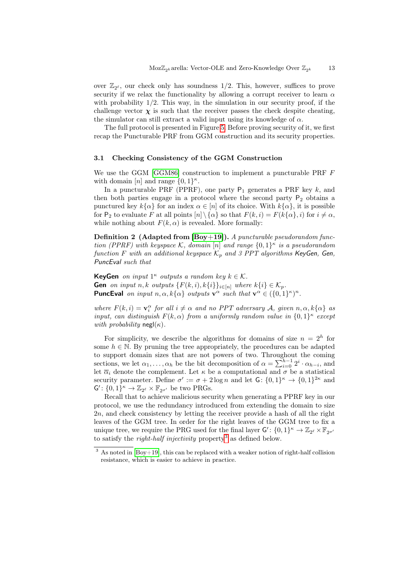over  $\mathbb{Z}_{2^{\ell}}$ , our check only has soundness  $1/2$ . This, however, suffices to prove security if we relax the functionality by allowing a corrupt receiver to learn  $\alpha$ with probability  $1/2$ . This way, in the simulation in our security proof, if the challenge vector  $\chi$  is such that the receiver passes the check despite cheating, the simulator can still extract a valid input using its knowledge of  $\alpha$ .

The full protocol is presented in Figure [5.](#page-13-0) Before proving security of it, we first recap the Puncturable PRF from GGM construction and its security properties.

#### <span id="page-12-0"></span>3.1 Checking Consistency of the GGM Construction

We use the GGM [\[GGM86\]](#page-31-11) construction to implement a puncturable PRF F with domain [n] and range  $\{0,1\}^{\kappa}$ .

In a puncturable PRF (PPRF), one party  $P_1$  generates a PRF key  $k$ , and then both parties engage in a protocol where the second party  $P_2$  obtains a punctured key  $k\{\alpha\}$  for an index  $\alpha \in [n]$  of its choice. With  $k\{\alpha\}$ , it is possible for  $P_2$  to evaluate F at all points  $[n] \setminus {\{\alpha\}}$  so that  $F(k, i) = F(k\{\alpha\}, i)$  for  $i \neq \alpha$ , while nothing about  $F(k, \alpha)$  is revealed. More formally:

<span id="page-12-2"></span>**Definition 2** (Adapted from  $[Boy+19]$ ). A puncturable pseudorandom function (PPRF) with keyspace K, domain [n] and range  $\{0,1\}^{\kappa}$  is a pseudorandom function F with an additional keyspace  $\mathcal{K}_p$  and 3 PPT algorithms KeyGen, Gen, PuncEval such that

**KeyGen** on input  $1^{\kappa}$  outputs a random key  $k \in \mathcal{K}$ . **Gen** on input n, k outputs  $\{F(k, i), k\{i\}\}_{i \in [n]}$  where  $k\{i\} \in \mathcal{K}_p$ . **PuncEval** on input  $n, \alpha, k\{\alpha\}$  outputs  $\mathbf{v}^{\alpha}$  such that  $\mathbf{v}^{\alpha} \in (\{0, 1\}^{\kappa})^n$ .

where  $F(k, i) = \mathbf{v}_i^{\alpha}$  for all  $i \neq \alpha$  and no PPT adversary A, given  $n, \alpha, k\{\alpha\}$  as input, can distinguish  $F(k, \alpha)$  from a uniformly random value in  $\{0, 1\}^{\kappa}$  except with probability negl( $\kappa$ ).

For simplicity, we describe the algorithms for domains of size  $n = 2<sup>h</sup>$  for some  $h \in \mathbb{N}$ . By pruning the tree appropriately, the procedures can be adapted to support domain sizes that are not powers of two. Throughout the coming sections, we let  $\alpha_1, \ldots, \alpha_h$  be the bit decomposition of  $\alpha = \sum_{i=0}^{h-1} 2^i \cdot \alpha_{h-i}$ , and let  $\overline{\alpha}_i$  denote the complement. Let  $\kappa$  be a computational and  $\sigma$  be a statistical security parameter. Define  $\sigma' := \sigma + 2 \log n$  and let  $G: \{0,1\}^{\kappa} \to \{0,1\}^{2\kappa}$  and  $\mathsf{G}' \colon \{0,1\}^{\kappa} \to \mathbb{Z}_{2^{\ell}} \times \mathbb{F}_{2^{\sigma'}}$  be two PRGs.

Recall that to achieve malicious security when generating a PPRF key in our protocol, we use the redundancy introduced from extending the domain to size 2n, and check consistency by letting the receiver provide a hash of all the right leaves of the GGM tree. In order for the right leaves of the GGM tree to fix a unique tree, we require the PRG used for the final layer  $\mathsf{G}' \colon \{0,1\}^{\kappa} \to \mathbb{Z}_{2^{\ell}} \times \mathbb{F}_{2^{\sigma'}}$ to satisfy the *right-half injectivity* property<sup>[3](#page-12-1)</sup> as defined below.

<span id="page-12-1"></span> $3$  As noted in [\[Boy+19\]](#page-31-4), this can be replaced with a weaker notion of right-half collision resistance, which is easier to achieve in practice.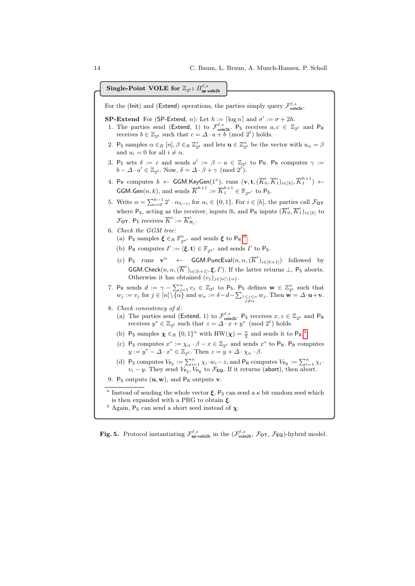$\textbf{Single-Point } \textbf{VOLE} \textbf{ for } \mathbb{Z}_{2^\ell} \textbf{:} \text{ } H^{\ell,s}_{\mathsf{sp}\text{-}\mathsf{vole2k}}$ 

For the (lnit) and (Extend) operations, the parties simply query  $\mathcal{F}_{\text{vole2k}}^{\ell,s}$ .

- **SP-Extend** For (**SP-Extend**, *n*): Let  $h := \lceil \log n \rceil$  and  $\sigma' := \sigma + 2h$ .
- 1. The parties send (Extend, 1) to  $\mathcal{F}_{\text{vole2k}}^{\ell,s}$ . P<sub>S</sub> receives  $a, c \in \mathbb{Z}_{2^{\ell}}$  and P<sub>R</sub> receives  $b \in \mathbb{Z}_{2^{\ell}}$  such that  $c = \Delta \cdot a + b \pmod{2^{\ell}}$  holds.
- 2. P<sub>S</sub> samples  $\alpha \in_R [n], \beta \in_R \mathbb{Z}_{2^{\ell}}^*$  and lets  $\mathbf{u} \in \mathbb{Z}_{2^{\ell}}^n$  be the vector with  $u_{\alpha} = \beta$ and  $u_i = 0$  for all  $i \neq \alpha$ .
- 3. P<sub>S</sub> sets  $\delta := c$  and sends  $a' := \beta a \in \mathbb{Z}_{2^{\ell}}$  to P<sub>R</sub>. P<sub>R</sub> computes  $\gamma :=$  $b - \Delta \cdot a' \in \mathbb{Z}_{2^{\ell}}$ . Now,  $\delta = \Delta \cdot \beta + \gamma \pmod{2^{\ell}}$ .
- 4. P<sub>R</sub> computes  $k \leftarrow \textsf{GGM.KeyGen}(1^\kappa), \; \text{runs } \; (\textbf{v},\textbf{t},(\overline{K}_0^i,\overline{K}_1^i)_{i \in [h]},\overline{K}_1^{h+1}) \leftarrow$ **GGM.Gen** $(n, k)$ , and sends  $\overline{K}^{h+1} := \overline{K}_1^{h+1} \in \mathbb{F}_{2^{\sigma'}}$  to P<sub>S</sub>.
- 5. Write  $\alpha = \sum_{i=0}^{h-1} 2^i \cdot \alpha_{h-i}$ , for  $\alpha_i \in \{0,1\}$ . For  $i \in [h]$ , the parties call  $\mathcal{F}_{\text{OT}}$ where P<sub>S</sub>, acting as the receiver, inputs  $\overline{\alpha}_i$  and P<sub>R</sub> inputs  $(\overline{K}_0^i, \overline{K}_1^i)_{i \in [h]}$  to  $\mathcal{F}_{\text{OT}}$ . P<sub>S</sub> receives  $\overline{K}^i := \overline{K}^i_{\overline{\alpha}_i}$ .
- <span id="page-13-4"></span>6. Check the GGM tree: ([a](#page-13-1)) Ps samples  $\xi \in_R \mathbb{F}_{2^{\sigma'}}^n$  and sends  $\xi$  to P<sub>R</sub>.<sup>*a*</sup>
	- (b) P<sub>R</sub> computes  $\Gamma := \langle \boldsymbol{\xi}, \mathbf{t} \rangle \in \mathbb{F}_{2\sigma'}$  and sends  $\Gamma$  to P<sub>S</sub>.
	- (c)  $P_S$  runs  $\mathbf{v}^{\alpha}$   $\leftarrow$  GGM. PuncEval $(n, \alpha, (\overline{K}^i)_{i \in [h+1]})$  followed by GGM.Check $(n, \alpha, (\overline{K}^i)_{i \in [h+1]}, \xi, \Gamma)$ . If the latter returns  $\bot$ , P<sub>S</sub> aborts. Otherwise it has obtained  $(v_j)_{j\in[n]\setminus\{\alpha\}}$ .
- 7. P<sub>R</sub> sends  $d := \gamma \sum_{j=1}^n v_j \in \mathbb{Z}_{2^{\ell}}$  to P<sub>S</sub>. P<sub>S</sub> defines  $\mathbf{w} \in \mathbb{Z}_{2^{\ell}}^n$  such that  $w_j := v_j \text{ for } j \in [n] \setminus {\{\alpha\}} \text{ and } w_{\alpha} := \delta - d - \sum_{\substack{1 \leq j \leq n \ j \neq \alpha}} w_j. \text{ Then } \mathbf{w} = \Delta \cdot \mathbf{u} + \mathbf{v}.$

8. Check consistency of d:

- (a) The parties send (Extend, 1) to  $\mathcal{F}_{\text{vole2k}}^{\ell,s}$ . P<sub>S</sub> receives  $x, z \in \mathbb{Z}_{2^{\ell}}$  and P<sub>R</sub> receives  $y^* \in \mathbb{Z}_{2^{\ell}}$  such that  $z = \Delta \cdot x + y^* \pmod{2^{\ell}}$  holds.
- ([b](#page-13-2))  $P_S$  samples  $\chi \in_R \{0,1\}^n$  with  $HW(\chi) = \frac{n}{2}$  and sends it to  $P_R$ <sup>b</sup>.
- (c) P<sub>S</sub> computes  $x^* := \chi_\alpha \cdot \beta x \in \mathbb{Z}_{2^\ell}$  and sends  $x^*$  to P<sub>R</sub>. P<sub>R</sub> computes  $y := y^* - \Delta \cdot x^* \in \mathbb{Z}_{2^{\ell}}$ . Then  $z = y + \Delta \cdot \chi_{\alpha} \cdot \beta$ .
- <span id="page-13-3"></span>(d) P<sub>S</sub> computes  $V_{\mathsf{P}_\mathsf{S}} := \sum_{i=1}^n \chi_i \cdot w_i - z$ , and P<sub>R</sub> computes  $V_{\mathsf{P}_\mathsf{R}} := \sum_{i=1}^n \chi_i \cdot w_i$  $v_i - y$ . They send  $V_{\mathsf{P}_\mathsf{S}}$ ,  $V_{\mathsf{P}_\mathsf{R}}$  to  $\mathcal{F}_{\mathsf{EQ}}$ . If it returns (abort), then abort.
- 9. P<sub>S</sub> outputs  $(\mathbf{u}, \mathbf{w})$ , and P<sub>R</sub> outputs **v**.

<span id="page-13-1"></span><sup>a</sup> Instead of sending the whole vector  $\xi$ ,  $P_S$  can send a  $\kappa$  bit random seed which is then expanded with a PRG to obtain  $\xi$ .

<span id="page-13-2"></span> $^b$  Again,  $\mathsf{P}_\mathsf{S}$  can send a short seed instead of  $\pmb{\chi}$ 

<span id="page-13-0"></span>**Fig. 5.** Protocol instantiating  $\mathcal{F}_{\text{sp-vole2k}}^{\ell,s}$  in the  $(\mathcal{F}_{\text{vole2k}}^{\ell,s}, \mathcal{F}_{\text{OT}}, \mathcal{F}_{\text{EQ}})$ -hybrid model.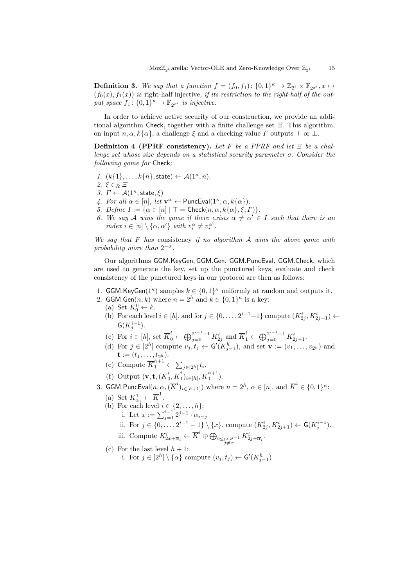**Definition 3.** We say that a function  $f = (f_0, f_1): \{0, 1\}^{\kappa} \to \mathbb{Z}_{2^{\ell}} \times \mathbb{F}_{2^{\sigma'}}, x \mapsto$  $(f_0(x), f_1(x))$  is right-half injective, if its restriction to the right-half of the output space  $f_1$ :  $\{0,1\}^{\kappa} \to \mathbb{F}_{2^{\sigma'}}$  is injective.

In order to achieve active security of our construction, we provide an additional algorithm Check, together with a finite challenge set  $\mathcal{E}$ . This algorithm, on input  $n, \alpha, k\{\alpha\}$ , a challenge  $\xi$  and a checking value  $\Gamma$  outputs  $\top$  or  $\bot$ .

<span id="page-14-0"></span>Definition 4 (PPRF consistency). Let F be a PPRF and let  $\Xi$  be a challenge set whose size depends on a statistical security parameter  $\sigma$ . Consider the following game for Check:

- 1.  $(k{1},...,k{n},\text{state}) \leftarrow \mathcal{A}(1^{\kappa},n)$ .
- 2.  $\xi \in_R \Xi$
- 3.  $\Gamma \leftarrow \mathcal{A}(1^{\kappa}, \text{state}, \xi)$
- 4. For all  $\alpha \in [n]$ , let  $\mathbf{v}^{\alpha} \leftarrow$  PuncEval $(1^{\kappa}, \alpha, k\{\alpha\})$ .
- 5. Define  $I := {\alpha \in [n] | \top = \text{Check}(n, \alpha, k\{\alpha\}, \xi, \Gamma)\}.$
- 6. We say A wins the game if there exists  $\alpha \neq \alpha' \in I$  such that there is an index  $i \in [n] \setminus {\alpha, \alpha'}$  with  $v_i^{\alpha} \neq v_i^{\alpha'}$ .

We say that  $F$  has consistency if no algorithm  $A$  wins the above game with probability more than  $2^{-\sigma}$ .

Our algorithms GGM.KeyGen, GGM.Gen, GGM.PuncEval, GGM.Check, which are used to generate the key, set up the punctured keys, evaluate and check consistency of the punctured keys in our protocol are then as follows:

- 1. GGM.KeyGen( $1^{\kappa}$ ) samples  $k \in \{0,1\}^{\kappa}$  uniformly at random and outputs it.
- 2. GGM.Gen $(n, k)$  where  $n = 2<sup>h</sup>$  and  $k \in \{0, 1\}<sup>\kappa</sup>$  is a key:
	- (a) Set  $K_0^0 \leftarrow k$ .
	- (b) For each level  $i \in [h]$ , and for  $j \in \{0, \ldots, 2^{i-1}-1\}$  compute  $(K_{2j}^i, K_{2j+1}^i) \leftarrow$  $\mathsf{G}(K^{i-1}_{j}).$
	- (c) For  $i \in [h]$ , set  $\overline{K}_0^i \leftarrow \bigoplus_{j=0}^{2^{i-1}-1} K_{2j}^i$  and  $\overline{K}_1^i \leftarrow \bigoplus_{j=0}^{2^{i-1}-1} K_{2j+1}^i$ .
	- (d) For  $j \in [2^h]$  compute  $v_j, t_j \leftarrow G'(K_{j-1}^h)$ , and set  $\mathbf{v} := (v_1, \ldots, v_{2^h})$  and  $\mathbf{t} := (t_1, \ldots, t_{2^h}).$
	- (e) Compute  $\overline{K}_1^{h+1} \leftarrow \sum_{j \in [2^h]} t_i$ .
	- (f) Output  $(\mathbf{v}, \mathbf{t}, (\overline{K}_{0}^{i}))$  $i\overline{K}_0^i$  $\{i_1\}_{i\in[h]}, \overline{K}_1^{h+1}$  $\binom{n+1}{1}$ .
- 3. GGM.PuncEval $(n, \alpha, (\overline{K}^i)_{i \in [h+1]})$  where  $n = 2^h$ ,  $\alpha \in [n]$ , and  $\overline{K}^i \in \{0,1\}^\kappa$ :
	- (a) Set  $K^1_{\overline{\alpha}_1} \leftarrow \overline{K}^1$ .
	- (b) For each level  $i \in \{2, \ldots, h\}$ :
		- i. Let  $x := \sum_{j=1}^{i-1} 2^{j-1} \cdot \alpha_{i-j}$
		- ii. For  $j \in \{0, \ldots, 2^{i-1} 1\} \setminus \{x\}$ , compute  $(K_{2j}^i, K_{2j+1}^i) \leftarrow G(K_j^{i-1})$ .
		- iii. Compute  $K_{2x+\overline{\alpha}_i}^i \leftarrow \overline{K}^i \oplus \bigoplus_{\substack{0 \leq j < 2^{i-1} \\ j \neq x}}$ i  $K^i_{2j+\overline{\alpha}_i}.$
	- (c) For the last level  $h + 1$ :

i. For  $j \in [2^h] \setminus \{\alpha\}$  compute  $(v_j, t_j) \leftarrow G'(K^h_{j-1})$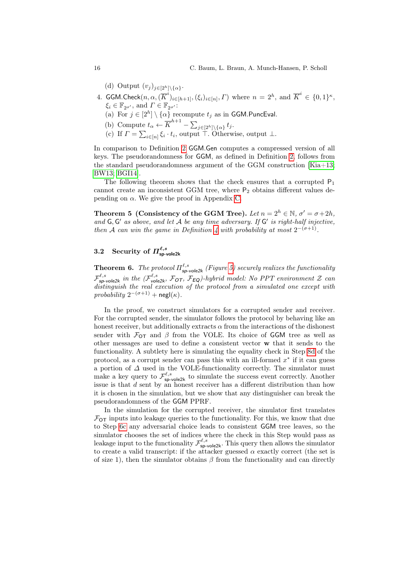(d) Output  $(v_j)_{j\in[2^h]\setminus\{\alpha\}}$ .

- 4. GGM.Check $(n, \alpha, (\overline{K}^i)_{i \in [h+1]}, (\xi_i)_{i \in [n]}, \Gamma)$  where  $n = 2^h$ , and  $\overline{K}^i \in \{0, 1\}^{\kappa}$ ,  $\xi_i \in \mathbb{F}_{2^{\sigma'}}$ , and  $\Gamma \in \mathbb{F}_{2^{\sigma'}}$ :
	- (a) For  $j \in [2^h] \setminus \{\alpha\}$  recompute  $t_j$  as in GGM.PuncEval.
	- (b) Compute  $t_{\alpha} \leftarrow \overline{K}^{h+1} \sum_{j \in [2^h] \setminus {\{\alpha\}}} t_j$ .
	- (c) If  $\Gamma = \sum_{i \in [n]} \xi_i \cdot t_i$ , output  $\top$ . Otherwise, output  $\bot$ .

In comparison to Definition [2](#page-12-2) GGM.Gen computes a compressed version of all keys. The pseudorandomness for GGM, as defined in Definition [2,](#page-12-2) follows from the standard pseudorandomness argument of the GGM construction [\[Kia+13;](#page-32-9) [BW13;](#page-31-12) [BGI14\]](#page-31-13).

The following theorem shows that the check ensures that a corrupted  $P_1$ cannot create an inconsistent GGM tree, where  $P_2$  obtains different values depending on  $\alpha$ . We give the proof in Appendix [C.](#page-36-0)

<span id="page-15-1"></span>Theorem 5 (Consistency of the GGM Tree). Let  $n = 2<sup>h</sup> \in \mathbb{N}$ ,  $\sigma' = \sigma + 2h$ , and  $G, G'$  as above, and let  $A$  be any time adversary. If  $G'$  is right-half injective, then A can win the game in Definition [4](#page-14-0) with probability at most  $2^{-(\sigma+1)}$ .

# 3.2 Security of  $\Pi^{\ell,s}_{\mathsf{sp}\text{-}\mathsf{vole2k}}$

<span id="page-15-0"></span>**Theorem 6.** The protocol  $\Pi_{\text{sp-vole2k}}^{\ell,s}$  (Figure [5\)](#page-13-0) securely realizes the functionality  $\mathcal{F}^{\ell,s}_{\mathsf{sp}\text{-}\mathsf{vole2k}}$  in the  $(\mathcal{F}^{\ell,s}_{\mathsf{vole2k}},\mathcal{F}_{\mathsf{OT}},\mathcal{F}_{\mathsf{EQ}})$ -hybrid model: No PPT environment Z can distinguish the real execution of the protocol from a simulated one except with  $probability 2^{-(\sigma+1)} + negl(\kappa).$ 

In the proof, we construct simulators for a corrupted sender and receiver. For the corrupted sender, the simulator follows the protocol by behaving like an honest receiver, but additionally extracts  $\alpha$  from the interactions of the dishonest sender with  $\mathcal{F}_{OT}$  and  $\beta$  from the VOLE. Its choice of GGM tree as well as other messages are used to define a consistent vector w that it sends to the functionality. A subtlety here is simulating the equality check in Step [8d](#page-13-3) of the protocol, as a corrupt sender can pass this with an ill-formed  $x^*$  if it can guess a portion of  $\Delta$  used in the VOLE-functionality correctly. The simulator must make a key query to  $\mathcal{F}_{\text{sp-vole2k}}^{\ell,s}$  to simulate the success event correctly. Another issue is that d sent by an honest receiver has a different distribution than how it is chosen in the simulation, but we show that any distinguisher can break the pseudorandomness of the GGM PPRF.

In the simulation for the corrupted receiver, the simulator first translates  $\mathcal{F}_{\text{OT}}$  inputs into leakage queries to the functionality. For this, we know that due to Step [6c](#page-13-4) any adversarial choice leads to consistent GGM tree leaves, so the simulator chooses the set of indices where the check in this Step would pass as leakage input to the functionality  $\mathcal{F}^{\ell,s}_{\text{sp-vole2k}}$ . This query then allows the simulator to create a valid transcript: if the attacker guessed  $\alpha$  exactly correct (the set is of size 1), then the simulator obtains  $\beta$  from the functionality and can directly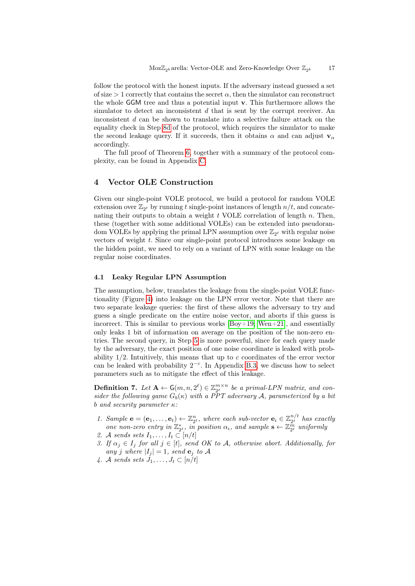follow the protocol with the honest inputs. If the adversary instead guessed a set of size  $> 1$  correctly that contains the secret  $\alpha$ , then the simulator can reconstruct the whole GGM tree and thus a potential input v. This furthermore allows the simulator to detect an inconsistent  $d$  that is sent by the corrupt receiver. An inconsistent d can be shown to translate into a selective failure attack on the equality check in Step [8d](#page-13-3) of the protocol, which requires the simulator to make the second leakage query. If it succeeds, then it obtains  $\alpha$  and can adjust  $\mathbf{v}_{\alpha}$ accordingly.

The full proof of Theorem [6,](#page-15-0) together with a summary of the protocol complexity, can be found in Appendix [C.](#page-36-0)

# <span id="page-16-0"></span>4 Vector OLE Construction

Given our single-point VOLE protocol, we build a protocol for random VOLE extension over  $\mathbb{Z}_{2^{\ell}}$  by running t single-point instances of length  $n/t$ , and concatenating their outputs to obtain a weight  $t$  VOLE correlation of length  $n$ . Then, these (together with some additional VOLEs) can be extended into pseudorandom VOLEs by applying the primal LPN assumption over  $\mathbb{Z}_{2^{\ell}}$  with regular noise vectors of weight t. Since our single-point protocol introduces some leakage on the hidden point, we need to rely on a variant of LPN with some leakage on the regular noise coordinates.

# 4.1 Leaky Regular LPN Assumption

The assumption, below, translates the leakage from the single-point VOLE functionality (Figure [4\)](#page-10-0) into leakage on the LPN error vector. Note that there are two separate leakage queries: the first of these allows the adversary to try and guess a single predicate on the entire noise vector, and aborts if this guess is incorrect. This is similar to previous works  $[Boy+19; Wen+21]$  $[Boy+19; Wen+21]$ , and essentially only leaks 1 bit of information on average on the position of the non-zero entries. The second query, in Step [5](#page-17-0) is more powerful, since for each query made by the adversary, the exact position of one noise coordinate is leaked with probability  $1/2$ . Intuitively, this means that up to c coordinates of the error vector can be leaked with probability  $2^{-c}$ . In Appendix [B.3,](#page-34-0) we discuss how to select parameters such as to mitigate the effect of this leakage.

<span id="page-16-1"></span>**Definition 7.** Let  $A \leftarrow G(m, n, 2^{\ell}) \in \mathbb{Z}_{2^{\ell}}^{m \times n}$  be a primal-LPN matrix, and consider the following game  $G_b(\kappa)$  with a PPT adversary A, parameterized by a bit b and security parameter  $\kappa$ :

- 1. Sample  $\mathbf{e} = (\mathbf{e}_1, \dots, \mathbf{e}_t) \leftarrow \mathbb{Z}_{2^{\ell}}^n$ , where each sub-vector  $\mathbf{e}_i \in \mathbb{Z}_{2^{\ell}}^{n/t}$  $\frac{n}{2^{\ell}}$  has exactly one non-zero entry in  $\mathbb{Z}_{2^{\ell}}^*$ , in position  $\alpha_i$ , and sample  $\mathbf{s} \leftarrow \mathbb{Z}_{2^{\ell}}^{\hat{m}}$  uniformly
- <span id="page-16-2"></span>2. A sends sets  $I_1, \ldots, I_t \subset [n/t]$
- 3. If  $\alpha_j \in I_j$  for all  $j \in [t]$ , send OK to A, otherwise abort. Additionally, for any j where  $|I_j| = 1$ , send  $e_j$  to A
- <span id="page-16-3"></span>4. A sends sets  $J_1, \ldots, J_t \subset [n/t]$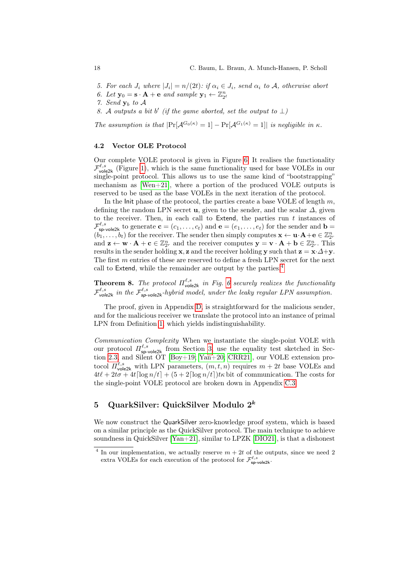- <span id="page-17-0"></span>5. For each  $J_i$  where  $|J_i| = n/(2t)$ : if  $\alpha_i \in J_i$ , send  $\alpha_i$  to A, otherwise abort
- 6. Let  $\mathbf{y}_0 = \mathbf{s} \cdot \mathbf{A} + \mathbf{e}$  and sample  $\mathbf{y}_1 \leftarrow \mathbb{Z}_{2^{\ell}}^n$
- 7. Send  $y_b$  to  $A$
- 8. A outputs a bit b' (if the game aborted, set the output to  $\perp$ )

The assumption is that  $|\Pr[\mathcal{A}^{G_0(\kappa)} = 1] - \Pr[\mathcal{A}^{G_1(\kappa)} = 1]|$  is negligible in  $\kappa$ .

#### 4.2 Vector OLE Protocol

Our complete VOLE protocol is given in Figure [6.](#page-18-0) It realises the functionality  $\mathcal{F}_{\text{vole2k}}^{\ell,s}$  (Figure [1\)](#page-6-0), which is the same functionality used for base VOLEs in our single-point protocol. This allows us to use the same kind of "bootstrapping" mechanism as [\[Wen+21\]](#page-32-0), where a portion of the produced VOLE outputs is reserved to be used as the base VOLEs in the next iteration of the protocol.

In the Init phase of the protocol, the parties create a base VOLE of length  $m$ , defining the random LPN secret **u**, given to the sender, and the scalar  $\Delta$ , given to the receiver. Then, in each call to Extend, the parties run  $t$  instances of  $\mathcal{F}^{\ell,s}_{\mathsf{sp}\text{-}\mathsf{vole2k}}$  to generate  $\mathbf{c} = (c_1,\ldots,c_t)$  and  $\mathbf{e} = (e_1,\ldots,e_t)$  for the sender and  $\mathbf{b} =$  $(b_1, \ldots, b_t)$  for the receiver. The sender then simply computes  $\mathbf{x} \leftarrow \mathbf{u} \cdot \mathbf{A} + \mathbf{e} \in \mathbb{Z}_{2^r}^n$ and  $\mathbf{z} \leftarrow \mathbf{w} \cdot \mathbf{A} + \mathbf{c} \in \mathbb{Z}_{2^r}^n$  and the receiver computes  $\mathbf{y} = \mathbf{v} \cdot \mathbf{A} + \mathbf{b} \in \mathbb{Z}_{2^r}^n$ . This results in the sender holding **x**, **z** and the receiver holding **y** such that  $z = x \cdot \Delta + y$ . The first m entries of these are reserved to define a fresh LPN secret for the next call to Extend, while the remainder are output by the parties.<sup>[4](#page-17-1)</sup>

<span id="page-17-3"></span>**Theorem 8.** The protocol  $\Pi_{\text{vole2k}}^{\ell,s}$  in Fig. [6](#page-18-0) securely realizes the functionality  $\mathcal{F}_{\text{vole2k}}^{\ell,s}$  in the  $\mathcal{F}_{\text{sp-vole2k}}^{\ell,s}$ -hybrid model, under the leaky regular LPN assumption.

The proof, given in Appendix [D,](#page-45-0) is straightforward for the malicious sender, and for the malicious receiver we translate the protocol into an instance of primal LPN from Definition [1,](#page-7-2) which yields indistinguishability.

Communication Complexity When we instantiate the single-point VOLE with our protocol  $\Pi_{\text{sp-vole2k}}^{\ell,s}$  from Section [3,](#page-9-0) use the equality test sketched in Section [2.3,](#page-6-1) and Silent OT [\[Boy+19;](#page-31-4) [Yan+20;](#page-32-8) [CRR21\]](#page-31-7), our VOLE extension protocol  $\Pi_{\text{vole2k}}^{\ell,s}$  with LPN parameters,  $(m, t, n)$  requires  $m + 2t$  base VOLEs and  $4t\ell + 2t\sigma + 4t[\log n/t] + (5+2[\log n/t])t\kappa$  bit of communication. The costs for the single-point VOLE protocol are broken down in Appendix [C.3.](#page-44-0)

# <span id="page-17-2"></span>5 QuarkSilver: QuickSilver Modulo 2<sup>k</sup>

We now construct the QuarkSilver zero-knowledge proof system, which is based on a similar principle as the QuickSilver protocol. The main technique to achieve soundness in QuickSilver  $[Yan+21]$ , similar to LPZK [\[DIO21\]](#page-31-1), is that a dishonest

<span id="page-17-1"></span><sup>&</sup>lt;sup>4</sup> In our implementation, we actually reserve  $m + 2t$  of the outputs, since we need 2 extra VOLEs for each execution of the protocol for  $\mathcal{F}_{\text{sp-vole2k}}^{\ell,s}$ .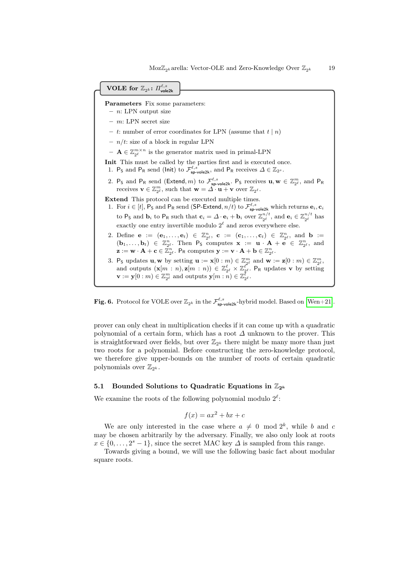

<span id="page-18-0"></span>**Fig. 6.** Protocol for VOLE over  $\mathbb{Z}_{2^k}$  in the  $\mathcal{F}_{\text{sp-vole2k}}^{\ell,s}$ -hybrid model. Based on [\[Wen+21\]](#page-32-0).

prover can only cheat in multiplication checks if it can come up with a quadratic polynomial of a certain form, which has a root  $\Delta$  unknown to the prover. This is straightforward over fields, but over  $\mathbb{Z}_{2^k}$  there might be many more than just two roots for a polynomial. Before constructing the zero-knowledge protocol, we therefore give upper-bounds on the number of roots of certain quadratic polynomials over  $\mathbb{Z}_{2^k}$ .

### <span id="page-18-2"></span>5.1 Bounded Solutions to Quadratic Equations in  $\mathbb{Z}_{2^k}$

We examine the roots of the following polynomial modulo  $2^{\ell}$ :

$$
f(x) = ax^2 + bx + c
$$

We are only interested in the case where  $a \neq 0 \mod 2^k$ , while b and c may be chosen arbitrarily by the adversary. Finally, we also only look at roots  $x \in \{0, \ldots, 2^s - 1\}$ , since the secret MAC key  $\Delta$  is sampled from this range.

<span id="page-18-1"></span>Towards giving a bound, we will use the following basic fact about modular square roots.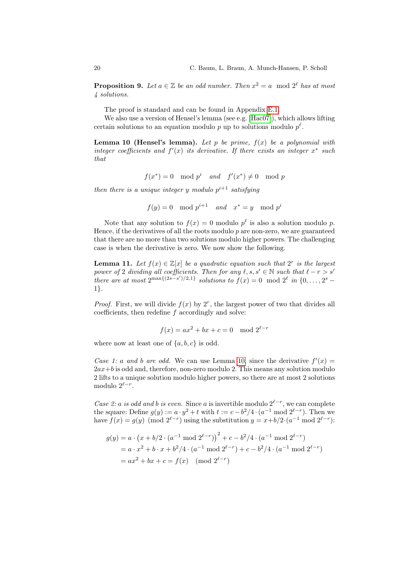**Proposition 9.** Let  $a \in \mathbb{Z}$  be an odd number. Then  $x^2 = a \mod 2^{\ell}$  has at most 4 solutions.

The proof is standard and can be found in Appendix [E.1.](#page-46-0)

We also use a version of Hensel's lemma (see e.g. [\[Hac07\]](#page-32-10)), which allows lifting certain solutions to an equation modulo p up to solutions modulo  $p^{\ell}$ .

<span id="page-19-0"></span>**Lemma 10 (Hensel's lemma).** Let p be prime,  $f(x)$  be a polynomial with integer coefficients and  $f'(x)$  its derivative. If there exists an integer  $x^*$  such that

$$
f(x^*) = 0 \mod p^i \quad and \quad f'(x^*) \neq 0 \mod p
$$

then there is a unique integer y modulo  $p^{i+1}$  satisfying

$$
f(y) = 0 \mod p^{i+1} \quad and \quad x^* = y \mod p^i
$$

Note that any solution to  $f(x) = 0$  modulo  $p^{\ell}$  is also a solution modulo p. Hence, if the derivatives of all the roots modulo  $p$  are non-zero, we are guaranteed that there are no more than two solutions modulo higher powers. The challenging case is when the derivative is zero. We now show the following.

<span id="page-19-1"></span>**Lemma 11.** Let  $f(x) \in \mathbb{Z}[x]$  be a quadratic equation such that  $2^r$  is the largest power of 2 dividing all coefficients. Then for any  $\ell, s, s' \in \mathbb{N}$  such that  $\ell - r > s'$ there are at most  $2^{\max\{(2s-s')/2,1\}}$  solutions to  $f(x) = 0 \mod 2^{\ell}$  in  $\{0,\ldots,2^s-1\}$ 1}.

*Proof.* First, we will divide  $f(x)$  by  $2^r$ , the largest power of two that divides all coefficients, then redefine  $f$  accordingly and solve:

$$
f(x) = ax^2 + bx + c = 0 \mod 2^{\ell - r}
$$

where now at least one of  $\{a, b, c\}$  is odd.

Case 1: a and b are odd. We can use Lemma [10,](#page-19-0) since the derivative  $f'(x) =$  $2ax+b$  is odd and, therefore, non-zero modulo 2. This means any solution modulo 2 lifts to a unique solution modulo higher powers, so there are at most 2 solutions modulo  $2^{\ell-r}$ .

Case 2: a is odd and b is even. Since a is invertible modulo  $2^{\ell-r}$ , we can complete the square: Define  $g(y) := a \cdot y^2 + t$  with  $t := c - b^2/4 \cdot (a^{-1} \mod 2^{\ell-r})$ . Then we have  $f(x) = g(y) \pmod{2^{\ell-r}}$  using the substitution  $y = x + b/2 \cdot (a^{-1} \mod 2^{\ell-r})$ :

$$
g(y) = a \cdot (x + b/2 \cdot (a^{-1} \mod 2^{\ell-r}))^{2} + c - b^{2}/4 \cdot (a^{-1} \mod 2^{\ell-r})
$$
  
=  $a \cdot x^{2} + b \cdot x + b^{2}/4 \cdot (a^{-1} \mod 2^{\ell-r}) + c - b^{2}/4 \cdot (a^{-1} \mod 2^{\ell-r})$   
=  $ax^{2} + bx + c = f(x) \pmod{2^{\ell-r}}$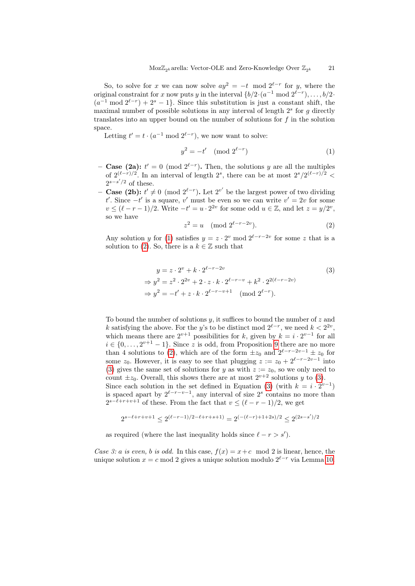So, to solve for x we can now solve  $ay^2 = -t \mod 2^{\ell-r}$  for y, where the original constraint for x now puts y in the interval  $\{b/2 \cdot (a^{-1} \mod 2^{\ell-r}), \ldots, b/2 \cdot \}$  $(a^{-1} \mod 2^{\ell-r}) + 2^s - 1$ . Since this substitution is just a constant shift, the maximal number of possible solutions in any interval of length  $2<sup>s</sup>$  for g directly translates into an upper bound on the number of solutions for  $f$  in the solution space.

Letting  $t' = t \cdot (a^{-1} \mod 2^{\ell - r})$ , we now want to solve:

<span id="page-20-0"></span>
$$
y^2 = -t' \pmod{2^{\ell-r}}
$$
 (1)

- − **Case (2a):**  $t' = 0 \pmod{2^{\ell-r}}$ . Then, the solutions y are all the multiples of  $2^{(\ell-r)/2}$ . In an interval of length  $2^s$ , there can be at most  $2^s/2^{(\ell-r)/2}$  <  $2^{s-s'/2}$  of these.
- **Case (2b):**  $t' \neq 0 \pmod{2^{\ell-r}}$ . Let  $2^{v'}$  be the largest power of two dividing t'. Since  $-t'$  is a square, v' must be even so we can write  $v' = 2v$  for some  $v \leq (\ell - r - 1)/2$ . Write  $-t' = u \cdot 2^{2v}$  for some odd  $u \in \mathbb{Z}$ , and let  $z = y/2^v$ , so we have

<span id="page-20-2"></span><span id="page-20-1"></span>
$$
z^2 = u \pmod{2^{\ell - r - 2v}}.
$$
 (2)

Any solution y for [\(1\)](#page-20-0) satisfies  $y = z \cdot 2^v \mod 2^{\ell-r-2v}$  for some z that is a solution to [\(2\)](#page-20-1). So, there is a  $k \in \mathbb{Z}$  such that

$$
y = z \cdot 2^{v} + k \cdot 2^{\ell - r - 2v}
$$
  
\n
$$
\Rightarrow y^{2} = z^{2} \cdot 2^{2v} + 2 \cdot z \cdot k \cdot 2^{\ell - r - v} + k^{2} \cdot 2^{2(\ell - r - 2v)}
$$
  
\n
$$
\Rightarrow y^{2} = -t' + z \cdot k \cdot 2^{\ell - r - v + 1} \pmod{2^{\ell - r}}.
$$
\n(3)

To bound the number of solutions  $y$ , it suffices to bound the number of  $z$  and k satisfying the above. For the y's to be distinct mod  $2^{\ell-r}$ , we need  $k < 2^{2v}$ , which means there are  $2^{v+1}$  possibilities for k, given by  $k = i \cdot 2^{v-1}$  for all  $i \in \{0, \ldots, 2^{v+1}-1\}$ . Since z is odd, from Proposition [9](#page-18-1) there are no more than 4 solutions to [\(2\)](#page-20-1), which are of the form  $\pm z_0$  and  $2^{\ell-r-2v-1} \pm z_0$  for some  $z_0$ . However, it is easy to see that plugging  $z := z_0 + 2^{\ell-r-2v-1}$  into [\(3\)](#page-20-2) gives the same set of solutions for y as with  $z := z_0$ , so we only need to count  $\pm z_0$ . Overall, this shows there are at most  $2^{v+2}$  solutions y to [\(3\)](#page-20-2). Since each solution in the set defined in Equation [\(3\)](#page-20-2) (with  $k = i \cdot 2^{v-1}$ ) is spaced apart by  $2^{\ell-r-v-1}$ , any interval of size  $2^s$  contains no more than  $2^{s-\ell+r+v+1}$  of these. From the fact that  $v \leq (\ell-r-1)/2$ , we get

$$
2^{s-\ell+r+v+1}\leq 2^{(\ell-r-1)/2-\ell+r+s+1)}=2^{(-(\ell-r)+1+2s)/2}\leq 2^{(2s-s')/2}
$$

as required (where the last inequality holds since  $\ell - r > s'$ ).

Case 3: a is even, b is odd. In this case,  $f(x) = x+c \mod 2$  is linear, hence, the unique solution  $x = c \mod 2$  gives a unique solution modulo  $2^{\ell-r}$  via Lemma [10.](#page-19-0)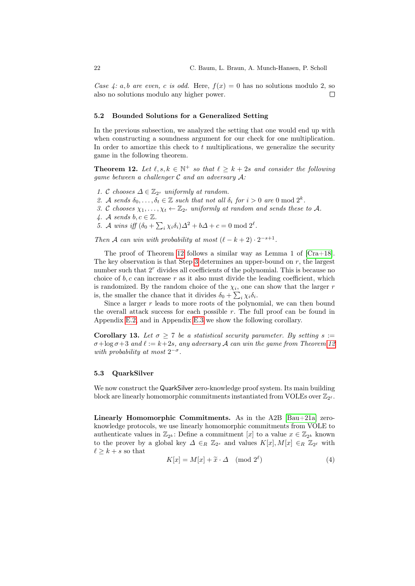Case 4: a, b are even, c is odd. Here,  $f(x) = 0$  has no solutions modulo 2, so also no solutions modulo any higher power.  $\Box$ 

#### <span id="page-21-3"></span>5.2 Bounded Solutions for a Generalized Setting

In the previous subsection, we analyzed the setting that one would end up with when constructing a soundness argument for our check for one multiplication. In order to amortize this check to  $t$  multiplications, we generalize the security game in the following theorem.

<span id="page-21-0"></span>**Theorem 12.** Let  $\ell, s, k \in \mathbb{N}^+$  so that  $\ell \geq k + 2s$  and consider the following game between a challenger  $\mathcal C$  and an adversary  $\mathcal A$ :

- 1. C chooses  $\Delta \in \mathbb{Z}_{2^s}$  uniformly at random.
- 2. A sends  $\delta_0, \ldots, \delta_t \in \mathbb{Z}$  such that not all  $\delta_i$  for  $i > 0$  are 0 mod  $2^k$ .
- <span id="page-21-1"></span>3. C chooses  $\chi_1, \ldots, \chi_t \leftarrow \mathbb{Z}_{2^s}$  uniformly at random and sends these to A.
- 4. A sends  $b, c \in \mathbb{Z}$ .
- 5. A wins iff  $(\delta_0 + \sum_i \chi_i \delta_i) \Delta^2 + b \Delta + c = 0 \text{ mod } 2^{\ell}$ .

Then A can win with probability at most  $(\ell - k + 2) \cdot 2^{-s+1}$ .

The proof of Theorem [12](#page-21-0) follows a similar way as Lemma 1 of [\[Cra+18\]](#page-31-6). The key observation is that Step [3](#page-21-1) determines an upper-bound on  $r$ , the largest number such that  $2^r$  divides all coefficients of the polynomial. This is because no choice of  $b, c$  can increase  $r$  as it also must divide the leading coefficient, which is randomized. By the random choice of the  $\chi_i$ , one can show that the larger r is, the smaller the chance that it divides  $\delta_0 + \sum_i \chi_i \delta_i$ .

Since a larger  $r$  leads to more roots of the polynomial, we can then bound the overall attack success for each possible  $r$ . The full proof can be found in Appendix [E.2,](#page-47-0) and in Appendix [E.3](#page-49-0) we show the following corollary.

<span id="page-21-2"></span>Corollary 13. Let  $\sigma \geq 7$  be a statistical security parameter. By setting  $s :=$  $\sigma + \log \sigma + 3$  and  $\ell := k+2s$ , any adversary A can win the game from Theorem [12](#page-21-0) with probability at most  $2^{-\sigma}$ .

## 5.3 QuarkSilver

We now construct the QuarkSilver zero-knowledge proof system. Its main building block are linearly homomorphic commitments instantiated from VOLEs over  $\mathbb{Z}_{2^{\ell}}$ .

Linearly Homomorphic Commitments. As in the  $A2B$  [\[Bau+21a\]](#page-31-5) zeroknowledge protocols, we use linearly homomorphic commitments from VOLE to authenticate values in  $\mathbb{Z}_{2^k}$ : Define a commitment  $[x]$  to a value  $x \in \mathbb{Z}_{2^k}$  known to the prover by a global key  $\Delta \in_R \mathbb{Z}_{2^s}$  and values  $K[x], M[x] \in_R \mathbb{Z}_{2^{\ell}}$  with  $\ell \geq k+s$  so that

<span id="page-21-4"></span>
$$
K[x] = M[x] + \tilde{x} \cdot \Delta \pmod{2^{\ell}}
$$
 (4)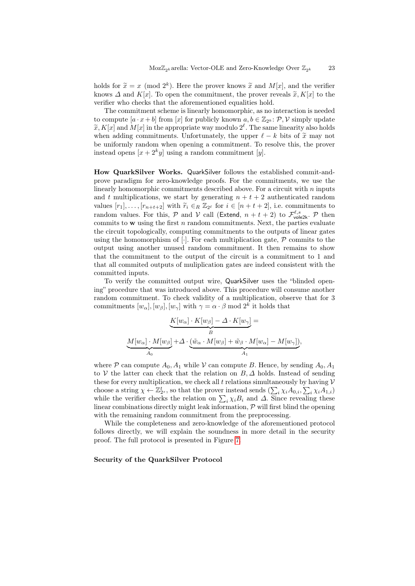holds for  $\tilde{x} = x \pmod{2^k}$ . Here the prover knows  $\tilde{x}$  and  $M[x]$ , and the verifier knows  $\Lambda$  and  $K[x]$ . To open the commitment, the prover reveals  $\tilde{x}$ ,  $K[x]$  to the knows  $\Delta$  and  $K[x]$ . To open the commitment, the prover reveals  $\tilde{x}, K[x]$  to the verifier who checks that the aforementioned equalities hold.

The commitment scheme is linearly homomorphic, as no interaction is needed to compute  $[a \cdot x + b]$  from  $[x]$  for publicly known  $a, b \in \mathbb{Z}_{2^k}$ :  $\mathcal{P}, \mathcal{V}$  simply update  $\widetilde{x}, K[x]$  and  $M[x]$  in the appropriate way modulo  $2^{\ell}$ . The same linearity also holds<br>when adding commitments. Unfortunately, the upper  $\ell$  by hite of  $\widetilde{x}$  may not when adding commitments. Unfortunately, the upper  $\ell - k$  bits of  $\tilde{x}$  may not be uniformly random when opening a commitment. To resolve this, the prover instead opens  $[x + 2^k y]$  using a random commitment [y].

How QuarkSilver Works. QuarkSilver follows the established commit-andprove paradigm for zero-knowledge proofs. For the commitments, we use the linearly homomorphic commitments described above. For a circuit with  $n$  inputs and t multiplications, we start by generating  $n + t + 2$  authenticated random values  $[r_1], \ldots, [r_{n+t+2}]$  with  $\widetilde{r}_i \in_R \mathbb{Z}_{2^{\ell}}$  for  $i \in [n+t+2]$ , i.e. commitments to random values. For this,  $P$  and  $V$  call (Extend,  $n + t + 2$ ) to  $\mathcal{F}_{\text{vole2k}}^{\ell,s}$ .  $P$  then commits to  $w$  using the first  $n$  random commitments. Next, the parties evaluate the circuit topologically, computing commitments to the outputs of linear gates using the homomorphism of  $[\cdot]$ . For each multiplication gate,  $P$  commits to the output using another unused random commitment. It then remains to show that the commitment to the output of the circuit is a commitment to 1 and that all commited outputs of muliplication gates are indeed consistent with the committed inputs.

To verify the committed output wire, QuarkSilver uses the "blinded opening" procedure that was introduced above. This procedure will consume another random commitment. To check validity of a multiplication, observe that for 3 commitments  $[w_{\alpha}], [w_{\beta}], [w_{\gamma}]$  with  $\gamma = \alpha \cdot \beta \mod 2^k$  it holds that

$$
\underbrace{K[w_{\alpha}] \cdot K[w_{\beta}] - \Delta \cdot K[w_{\gamma}]}_{B} =
$$
  

$$
\underbrace{M[w_{\alpha}] \cdot M[w_{\beta}]}_{A_0} + \Delta \cdot \underbrace{(\tilde{w}_{\alpha} \cdot M[w_{\beta}] + \tilde{w}_{\beta} \cdot M[w_{\alpha}] - M[w_{\gamma}])}_{A_1},
$$

where P can compute  $A_0$ ,  $A_1$  while V can compute B. Hence, by sending  $A_0$ ,  $A_1$ to V the latter can check that the relation on  $B, \Delta$  holds. Instead of sending these for every multiplication, we check all t relations simultaneously by having  $V$ choose a string  $\chi \leftarrow \mathbb{Z}_{2^s}^t$ , so that the prover instead sends  $(\sum_i \chi_i A_{0,i}, \sum_i \chi_i A_{1,i})$ while the verifier checks the relation on  $\sum_i \chi_i B_i$  and  $\Delta$ . Since revealing these linear combinations directly might leak information,  $P$  will first blind the opening with the remaining random commitment from the preprocessing.

While the completeness and zero-knowledge of the aforementioned protocol follows directly, we will explain the soundness in more detail in the security proof. The full protocol is presented in Figure [7.](#page-23-0)

<span id="page-22-0"></span>Security of the QuarkSilver Protocol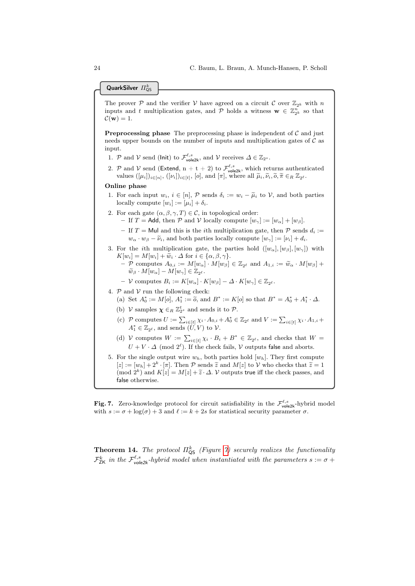QuarkSilver  $\varPi_{\operatorname{\mathsf{QS}}}^k$ 

The prover P and the verifier V have agreed on a circuit C over  $\mathbb{Z}_{2^k}$  with n inputs and t multiplication gates, and  $P$  holds a witness  $\mathbf{w} \in \mathbb{Z}_{2^k}^n$  so that  $\mathcal{C}(\mathbf{w}) = 1.$ 

**Preprocessing phase** The preprocessing phase is independent of  $C$  and just needs upper bounds on the number of inputs and multiplication gates of  $\mathcal C$  as input.

- 1. P and V send (lnit) to  $\mathcal{F}_{\text{vole2k}}^{\ell,s}$ , and V receives  $\Delta \in \mathbb{Z}_{2^s}$ .
- 2. P and V send (Extend,  $n + t + 2$ ) to  $\mathcal{F}^{\ell,s}_{\text{vole2k}}$ , which returns authenticated values  $([\mu_i])_{i\in[n]}, ([\nu_i])_{i\in[t]}, [o],$  and  $[\pi]$ , where all  $\tilde{\mu}_i, \tilde{\nu}_i, \tilde{o}, \tilde{\pi} \in_R \mathbb{Z}_{2^{\ell}}$ .

#### Online phase

- 1. For each input  $w_i$ ,  $i \in [n]$ ,  $\mathcal{P}$  sends  $\delta_i := w_i \widetilde{\mu}_i$  to  $\mathcal{V}$ , and both parties locally compute  $[w_i] := [\mu_i] + \delta_i$ .
- <span id="page-23-1"></span>2. For each gate  $(\alpha, \beta, \gamma, T) \in \mathcal{C}$ , in topological order:
	- If T = Add, then P and V locally compute  $[w_{\gamma}] := [w_{\alpha}] + [w_{\beta}]$ .
	- If T = Mul and this is the *i*th multiplication gate, then  $\mathcal P$  sends  $d_i :=$  $w_{\alpha} \cdot w_{\beta} - \widetilde{\nu}_i$ , and both parties locally compute  $[w_{\gamma}] := [\nu_i] + d_i$ .
- <span id="page-23-2"></span>3. For the *i*th multiplication gate, the parties hold  $([w_{\alpha}], [w_{\beta}], [w_{\gamma}])$  with  $K[w_i] = M[w_i] + \widetilde{w}_i \cdot \Delta$  for  $i \in {\alpha, \beta, \gamma}.$ 
	- P computes  $A_{0,i} := M[w_\alpha] \cdot M[w_\beta] \in \mathbb{Z}_{2^\ell}$  and  $A_{1,i} := \widetilde{w}_\alpha \cdot M[w_\beta] +$  $\widetilde{w}_{\beta} \cdot M[w_{\alpha}] - M[w_{\gamma}] \in \mathbb{Z}_{2^{\ell}}.$
	- $-V$  computes  $B_i := K[w_\alpha] \cdot K[w_\beta] \Delta \cdot K[w_\gamma] \in \mathbb{Z}_{2^\ell}$ .
- <span id="page-23-3"></span>4.  ${\mathcal P}$  and  ${\mathcal V}$  run the following check: (a) Set  $A_0^* := M[o], A_1^* := \tilde{o}$ , and  $B^* := K[o]$  so that  $B^* = A_0^* + A_1^* \cdot \Delta$ .
	- (b)  $\mathcal V$  samples  $\boldsymbol{\chi} \in_R \mathbb{Z}_2^t$  and sends it to  $\mathcal P$ .
	- (c)  $\mathcal P$  computes  $U := \sum_{i \in [t]} \chi_i \cdot A_{0,i} + A_0^* \in \mathbb{Z}_{2^{\ell}}$  and  $V := \sum_{i \in [t]} \chi_i \cdot A_{1,i} +$  $A_1^* \in \mathbb{Z}_{2^{\ell}}$ , and sends  $(U, V)$  to  $V$ .
	- (d) V computes  $W := \sum_{i \in [t]} \chi_i \cdot B_i + B^* \in \mathbb{Z}_{2^{\ell}}$ , and checks that  $W =$  $U + V \cdot \Delta \pmod{2^{\ell}}$ . If the check fails,  $V$  outputs false and aborts.
- <span id="page-23-4"></span>5. For the single output wire  $w_h$ , both parties hold  $[w_h]$ . They first compute  $[z] := [w_h] + 2^k \cdot [\pi]$ . Then P sends  $\widetilde{z}$  and  $M[z]$  to V who checks that  $\widetilde{z} = 1$ <br>(mod  $2^k$ ) and  $K[z] = M[z] + \widetilde{z}$ . A V outputs true if the sheek passes, and (mod  $2^k$ ) and  $K[z] = M[z] + \tilde{z} \cdot \Delta$ . V outputs true iff the check passes, and false otherwise false otherwise.

<span id="page-23-0"></span>**Fig. 7.** Zero-knowledge protocol for circuit satisfiability in the  $\mathcal{F}_{\text{vole2k}}^{\ell,s}$ -hybrid model with  $s := \sigma + \log(\sigma) + 3$  and  $\ell := k + 2s$  for statistical security parameter  $\sigma$ .

**Theorem 14.** The protocol  $\Pi^k_{\mathsf{QS}}$  (Figure [7\)](#page-23-0) securely realizes the functionality  $\mathcal{F}_{\mathsf{ZK}}^k$  in the  $\mathcal{F}_{\mathsf{vole2k}}^{\ell,s}$ -hybrid model when instantiated with the parameters  $s := \sigma +$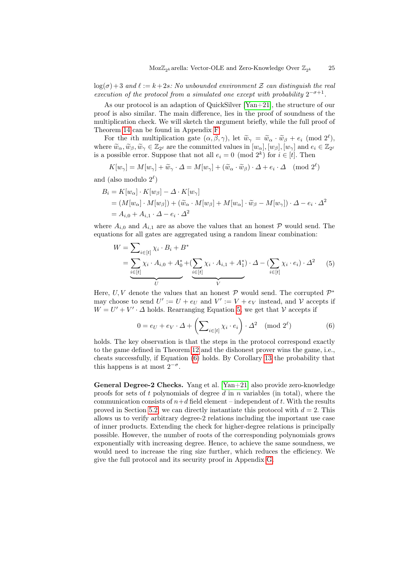$log(\sigma) + 3$  and  $\ell := k + 2s$ : No unbounded environment Z can distinguish the real execution of the protocol from a simulated one except with probability  $2^{-\sigma+1}$ .

As our protocol is an adaption of QuickSilver [\[Yan+21\]](#page-32-1), the structure of our proof is also similar. The main difference, lies in the proof of soundness of the multiplication check. We will sketch the argument briefly, while the full proof of Theorem [14](#page-22-0) can be found in Appendix [F.](#page-50-0)

For the *i*th multiplication gate  $(\alpha, \beta, \gamma)$ , let  $\widetilde{w}_{\gamma} = \widetilde{w}_{\alpha} \cdot \widetilde{w}_{\beta} + e_i \pmod{2^{\ell}}$ , where  $\widetilde{w}_{\alpha}, \widetilde{w}_{\beta}, \widetilde{w}_{\gamma} \in \mathbb{Z}_{2^{\ell}}$  are the committed values in  $[w_{\alpha}], [w_{\beta}], [w_{\gamma}]$  and  $e_i \in \mathbb{Z}_{2^{\ell}}$ is a possible error. Suppose that not all  $e_i = 0 \pmod{2^k}$  for  $i \in [t]$ . Then

$$
K[w_{\gamma}] = M[w_{\gamma}] + \widetilde{w}_{\gamma} \cdot \Delta = M[w_{\gamma}] + (\widetilde{w}_{\alpha} \cdot \widetilde{w}_{\beta}) \cdot \Delta + e_i \cdot \Delta \pmod{2^{\ell}}
$$

and (also modulo  $2^{\ell}$ )

$$
B_i = K[w_\alpha] \cdot K[w_\beta] - \Delta \cdot K[w_\gamma]
$$
  
=  $(M[w_\alpha] \cdot M[w_\beta]) + (\tilde{w}_\alpha \cdot M[w_\beta] + M[w_\alpha] \cdot \tilde{w}_\beta - M[w_\gamma]) \cdot \Delta - e_i \cdot \Delta^2$   
=  $A_{i,0} + A_{i,1} \cdot \Delta - e_i \cdot \Delta^2$ 

where  $A_{i,0}$  and  $A_{i,1}$  are as above the values that an honest P would send. The equations for all gates are aggregated using a random linear combination:

<span id="page-24-0"></span>
$$
W = \sum_{i \in [t]} \chi_i \cdot B_i + B^*
$$
  
= 
$$
\underbrace{\sum_{i \in [t]} \chi_i \cdot A_{i,0} + A_0^* + (\sum_{i \in [t]} \chi_i \cdot A_{i,1} + A_1^*) \cdot \Delta - (\sum_{i \in [t]} \chi_i \cdot e_i) \cdot \Delta^2}_{U}
$$
 (5)

Here, U, V denote the values that an honest  $P$  would send. The corrupted  $P^*$ may choose to send  $U' := U + e_U$  and  $V' := V + e_V$  instead, and V accepts if  $W = U' + V' \cdot \Delta$  holds. Rearranging Equation [5,](#page-24-0) we get that V accepts if

<span id="page-24-1"></span>
$$
0 = e_U + e_V \cdot \Delta + \left(\sum_{i \in [t]} \chi_i \cdot e_i\right) \cdot \Delta^2 \pmod{2^{\ell}}
$$
 (6)

holds. The key observation is that the steps in the protocol correspond exactly to the game defined in Theorem [12](#page-21-0) and the dishonest prover wins the game, i.e., cheats successfully, if Equation [\(6\)](#page-24-1) holds. By Corollary [13](#page-21-2) the probability that this happens is at most  $2^{-\sigma}$ .

General Degree-2 Checks. Yang et al. [\[Yan+21\]](#page-32-1) also provide zero-knowledge proofs for sets of t polynomials of degree  $d$  in  $n$  variables (in total), where the communication consists of  $n+d$  field element – independent of t. With the results proved in Section [5.2,](#page-21-3) we can directly instantiate this protocol with  $d = 2$ . This allows us to verify arbitrary degree-2 relations including the important use case of inner products. Extending the check for higher-degree relations is principally possible. However, the number of roots of the corresponding polynomials grows exponentially with increasing degree. Hence, to achieve the same soundness, we would need to increase the ring size further, which reduces the efficiency. We give the full protocol and its security proof in Appendix [G.](#page-54-0)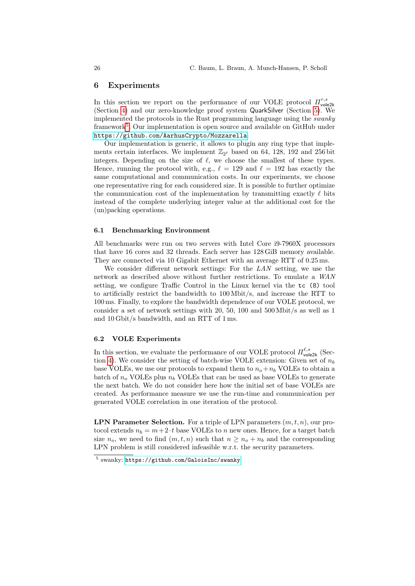## 6 Experiments

In this section we report on the performance of our VOLE protocol  $\Pi_{\text{vole2k}}^{r,s}$ (Section [4\)](#page-16-0) and our zero-knowledge proof system QuarkSilver (Section [5\)](#page-17-2). We implemented the protocols in the Rust programming language using the swanky framework<sup>[5](#page-25-0)</sup>. Our implementation is open source and available on GitHub under <https://github.com/AarhusCrypto/Mozzarella>.

Our implementation is generic, it allows to plugin any ring type that implements certain interfaces. We implement  $\mathbb{Z}_{2^{\ell}}$  based on 64, 128, 192 and 256 bit integers. Depending on the size of  $\ell$ , we choose the smallest of these types. Hence, running the protocol with, e.g.,  $\ell = 129$  and  $\ell = 192$  has exactly the same computational and communication costs. In our experiments, we choose one representative ring for each considered size. It is possible to further optimize the communication cost of the implementation by transmitting exactly  $\ell$  bits instead of the complete underlying integer value at the additional cost for the (un)packing operations.

# 6.1 Benchmarking Environment

All benchmarks were run on two servers with Intel Core i9-7960X processors that have 16 cores and 32 threads. Each server has 128 GiB memory available. They are connected via 10 Gigabit Ethernet with an average RTT of 0.25 ms.

We consider different network settings: For the LAN setting, we use the network as described above without further restrictions. To emulate a WAN setting, we configure Traffic Control in the Linux kernel via the tc (8) tool to artificially restrict the bandwidth to 100 Mbit/s, and increase the RTT to 100 ms. Finally, to explore the bandwidth dependence of our VOLE protocol, we consider a set of network settings with 20, 50, 100 and 500 Mbit/s as well as 1 and 10 Gbit/s bandwidth, and an RTT of 1 ms.

# <span id="page-25-1"></span>6.2 VOLE Experiments

In this section, we evaluate the performance of our VOLE protocol  $\Pi_{\text{vole2k}}^{\ell,s}$  (Sec-tion [4\)](#page-16-0). We consider the setting of batch-wise VOLE extension: Given set of  $n<sub>b</sub>$ base VOLEs, we use our protocols to expand them to  $n<sub>o</sub> + n<sub>b</sub>$  VOLEs to obtain a batch of  $n<sub>o</sub>$  VOLEs plus  $n<sub>b</sub>$  VOLEs that can be used as base VOLEs to generate the next batch. We do not consider here how the initial set of base VOLEs are created. As performance measure we use the run-time and communication per generated VOLE correlation in one iteration of the protocol.

**LPN Parameter Selection.** For a triple of LPN parameters  $(m, t, n)$ , our protocol extends  $n_b = m + 2 \cdot t$  base VOLEs to n new ones. Hence, for a target batch size  $n_o$ , we need to find  $(m, t, n)$  such that  $n \geq n_o + n_b$  and the corresponding LPN problem is still considered infeasible w.r.t. the security parameters.

<span id="page-25-0"></span><sup>5</sup> swanky: <https://github.com/GaloisInc/swanky>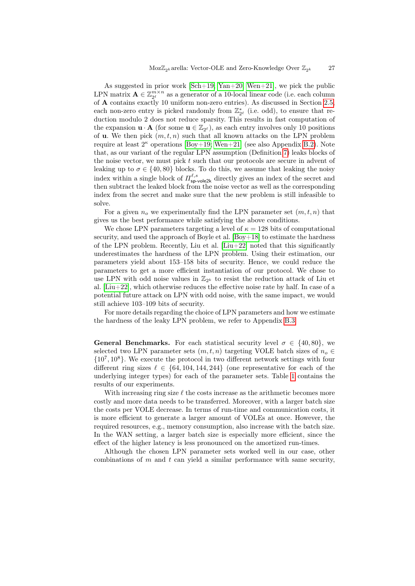As suggested in prior work  $[Sch+19; Yan+20; Wen+21]$  $[Sch+19; Yan+20; Wen+21]$  $[Sch+19; Yan+20; Wen+21]$ , we pick the public LPN matrix  $\mathbf{A} \in \mathbb{Z}_{2^{\ell}}^{m \times n}$  as a generator of a 10-local linear code (i.e. each column of A contains exactly 10 uniform non-zero entries). As discussed in Section [2.5,](#page-7-3) each non-zero entry is picked randomly from  $\mathbb{Z}_{2^{\ell}}^{*}$  (i.e. odd), to ensure that reduction modulo 2 does not reduce sparsity. This results in fast computation of the expansion  $\mathbf{u} \cdot \mathbf{A}$  (for some  $\mathbf{u} \in \mathbb{Z}_{2^{\ell}}$ ), as each entry involves only 10 positions of **u**. We then pick  $(m, t, n)$  such that all known attacks on the LPN problem require at least  $2^{\kappa}$  operations [\[Boy+19;](#page-31-4) [Wen+21\]](#page-32-0) (see also Appendix [B.2\)](#page-33-2). Note that, as our variant of the regular LPN assumption (Definition [7\)](#page-16-1) leaks blocks of the noise vector, we must pick  $t$  such that our protocols are secure in advent of leaking up to  $\sigma \in \{40, 80\}$  blocks. To do this, we assume that leaking the noisy index within a single block of  $\Pi_{\text{sp-vole2k}}^{\ell,s}$  directly gives an index of the secret and then subtract the leaked block from the noise vector as well as the corresponding index from the secret and make sure that the new problem is still infeasible to solve.

For a given  $n<sub>o</sub>$  we experimentally find the LPN parameter set  $(m, t, n)$  that gives us the best performance while satisfying the above conditions.

We chose LPN parameters targeting a level of  $\kappa = 128$  bits of computational security, and used the approach of Boyle et al. [\[Boy+18\]](#page-31-3) to estimate the hardness of the LPN problem. Recently, Liu et al.  $[Liu+22]$  noted that this significantly underestimates the hardness of the LPN problem. Using their estimation, our parameters yield about 153–158 bits of security. Hence, we could reduce the parameters to get a more efficient instantiation of our protocol. We chose to use LPN with odd noise values in  $\mathbb{Z}_{2^k}$  to resist the reduction attack of Liu et al.  $[Liu+22]$ , which otherwise reduces the effective noise rate by half. In case of a potential future attack on LPN with odd noise, with the same impact, we would still achieve 103–109 bits of security.

For more details regarding the choice of LPN parameters and how we estimate the hardness of the leaky LPN problem, we refer to Appendix [B.3.](#page-34-0)

**General Benchmarks.** For each statistical security level  $\sigma \in \{40, 80\}$ , we selected two LPN parameter sets  $(m, t, n)$  targeting VOLE batch sizes of  $n_o \in$  ${10^7, 10^8}$ . We execute the protocol in two different network settings with four different ring sizes  $\ell \in \{64, 104, 144, 244\}$  (one representative for each of the underlying integer types) for each of the parameter sets. Table [1](#page-27-0) contains the results of our experiments.

With increasing ring size  $\ell$  the costs increase as the arithmetic becomes more costly and more data needs to be transferred. Moreover, with a larger batch size the costs per VOLE decrease. In terms of run-time and communication costs, it is more efficient to generate a larger amount of VOLEs at once. However, the required resources, e.g., memory consumption, also increase with the batch size. In the WAN setting, a larger batch size is especially more efficient, since the effect of the higher latency is less pronounced on the amortized run-times.

Although the chosen LPN parameter sets worked well in our case, other combinations of  $m$  and  $t$  can yield a similar performance with same security,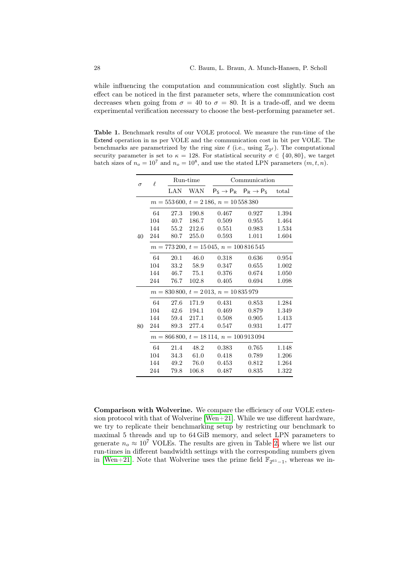while influencing the computation and communication cost slightly. Such an effect can be noticed in the first parameter sets, where the communication cost decreases when going from  $\sigma = 40$  to  $\sigma = 80$ . It is a trade-off, and we deem experimental verification necessary to choose the best-performing parameter set.

<span id="page-27-0"></span>Table 1. Benchmark results of our VOLE protocol. We measure the run-time of the Extend operation in ns per VOLE and the communication cost in bit per VOLE. The benchmarks are parametrized by the ring size  $\ell$  (i.e., using  $\mathbb{Z}_{2^{\ell}}$ ). The computational security parameter is set to  $\kappa = 128$ . For statistical security  $\sigma \in \{40, 80\}$ , we target batch sizes of  $n_o = 10^7$  and  $n_o = 10^8$ , and use the stated LPN parameters  $(m, t, n)$ .

| $\sigma$ | $\ell$                                         | Run-time |            | Communication |                                             |       |  |  |
|----------|------------------------------------------------|----------|------------|---------------|---------------------------------------------|-------|--|--|
|          |                                                | LAN      | WAN        |               | $P_S \rightarrow P_R$ $P_R \rightarrow P_S$ | total |  |  |
|          | $m = 553600, t = 2186, n = 10558380$           |          |            |               |                                             |       |  |  |
|          | 64                                             | 27.3     | 190.8      | 0.467         | 0.927                                       | 1.394 |  |  |
|          | 104                                            | 40.7     | 186.7      | 0.509         | 0.955                                       | 1.464 |  |  |
|          | 144                                            | 55.2     | 212.6      | 0.551         | 0.983                                       | 1.534 |  |  |
| 40       | 244                                            | 80.7     | 255.0      | 0.593         | 1.011                                       | 1.604 |  |  |
|          | $m = 773\,200, t = 15\,045, n = 100\,816\,545$ |          |            |               |                                             |       |  |  |
|          | 64                                             | 20.1     | 46.0       | 0.318         | 0.636                                       | 0.954 |  |  |
|          | 104                                            | 33.2     | 58.9       | 0.347         | 0.655                                       | 1.002 |  |  |
|          | 144                                            |          | 46.7 75.1  | 0.376         | 0.674                                       | 1.050 |  |  |
|          | 244                                            | 76.7     | 102.8      | 0.405         | 0.694                                       | 1.098 |  |  |
|          | $m = 830800, t = 2013, n = 10835979$           |          |            |               |                                             |       |  |  |
|          | 64                                             | 27.6     | 171.9      | 0.431         | 0.853                                       | 1.284 |  |  |
|          | 104                                            | 42.6     | 194.1      | 0.469         | 0.879                                       | 1.349 |  |  |
|          | 144                                            |          | 59.4 217.1 | 0.508         | 0.905                                       | 1.413 |  |  |
| 80       | 244                                            | 89.3     | 277.4      | 0.547         | 0.931                                       | 1.477 |  |  |
|          | $m = 866800, t = 18114, n = 100913094$         |          |            |               |                                             |       |  |  |
|          | 64                                             | 21.4     | 48.2       | 0.383         | 0.765                                       | 1.148 |  |  |
|          | 104                                            | 34.3     | 61.0       | 0.418         | 0.789                                       | 1.206 |  |  |
|          | 144                                            | 49.2     | 76.0       | 0.453         | 0.812                                       | 1.264 |  |  |
|          | 244                                            | 79.8     | 106.8      | 0.487         | 0.835                                       | 1.322 |  |  |

Comparison with Wolverine. We compare the efficiency of our VOLE extension protocol with that of Wolverine [\[Wen+21\]](#page-32-0). While we use different hardware, we try to replicate their benchmarking setup by restricting our benchmark to maximal 5 threads and up to 64 GiB memory, and select LPN parameters to generate  $n_o \approx 10^7$  VOLEs. The results are given in Table [2,](#page-28-0) where we list our run-times in different bandwidth settings with the corresponding numbers given in [\[Wen+21\]](#page-32-0). Note that Wolverine uses the prime field  $\mathbb{F}_{2^{61}-1}$ , whereas we in-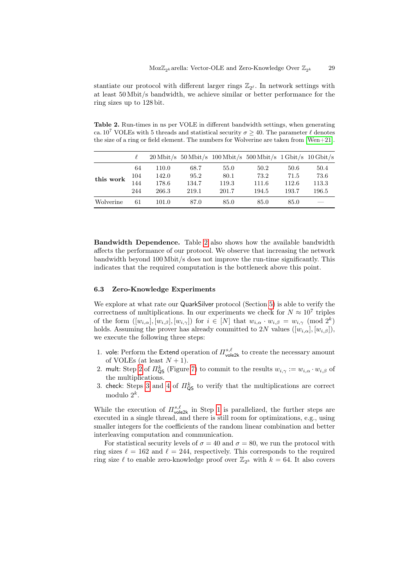stantiate our protocol with different larger rings  $\mathbb{Z}_{2^{\ell}}$ . In network settings with at least 50 Mbit/s bandwidth, we achieve similar or better performance for the ring sizes up to 128 bit.

<span id="page-28-0"></span>Table 2. Run-times in ns per VOLE in different bandwidth settings, when generating ca. 10<sup>7</sup> VOLEs with 5 threads and statistical security  $\sigma \geq 40$ . The parameter  $\ell$  denotes the size of a ring or field element. The numbers for Wolverine are taken from [\[Wen+21\]](#page-32-0).

|           |     |       |       |       | $20 \text{ Mbit/s}$ 50 Mbit/s $100 \text{ Mbit/s}$ 500 Mbit/s $1 \text{ Gbit/s}$ 10 Gbit/s |       |       |
|-----------|-----|-------|-------|-------|--------------------------------------------------------------------------------------------|-------|-------|
|           | 64  | 110.0 | 68.7  | 55.0  | 50.2                                                                                       | 50.6  | 50.4  |
| this work | 104 | 142.0 | 95.2  | 80.1  | 73.2                                                                                       | 71.5  | 73.6  |
|           | 144 | 178.6 | 134.7 | 119.3 | 111.6                                                                                      | 112.6 | 113.3 |
|           | 244 | 266.3 | 219.1 | 201.7 | 194.5                                                                                      | 193.7 | 196.5 |
| Wolverine | 61  | 101.0 | 87.0  | 85.0  | 85.0                                                                                       | 85.0  |       |

Bandwidth Dependence. Table [2](#page-28-0) also shows how the available bandwidth affects the performance of our protocol. We observe that increasing the network bandwidth beyond 100 Mbit/s does not improve the run-time significantly. This indicates that the required computation is the bottleneck above this point.

## 6.3 Zero-Knowledge Experiments

We explore at what rate our QuarkSilver protocol (Section [5\)](#page-17-2) is able to verify the correctness of multiplications. In our experiments we check for  $N \approx 10^7$  triples of the form  $([w_{i,\alpha}], [w_{i,\beta}], [w_{i,\gamma}])$  for  $i \in [N]$  that  $w_{i,\alpha} \cdot w_{i,\beta} = w_{i,\gamma} \pmod{2^k}$ holds. Assuming the prover has already committed to 2N values  $([w_{i,\alpha}], [w_{i,\beta}])$ , we execute the following three steps:

- <span id="page-28-1"></span>1. vole: Perform the Extend operation of  $\Pi^{s,\ell}_{\text{vole2k}}$  to create the necessary amount of VOLEs (at least  $N + 1$ ).
- <span id="page-28-2"></span>2. mult: Step [2](#page-23-1) of  $\Pi_{\textsf{QS}}^k$  (Figure [7\)](#page-23-0) to commit to the results  $w_{i,\gamma} := w_{i,\alpha} \cdot w_{i,\beta}$  of the multiplications.
- 3. check: Steps [3](#page-23-2) and [4](#page-23-3) of  $\pi_{\text{QS}}^k$  to verify that the multiplications are correct modulo  $2^k$ .

While the execution of  $\Pi^{s,\ell}_{\text{vole2k}}$  in Step [1](#page-28-1) is parallelized, the further steps are executed in a single thread, and there is still room for optimizations, e.g., using smaller integers for the coefficients of the random linear combination and better interleaving computation and communication.

For statistical security levels of  $\sigma = 40$  and  $\sigma = 80$ , we run the protocol with ring sizes  $\ell = 162$  and  $\ell = 244$ , respectively. This corresponds to the required ring size  $\ell$  to enable zero-knowledge proof over  $\mathbb{Z}_{2^k}$  with  $k = 64$ . It also covers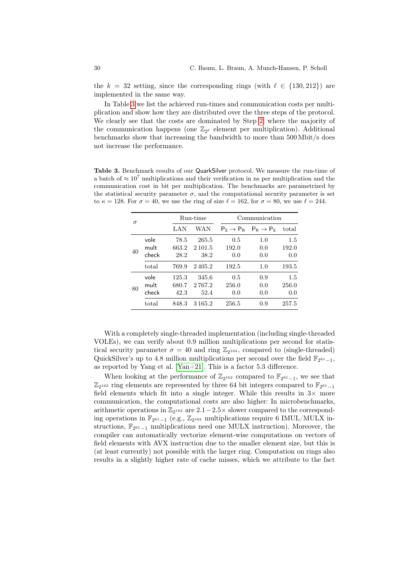the  $k = 32$  setting, since the corresponding rings (with  $\ell \in \{130, 212\}$ ) are implemented in the same way.

In Table [3](#page-29-0) we list the achieved run-times and communication costs per multiplication and show how they are distributed over the three steps of the protocol. We clearly see that the costs are dominated by Step [2,](#page-28-2) where the majority of the communication happens (one  $\mathbb{Z}_{2^{\ell}}$  element per multiplication). Additional benchmarks show that increasing the bandwidth to more than 500 Mbit/s does not increase the performance.

<span id="page-29-0"></span>Table 3. Benchmark results of our QuarkSilver protocol. We measure the run-time of a batch of  $\approx 10^7$  multiplications and their verification in ns per multiplication and the communication cost in bit per multiplication. The benchmarks are parametrized by the statistical security parameter  $\sigma$ , and the computational security parameter is set to  $\kappa = 128$ . For  $\sigma = 40$ , we use the ring of size  $\ell = 162$ , for  $\sigma = 80$ , we use  $\ell = 244$ .

| $\sigma$ |       |       | Run-time    | Communication |                                             |       |  |
|----------|-------|-------|-------------|---------------|---------------------------------------------|-------|--|
|          |       | LAN   | WAN         |               | $P_S \rightarrow P_R$ $P_R \rightarrow P_S$ | total |  |
|          | vole  | 78.5  | 265.5       | 0.5           | 1.0                                         | 1.5   |  |
| 40       | mult  | 663.2 | 2 1 0 1.5   | 192.0         | 0.0                                         | 192.0 |  |
|          | check | 28.2  | 38.2        | 0.0           | 0.0                                         | 0.0   |  |
|          | total | 769.9 | 2405.2      | 192.5         | 1.0                                         | 193.5 |  |
| 80       | vole  | 125.3 | 345.6       | 0.5           | 0.9                                         | 1.5   |  |
|          | mult  | 680.7 | 2767.2      | 256.0         | 0.0                                         | 256.0 |  |
|          | check | 42.3  | 52.4        | 0.0           | 0.0                                         | 0.0   |  |
|          | total | 848.3 | 3 1 6 5 . 2 | 256.5         | 0.9                                         | 257.5 |  |

With a completely single-threaded implementation (including single-threaded VOLEs), we can verify about 0.9 million multiplications per second for statistical security parameter  $\sigma = 40$  and ring  $\mathbb{Z}_{2^{162}}$ , compared to (single-threaded) QuickSilver's up to 4.8 million multiplications per second over the field  $\mathbb{F}_{2^{61}-1}$ , as reported by Yang et al. [\[Yan+21\]](#page-32-1). This is a factor  $5.3$  difference.

When looking at the performance of  $\mathbb{Z}_{2^{162}}$  compared to  $\mathbb{F}_{2^{61}-1}$ , we see that  $\mathbb{Z}_{2^{162}}$  ring elements are represented by three 64 bit integers compared to  $\mathbb{F}_{2^{61}-1}$ field elements which fit into a single integer. While this results in  $3\times$  more communication, the computational costs are also higher: In microbenchmarks, arithmetic operations in  $\mathbb{Z}_{2^{162}}$  are  $2.1-2.5\times$  slower compared to the corresponding operations in  $\mathbb{F}_{2^{61}-1}$  (e.g.,  $\mathbb{Z}_{2^{162}}$  multiplications require 6 IMUL/MULX instructions,  $\mathbb{F}_{2^{61}-1}$  multiplications need one MULX instruction). Moreover, the compiler can automatically vectorize element-wise computations on vectors of field elements with AVX instruction due to the smaller element size, but this is (at least currently) not possible with the larger ring. Computation on rings also results in a slightly higher rate of cache misses, which we attribute to the fact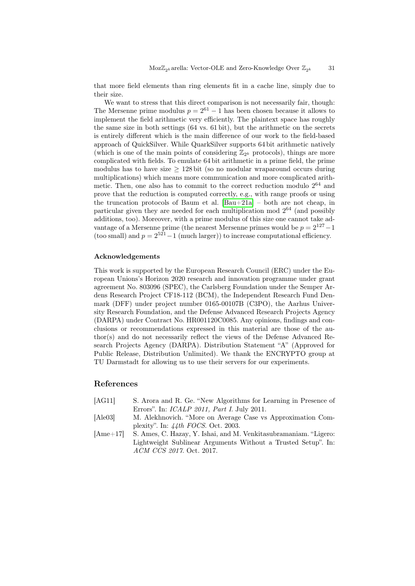that more field elements than ring elements fit in a cache line, simply due to their size.

We want to stress that this direct comparison is not necessarily fair, though: The Mersenne prime modulus  $p = 2^{61} - 1$  has been chosen because it allows to implement the field arithmetic very efficiently. The plaintext space has roughly the same size in both settings (64 vs. 61 bit), but the arithmetic on the secrets is entirely different which is the main difference of our work to the field-based approach of QuickSilver. While QuarkSilver supports 64 bit arithmetic natively (which is one of the main points of considering  $\mathbb{Z}_{2^k}$  protocols), things are more complicated with fields. To emulate 64 bit arithmetic in a prime field, the prime modulus has to have size  $\geq 128$  bit (so no modular wraparound occurs during multiplications) which means more communication and more complicated arithmetic. Then, one also has to commit to the correct reduction modulo  $2^{64}$  and prove that the reduction is computed correctly, e.g., with range proofs or using the truncation protocols of Baum et al. [\[Bau+21a\]](#page-31-5) – both are not cheap, in particular given they are needed for each multiplication mod 2 <sup>64</sup> (and possibly additions, too). Moreover, with a prime modulus of this size one cannot take advantage of a Mersenne prime (the nearest Mersenne primes would be  $p = 2^{127} - 1$ (too small) and  $p = 2^{521} - 1$  (much larger)) to increase computational efficiency.

## Acknowledgements

This work is supported by the European Research Council (ERC) under the European Unions's Horizon 2020 research and innovation programme under grant agreement No. 803096 (SPEC), the Carlsberg Foundation under the Semper Ardens Research Project CF18-112 (BCM), the Independent Research Fund Denmark (DFF) under project number 0165-00107B (C3PO), the Aarhus University Research Foundation, and the Defense Advanced Research Projects Agency (DARPA) under Contract No. HR001120C0085. Any opinions, findings and conclusions or recommendations expressed in this material are those of the author(s) and do not necessarily reflect the views of the Defense Advanced Research Projects Agency (DARPA). Distribution Statement "A" (Approved for Public Release, Distribution Unlimited). We thank the ENCRYPTO group at TU Darmstadt for allowing us to use their servers for our experiments.

# References

- <span id="page-30-2"></span>[AG11] S. Arora and R. Ge. "New Algorithms for Learning in Presence of Errors". In: ICALP 2011, Part I. July 2011.
- <span id="page-30-1"></span>[Ale03] M. Alekhnovich. "More on Average Case vs Approximation Complexity". In: 44th FOCS. Oct. 2003.
- <span id="page-30-0"></span>[Ame+17] S. Ames, C. Hazay, Y. Ishai, and M. Venkitasubramaniam. "Ligero: Lightweight Sublinear Arguments Without a Trusted Setup". In: ACM CCS 2017. Oct. 2017.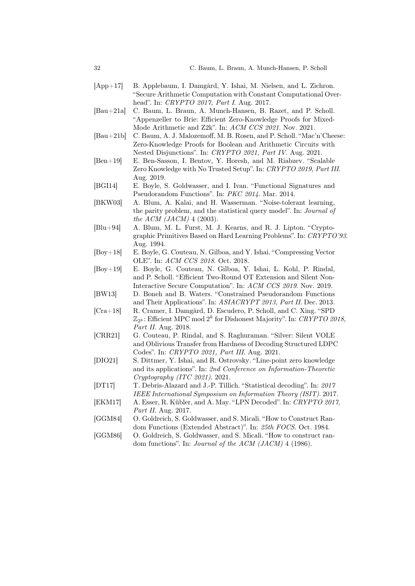- <span id="page-31-9"></span>[App+17] B. Applebaum, I. Damgård, Y. Ishai, M. Nielsen, and L. Zichron. "Secure Arithmetic Computation with Constant Computational Overhead". In: CRYPTO 2017, Part I. Aug. 2017.
- <span id="page-31-5"></span>[Bau+21a] C. Baum, L. Braun, A. Munch-Hansen, B. Razet, and P. Scholl. "Appenzeller to Brie: Efficient Zero-Knowledge Proofs for Mixed-Mode Arithmetic and Z2k". In: ACM CCS 2021. Nov. 2021.
- <span id="page-31-0"></span>[Bau+21b] C. Baum, A. J. Malozemoff, M. B. Rosen, and P. Scholl. "Mac'n'Cheese: Zero-Knowledge Proofs for Boolean and Arithmetic Circuits with Nested Disjunctions". In: CRYPTO 2021, Part IV. Aug. 2021.
- <span id="page-31-2"></span>[Ben+19] E. Ben-Sasson, I. Bentov, Y. Horesh, and M. Riabzev. "Scalable Zero Knowledge with No Trusted Setup". In: CRYPTO 2019, Part III. Aug. 2019.
- <span id="page-31-13"></span>[BGI14] E. Boyle, S. Goldwasser, and I. Ivan. "Functional Signatures and Pseudorandom Functions". In: PKC 2014. Mar. 2014.
- <span id="page-31-15"></span>[BKW03] A. Blum, A. Kalai, and H. Wasserman. "Noise-tolerant learning, the parity problem, and the statistical query model". In: Journal of the ACM (JACM) 4 (2003).
- <span id="page-31-8"></span>[Blu+94] A. Blum, M. L. Furst, M. J. Kearns, and R. J. Lipton. "Cryptographic Primitives Based on Hard Learning Problems". In: CRYPTO'93. Aug. 1994.
- <span id="page-31-3"></span>[Boy+18] E. Boyle, G. Couteau, N. Gilboa, and Y. Ishai. "Compressing Vector OLE". In: ACM CCS 2018. Oct. 2018.
- <span id="page-31-4"></span>[Boy+19] E. Boyle, G. Couteau, N. Gilboa, Y. Ishai, L. Kohl, P. Rindal, and P. Scholl. "Efficient Two-Round OT Extension and Silent Non-Interactive Secure Computation". In: ACM CCS 2019. Nov. 2019.
- <span id="page-31-12"></span>[BW13] D. Boneh and B. Waters. "Constrained Pseudorandom Functions and Their Applications". In: ASIACRYPT 2013, Part II. Dec. 2013.
- <span id="page-31-6"></span>[Cra+18] R. Cramer, I. Damgård, D. Escudero, P. Scholl, and C. Xing. "SPD  $\mathbb{Z}_{2^k}$ : Efficient MPC mod  $2^k$  for Dishonest Majority". In: CRYPTO 2018, Part II. Aug. 2018.
- <span id="page-31-7"></span>[CRR21] G. Couteau, P. Rindal, and S. Raghuraman. "Silver: Silent VOLE and Oblivious Transfer from Hardness of Decoding Structured LDPC Codes". In: CRYPTO 2021, Part III. Aug. 2021.
- <span id="page-31-1"></span>[DIO21] S. Dittmer, Y. Ishai, and R. Ostrovsky. "Line-point zero knowledge and its applications". In: 2nd Conference on Information-Theoretic Cryptography (ITC 2021). 2021.
- <span id="page-31-16"></span>[DT17] T. Debris-Alazard and J.-P. Tillich. "Statistical decoding". In: 2017 IEEE International Symposium on Information Theory (ISIT). 2017.
- <span id="page-31-14"></span>[EKM17] A. Esser, R. Kübler, and A. May. "LPN Decoded". In: CRYPTO 2017, Part II. Aug. 2017.
- <span id="page-31-10"></span>[GGM84] O. Goldreich, S. Goldwasser, and S. Micali. "How to Construct Random Functions (Extended Abstract)". In: 25th FOCS. Oct. 1984.
- <span id="page-31-11"></span>[GGM86] O. Goldreich, S. Goldwasser, and S. Micali. "How to construct random functions". In: Journal of the ACM (JACM) 4 (1986).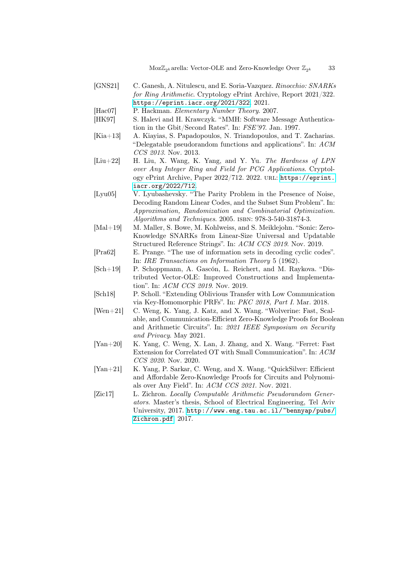- <span id="page-32-4"></span>[GNS21] C. Ganesh, A. Nitulescu, and E. Soria-Vazquez. Rinocchio: SNARKs for Ring Arithmetic. Cryptology ePrint Archive, Report 2021/322. <https://eprint.iacr.org/2021/322>. 2021.
- <span id="page-32-10"></span>[Hac07] P. Hackman. Elementary Number Theory. 2007.
- <span id="page-32-13"></span>[HK97] S. Halevi and H. Krawczyk. "MMH: Software Message Authentication in the Gbit/Second Rates". In: FSE'97. Jan. 1997.
- <span id="page-32-9"></span>[Kia+13] A. Kiayias, S. Papadopoulos, N. Triandopoulos, and T. Zacharias. "Delegatable pseudorandom functions and applications". In: ACM CCS 2013. Nov. 2013.
- <span id="page-32-6"></span>[Liu+22] H. Liu, X. Wang, K. Yang, and Y. Yu. The Hardness of LPN over Any Integer Ring and Field for PCG Applications. Cryptology ePrint Archive, Paper 2022/712. 2022. url: [https://eprint.](https://eprint.iacr.org/2022/712) [iacr.org/2022/712](https://eprint.iacr.org/2022/712).
- <span id="page-32-12"></span>[Lyu05] V. Lyubashevsky. "The Parity Problem in the Presence of Noise, Decoding Random Linear Codes, and the Subset Sum Problem". In: Approximation, Randomization and Combinatorial Optimization. Algorithms and Techniques. 2005. isbn: 978-3-540-31874-3.
- <span id="page-32-2"></span>[Mal+19] M. Maller, S. Bowe, M. Kohlweiss, and S. Meiklejohn. "Sonic: Zero-Knowledge SNARKs from Linear-Size Universal and Updatable Structured Reference Strings". In: ACM CCS 2019. Nov. 2019.
- <span id="page-32-11"></span>[Pra62] E. Prange. "The use of information sets in decoding cyclic codes". In: IRE Transactions on Information Theory 5 (1962).
- <span id="page-32-5"></span>[Sch+19] P. Schoppmann, A. Gascón, L. Reichert, and M. Raykova. "Distributed Vector-OLE: Improved Constructions and Implementation". In: ACM CCS 2019. Nov. 2019.
- <span id="page-32-3"></span>[Sch18] P. Scholl. "Extending Oblivious Transfer with Low Communication via Key-Homomorphic PRFs". In: PKC 2018, Part I. Mar. 2018.
- <span id="page-32-0"></span>[Wen+21] C. Weng, K. Yang, J. Katz, and X. Wang. "Wolverine: Fast, Scalable, and Communication-Efficient Zero-Knowledge Proofs for Boolean and Arithmetic Circuits". In: 2021 IEEE Symposium on Security and Privacy. May 2021.
- <span id="page-32-8"></span>[Yan+20] K. Yang, C. Weng, X. Lan, J. Zhang, and X. Wang. "Ferret: Fast" Extension for Correlated OT with Small Communication". In: ACM CCS 2020. Nov. 2020.
- <span id="page-32-1"></span>[Yan+21] K. Yang, P. Sarkar, C. Weng, and X. Wang. "QuickSilver: Efficient and Affordable Zero-Knowledge Proofs for Circuits and Polynomials over Any Field". In: ACM CCS 2021. Nov. 2021.
- <span id="page-32-7"></span>[Zic17] L. Zichron. Locally Computable Arithmetic Pseudorandom Generators. Master's thesis, School of Electrical Engineering, Tel Aviv University, 2017. [http://www.eng.tau.ac.il/~bennyap/pubs/](http://www.eng.tau.ac.il/~bennyap/ pubs/Zichron.pdf) [Zichron.pdf](http://www.eng.tau.ac.il/~bennyap/ pubs/Zichron.pdf). 2017.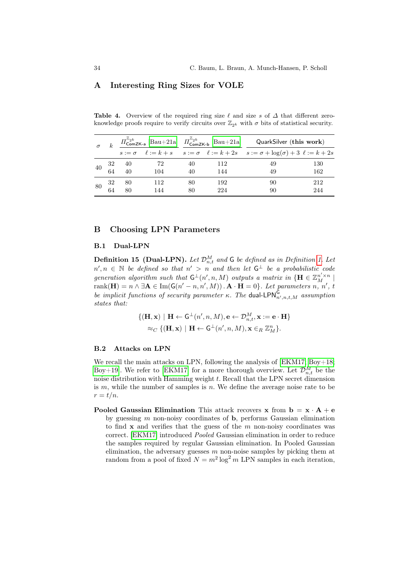# A Interesting Ring Sizes for VOLE

knowledge proofs require to verify circuits over  $\mathbb{Z}_{2^k}$  with  $\sigma$  bits of statistical security.  $\mathbb{Z}_{2^k}$  $\mathbb{Z}_{2^k}$ 

Table 4. Overview of the required ring size  $\ell$  and size s of  $\Delta$  that different zero-

| $\sigma$ |    |       |      |    |     | $\pi^{u_{2}k}_{\text{ComZK-a}}$ [Bau+21a] $\pi^{u_{2}k}_{\text{ComZK-b}}$ [Bau+21a] QuarkSilver (this work)    |     |
|----------|----|-------|------|----|-----|----------------------------------------------------------------------------------------------------------------|-----|
|          |    |       |      |    |     | $s := \sigma$ $\ell := k + s$ $s := \sigma$ $\ell := k + 2s$ $s := \sigma + \log(\sigma) + 3$ $\ell := k + 2s$ |     |
| 40       | 32 | - 40  | - 72 | 40 | 112 | 49                                                                                                             | 130 |
|          | 64 | $-40$ | 104  | 40 | 144 | 49                                                                                                             | 162 |
| -80      | 32 | - 80  | 112  | 80 | 192 | 90                                                                                                             | 212 |
|          | 64 | 80    | 144  | 80 | 224 | 90                                                                                                             | 244 |

# <span id="page-33-1"></span>B Choosing LPN Parameters

#### B.1 Dual-LPN

<span id="page-33-0"></span>**Definition 15 (Dual-LPN).** Let  $\mathcal{D}_{n,t}^M$  and G be defined as in Definition [1.](#page-7-2) Let  $n', n \in \mathbb{N}$  be defined so that  $n' > n$  and then let  $G^{\perp}$  be a probabilistic code generation algorithm such that  $\mathsf{G}^{\perp}(n', n, M)$  outputs a matrix in  $\{\mathbf{H} \in \mathbb{Z}_{M}^{n' \times n} \mid$ rank $(\mathbf{H}) = n \wedge \exists \mathbf{A} \in \text{Im}(\mathsf{G}(n'-n,n',M))$ .  $\mathbf{A} \cdot \mathbf{H} = 0$ . Let parameters n, n', t be implicit functions of security parameter  $\kappa$ . The dual-LPN $_{n',n,t,M}^{\mathsf{G}}$  assumption states that:

$$
\{(\mathbf{H}, \mathbf{x}) \mid \mathbf{H} \leftarrow \mathsf{G}^{\perp}(n', n, M), \mathbf{e} \leftarrow \mathcal{D}_{n,t}^{M}, \mathbf{x} := \mathbf{e} \cdot \mathbf{H}\}
$$

$$
\approx_C \{(\mathbf{H}, \mathbf{x}) \mid \mathbf{H} \leftarrow \mathsf{G}^{\perp}(n', n, M), \mathbf{x} \in_R \mathbb{Z}_M^n\}.
$$

# <span id="page-33-2"></span>B.2 Attacks on LPN

We recall the main attacks on LPN, following the analysis of [\[EKM17;](#page-31-14) [Boy+18;](#page-31-3) [Boy+19\]](#page-31-4). We refer to [\[EKM17\]](#page-31-14) for a more thorough overview. Let  $\mathcal{D}_{n,t}^M$  be the noise distribution with Hamming weight t. Recall that the LPN secret dimension is  $m$ , while the number of samples is  $n$ . We define the average noise rate to be  $r = t/n$ .

**Pooled Gaussian Elimination** This attack recovers x from  $\mathbf{b} = \mathbf{x} \cdot \mathbf{A} + \mathbf{e}$ by guessing  $m$  non-noisy coordinates of  $\mathbf b$ , performs Gaussian elimination to find  $x$  and verifies that the guess of the  $m$  non-noisy coordinates was correct. [\[EKM17\]](#page-31-14) introduced Pooled Gaussian elimination in order to reduce the samples required by regular Gaussian elimination. In Pooled Gaussian elimination, the adversary guesses  $m$  non-noise samples by picking them at random from a pool of fixed  $N = m^2 \log^2 m$  LPN samples in each iteration,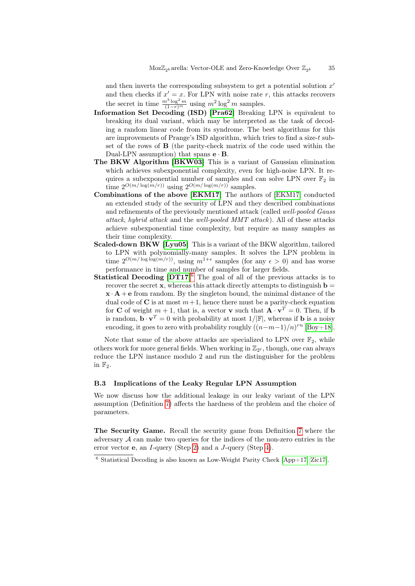and then inverts the corresponding subsystem to get a potential solution  $x'$ and then checks if  $x' = x$ . For LPN with noise rate r, this attacks recovers the secret in time  $\frac{m^3 \log^2 m}{(1-r)^m}$  using  $m^2 \log^2 m$  samples.

- Information Set Decoding (ISD) [\[Pra62\]](#page-32-11) Breaking LPN is equivalent to breaking its dual variant, which may be interpreted as the task of decoding a random linear code from its syndrome. The best algorithms for this are improvements of Prange's ISD algorithm, which tries to find a size-t subset of the rows of B (the parity-check matrix of the code used within the Dual-LPN assumption) that spans  $\mathbf{e} \cdot \mathbf{B}$ .
- The BKW Algorithm [\[BKW03\]](#page-31-15) This is a variant of Gaussian elimination which achieves subexponential complexity, even for high-noise LPN. It requires a subexponential number of samples and can solve LPN over  $\mathbb{F}_2$  in time  $2^{O(m/\log(m/r))}$  using  $2^{O(m/\log(m/r))}$  samples.
- Combinations of the above [\[EKM17\]](#page-31-14) The authors of [\[EKM17\]](#page-31-14) conducted an extended study of the security of LPN and they described combinations and refinements of the previously mentioned attack (called well-pooled Gauss attack, hybrid attack and the well-pooled MMT attack ). All of these attacks achieve subexponential time complexity, but require as many samples as their time complexity.
- Scaled-down BKW [\[Lyu05\]](#page-32-12) This is a variant of the BKW algorithm, tailored to LPN with polynomially-many samples. It solves the LPN problem in time  $2^{O(m/\log\log(m/r))}$ , using  $m^{1+\epsilon}$  samples (for any  $\epsilon > 0$ ) and has worse performance in time and number of samples for larger fields.
- Statistical Decoding [\[DT17\]](#page-31-16)<sup>[6](#page-34-1)</sup> The goal of all of the previous attacks is to recover the secret  $x$ , whereas this attack directly attempts to distinguish  $b =$  $\mathbf{x} \cdot \mathbf{A} + \mathbf{e}$  from random. By the singleton bound, the minimal distance of the dual code of C is at most  $m+1$ , hence there must be a parity-check equation for **C** of weight  $m + 1$ , that is, a vector **v** such that  $\mathbf{A} \cdot \mathbf{v}^T = 0$ . Then, if **b** is random,  $\mathbf{b} \cdot \mathbf{v}^T = 0$  with probability at most  $1/|\mathbb{F}|$ , whereas if **b** is a noisy encoding, it goes to zero with probability roughly  $((n-m-1)/n)^{rn}$  [\[Boy+18\]](#page-31-3).

Note that some of the above attacks are specialized to LPN over  $\mathbb{F}_2$ , while others work for more general fields. When working in  $\mathbb{Z}_{2^{\ell}}$ , though, one can always reduce the LPN instance modulo 2 and run the distinguisher for the problem in  $\mathbb{F}_2$ .

# <span id="page-34-0"></span>B.3 Implications of the Leaky Regular LPN Assumption

We now discuss how the additional leakage in our leaky variant of the LPN assumption (Definition [7\)](#page-16-1) affects the hardness of the problem and the choice of parameters.

The Security Game. Recall the security game from Definition [7](#page-16-1) where the adversary  $A$  can make two queries for the indices of the non-zero entries in the error vector e, an I-query (Step [2\)](#page-16-2) and a J-query (Step [4\)](#page-16-3).

<span id="page-34-1"></span> $6$  Statistical Decoding is also known as Low-Weight Parity Check [\[App+17;](#page-31-9) [Zic17\]](#page-32-7).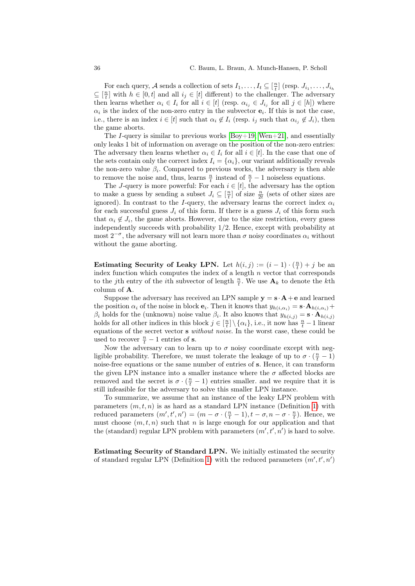For each query, A sends a collection of sets  $I_1, \ldots, I_t \subseteq [\frac{n}{t}]$  (resp.  $J_{i_1}, \ldots, J_{i_h}$  $\subseteq$   $\left[\frac{n}{t}\right]$  with  $h \in [0, t]$  and all  $i_j \in [t]$  different) to the challenger. The adversary then learns whether  $\alpha_i \in I_i$  for all  $i \in [t]$  (resp.  $\alpha_{i_j} \in J_{i_j}$  for all  $j \in [h]$ ) where  $\alpha_i$  is the index of the non-zero entry in the subvector  $e_i$ . If this is not the case, i.e., there is an index  $i \in [t]$  such that  $\alpha_i \notin I_i$  (resp.  $i_j$  such that  $\alpha_{i_j} \notin J_i$ ), then the game aborts.

The I-query is similar to previous works  $[Boy+19; Wen+21]$  $[Boy+19; Wen+21]$ , and essentially only leaks 1 bit of information on average on the position of the non-zero entries: The adversary then learns whether  $\alpha_i \in I_i$  for all  $i \in [t]$ . In the case that one of the sets contain only the correct index  $I_i = {\alpha_i}$ , our variant additionally reveals the non-zero value  $\beta_i$ . Compared to previous works, the adversary is then able to remove the noise and, thus, learns  $\frac{n}{t}$  instead of  $\frac{n}{t} - 1$  noiseless equations.

The J-query is more powerful: For each  $i \in [t]$ , the adversary has the option to make a guess by sending a subset  $J_i \subseteq \left[\frac{n}{t}\right]$  of size  $\frac{n}{2t}$  (sets of other sizes are ignored). In contrast to the I-query, the adversary learns the correct index  $\alpha_i$ for each successful guess  $J_i$  of this form. If there is a guess  $J_i$  of this form such that  $\alpha_i \notin J_i$ , the game aborts. However, due to the size restriction, every guess independently succeeds with probability 1/2. Hence, except with probability at most  $2^{-\sigma}$ , the adversary will not learn more than  $\sigma$  noisy coordinates  $\alpha_i$  without without the game aborting.

Estimating Security of Leaky LPN. Let  $h(i,j) := (i-1) \cdot (\frac{n}{t}) + j$  be an index function which computes the index of a length  $n$  vector that corresponds to the *j*th entry of the *i*<sup>th</sup> subvector of length  $\frac{n}{t}$ . We use  $\mathbf{A}_k$  to denote the *k*<sup>th</sup> column of A.

Suppose the adversary has received an LPN sample  $y = s \cdot A + e$  and learned the position  $\alpha_i$  of the noise in block  $\mathbf{e}_i$ . Then it knows that  $y_{h(i,\alpha_i)} = \mathbf{s} \cdot \mathbf{A}_{h(i,\alpha_i)} +$  $\beta_i$  holds for the (unknown) noise value  $\beta_i$ . It also knows that  $y_{h(i,j)} = \mathbf{s} \cdot \mathbf{A}_{h(i,j)}$ holds for all other indices in this block  $j \in \left[\frac{n}{t}\right] \setminus \{\alpha_i\}$ , i.e., it now has  $\frac{n}{t} - 1$  linear equations of the secret vector s without noise. In the worst case, these could be used to recover  $\frac{n}{t} - 1$  entries of s.

Now the adversary can to learn up to  $\sigma$  noisy coordinate except with negligible probability. Therefore, we must tolerate the leakage of up to  $\sigma \cdot (\frac{n}{t} - 1)$ noise-free equations or the same number of entries of s. Hence, it can transform the given LPN instance into a smaller instance where the  $\sigma$  affected blocks are removed and the secret is  $\sigma \cdot (\frac{n}{t} - 1)$  entries smaller. and we require that it is still infeasible for the adversary to solve this smaller LPN instance.

To summarize, we assume that an instance of the leaky LPN problem with parameters  $(m, t, n)$  is as hard as a standard LPN instance (Definition [1\)](#page-7-2) with reduced parameters  $(m', t', n') = (m - \sigma \cdot (\frac{n}{t} - 1), t - \sigma, n - \sigma \cdot \frac{n}{t})$ . Hence, we must choose  $(m, t, n)$  such that n is large enough for our application and that the (standard) regular LPN problem with parameters  $(m', t', n')$  is hard to solve.

Estimating Security of Standard LPN. We initially estimated the security of standard regular LPN (Definition [1\)](#page-7-2) with the reduced parameters  $(m', t', n')$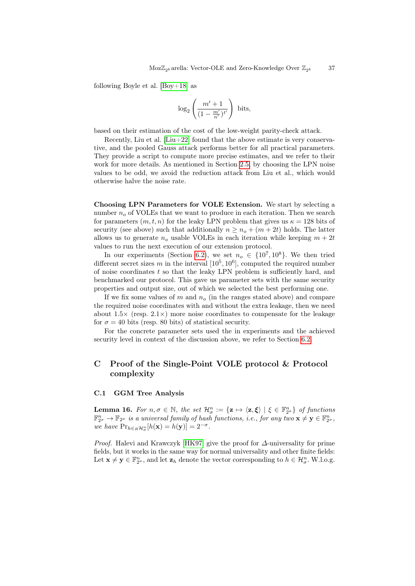following Boyle et al.  $[Boy+18]$  as

$$
\log_2\left(\frac{m'+1}{(1-\frac{m'}{n'})^{t'}}\right) \text{ bits},
$$

based on their estimation of the cost of the low-weight parity-check attack.

Recently, Liu et al.  $[Liu+22]$  found that the above estimate is very conservative, and the pooled Gauss attack performs better for all practical parameters. They provide a script to compute more precise estimates, and we refer to their work for more details. As mentioned in Section [2.5,](#page-7-3) by choosing the LPN noise values to be odd, we avoid the reduction attack from Liu et al., which would otherwise halve the noise rate.

Choosing LPN Parameters for VOLE Extension. We start by selecting a number  $n<sub>o</sub>$  of VOLEs that we want to produce in each iteration. Then we search for parameters  $(m, t, n)$  for the leaky LPN problem that gives us  $\kappa = 128$  bits of security (see above) such that additionally  $n \geq n_o + (m + 2t)$  holds. The latter allows us to generate  $n<sub>o</sub>$  usable VOLEs in each iteration while keeping  $m + 2t$ values to run the next execution of our extension protocol.

In our experiments (Section [6.2\)](#page-25-1), we set  $n_o \in \{10^7, 10^8\}$ . We then tried different secret sizes m in the interval  $[10^5, 10^6]$ , computed the required number of noise coordinates  $t$  so that the leaky LPN problem is sufficiently hard, and benchmarked our protocol. This gave us parameter sets with the same security properties and output size, out of which we selected the best performing one.

If we fix some values of m and  $n<sub>o</sub>$  (in the ranges stated above) and compare the required noise coordinates with and without the extra leakage, then we need about  $1.5\times$  (resp.  $2.1\times$ ) more noise coordinates to compensate for the leakage for  $\sigma = 40$  bits (resp. 80 bits) of statistical security.

For the concrete parameter sets used the in experiments and the achieved security level in context of the discussion above, we refer to Section [6.2.](#page-25-1)

# <span id="page-36-0"></span>C Proof of the Single-Point VOLE protocol & Protocol complexity

## C.1 GGM Tree Analysis

<span id="page-36-1"></span>**Lemma 16.** For  $n, \sigma \in \mathbb{N}$ , the set  $\mathcal{H}^n_{\sigma} := {\mathbf{z} \mapsto \langle \mathbf{z}, \boldsymbol{\xi} \rangle \mid \xi \in \mathbb{F}_{2^{\sigma}}^n}$  of functions  $\mathbb{F}_{2^{\sigma}}^n \to \mathbb{F}_{2^{\sigma}}$  is a universal family of hash functions, i.e., for any two  $\mathbf{x} \neq \mathbf{y} \in \mathbb{F}_{2^{\sigma}}^n$ , we have  $Pr_{h \in_R \mathcal{H}_{\sigma}^n}[h(\mathbf{x}) = h(\mathbf{y})] = 2^{-\sigma}$ .

Proof. Halevi and Krawczyk [\[HK97\]](#page-32-13) give the proof for ∆-universality for prime fields, but it works in the same way for normal universality and other finite fields: Let  $\mathbf{x} \neq \mathbf{y} \in \mathbb{F}_{2^{\sigma}}^n$ , and let  $\mathbf{z}_h$  denote the vector corresponding to  $h \in \mathcal{H}_\sigma^n$ . W.l.o.g.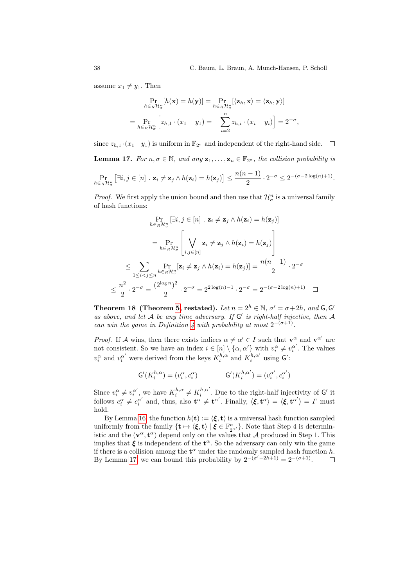assume  $x_1 \neq y_1$ . Then

$$
\Pr_{h \in_R \mathcal{H}_\sigma^n} [h(\mathbf{x}) = h(\mathbf{y})] = \Pr_{h \in_R \mathcal{H}_\sigma^n} [\langle \mathbf{z}_h, \mathbf{x} \rangle = \langle \mathbf{z}_h, \mathbf{y} \rangle]
$$
  
= 
$$
\Pr_{h \in_R \mathcal{H}_\sigma^n} [z_{h,1} \cdot (x_1 - y_1) = -\sum_{i=2}^n z_{h,i} \cdot (x_i - y_i)] = 2^{-\sigma},
$$

<span id="page-37-0"></span>since  $z_{h,1} \cdot (x_1-y_1)$  is uniform in  $\mathbb{F}_{2^{\sigma}}$  and independent of the right-hand side.  $\Box$ **Lemma 17.** For  $n, \sigma \in \mathbb{N}$ , and any  $\mathbf{z}_1, \ldots, \mathbf{z}_n \in \mathbb{F}_{2^{\sigma}}$ , the collision probability is  $n(n-1)$ 

$$
\Pr_{h \in_R \mathcal{H}_\sigma^n} \left[ \exists i, j \in [n] \; : \; \mathbf{z}_i \neq \mathbf{z}_j \land h(\mathbf{z}_i) = h(\mathbf{z}_j) \right] \leq \frac{n(n-1)}{2} \cdot 2^{-\sigma} \leq 2^{-(\sigma - 2\log(n) + 1)}.
$$

*Proof.* We first apply the union bound and then use that  $\mathcal{H}_{\sigma}^{n}$  is a universal family of hash functions:

$$
\Pr_{h \in_R \mathcal{H}_{\sigma}^n} [\exists i, j \in [n] \cdot \mathbf{z}_i \neq \mathbf{z}_j \wedge h(\mathbf{z}_i) = h(\mathbf{z}_j)]
$$
\n
$$
= \Pr_{h \in_R \mathcal{H}_{\sigma}^n} \left[ \bigvee_{i,j \in [n]} \mathbf{z}_i \neq \mathbf{z}_j \wedge h(\mathbf{z}_i) = h(\mathbf{z}_j) \right]
$$
\n
$$
\leq \sum_{1 \leq i < j \leq n} \Pr_{h \in_R \mathcal{H}_{\sigma}^n} [\mathbf{z}_i \neq \mathbf{z}_j \wedge h(\mathbf{z}_i) = h(\mathbf{z}_j)] = \frac{n(n-1)}{2} \cdot 2^{-\sigma}
$$
\n
$$
\leq \frac{n^2}{2} \cdot 2^{-\sigma} = \frac{(2^{\log n})^2}{2} \cdot 2^{-\sigma} = 2^{2\log(n)-1} \cdot 2^{-\sigma} = 2^{-(\sigma - 2\log(n)+1)} \quad \Box
$$

Theorem 18 (Theorem [5,](#page-15-1) restated). Let  $n = 2<sup>h</sup> \in \mathbb{N}$ ,  $\sigma' = \sigma + 2h$ , and G, G' as above, and let  $A$  be any time adversary. If  $G'$  is right-half injective, then  $A$ can win the game in Definition [4](#page-14-0) with probability at most  $2^{-(\sigma+1)}$ .

*Proof.* If A wins, then there exists indices  $\alpha \neq \alpha' \in I$  such that  $\mathbf{v}^{\alpha}$  and  $\mathbf{v}^{\alpha'}$  are not consistent. So we have an index  $i \in [n] \setminus {\alpha, \alpha'}$  with  $v_i^{\alpha} \neq v_i^{\alpha'}$ . The values  $v_i^{\alpha}$  and  $v_i^{\alpha'}$  were derived from the keys  $K_i^{h,\alpha}$  and  $K_i^{h,\alpha'}$  using  $\mathsf{G}'$ :

$$
\mathsf{G}'(K_i^{h,\alpha})=(v_i^\alpha,c_i^\alpha)\qquad \qquad \mathsf{G}'(K_i^{h,\alpha'})=(v_i^{\alpha'},c_i^{\alpha'})
$$

Since  $v_i^{\alpha} \neq v_i^{\alpha'}$ , we have  $K_i^{h,\alpha} \neq K_i^{h,\alpha'}$ . Due to the right-half injectivity of G' it follows  $c_i^{\alpha} \neq c_i^{\alpha'}$  and, thus, also  $\mathbf{t}^{\alpha} \neq \mathbf{t}^{\alpha'}$ . Finally,  $\langle \boldsymbol{\xi}, \mathbf{t}^{\alpha} \rangle = \langle \boldsymbol{\xi}, \mathbf{t}^{\alpha'} \rangle = \Gamma$  must hold.

By Lemma [16,](#page-36-1) the function  $h(\mathbf{t}) := \langle \boldsymbol{\xi}, \mathbf{t} \rangle$  is a universal hash function sampled uniformly from the family  $\{t \mapsto \langle \xi, t \rangle \mid \xi \in \mathbb{F}_{2^{\sigma'}}^n\}$ . Note that Step 4 is deterministic and the  $(v^{\alpha}, t^{\alpha})$  depend only on the values that A produced in Step 1. This implies that  $\xi$  is independent of the  $t^{\alpha}$ . So the adversary can only win the game if there is a collision among the  $\mathbf{t}^{\alpha}$  under the randomly sampled hash function h. By Lemma [17,](#page-37-0) we can bound this probability by  $2^{-(\sigma'-2h+1)} = 2^{-(\sigma+1)}$ .  $\Box$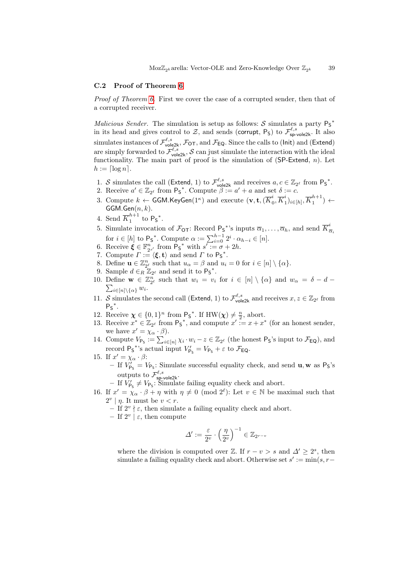#### C.2 Proof of Theorem [6](#page-15-0)

Proof of Theorem [6.](#page-15-0) First we cover the case of a corrupted sender, then that of a corrupted receiver.

Malicious Sender. The simulation is setup as follows:  $S$  simulates a party  $P_S^*$ in its head and gives control to  $\mathcal{Z}$ , and sends (corrupt, P<sub>S</sub>) to  $\mathcal{F}_{\text{sp-vole2k}}^{\ell,s}$ . It also simulates instances of  $\mathcal{F}^{\ell,s}_{\mathsf{vole2k}},\mathcal{F}_\mathsf{OT},$  and  $\mathcal{F}_\mathsf{EQ}.$  Since the calls to (Init) and (Extend) are simply forwarded to  $\mathcal{F}^{\ell,s}_{\text{vole2k}}$ , S can just simulate the interaction with the ideal functionality. The main part of proof is the simulation of  $(SP\text{-}Extend, n)$ . Let  $h := \lceil \log n \rceil$ .

- 1. S simulates the call (Extend, 1) to  $\mathcal{F}_{\text{vole2k}}^{\ell,s}$  and receives  $a, c \in \mathbb{Z}_{2^{\ell}}$  from  $\mathsf{P}_{\mathsf{S}}^*$ .
- <span id="page-38-3"></span>2. Receive  $a' \in \mathbb{Z}_{2^{\ell}}$  from  $\mathsf{P}_{\mathsf{S}}^*$ . Compute  $\beta := a' + a$  and set  $\delta := c$ .
- 3. Compute  $k \leftarrow \textsf{GGM.KeyGen}(1^\kappa)$  and execute  $(\mathbf{v}, \mathbf{t}, \vec{K}_0^i)$  $i\overline{K}_0^i$  $\{i_1\}_{i\in[h]}, \overline{K}_1^{h+1}$  $\binom{n+1}{1}$   $\leftarrow$  $GGM.Gen(n, k).$
- 4. Send  $\overline{K}_1^{h+1}$  $n+1 \atop 1$  to  $P_S^*$ .
- <span id="page-38-1"></span>5. Simulate invocation of  $\mathcal{F}_{\text{OT}}$ : Record  $\mathsf{P}_{\text{S}}^*$ 's inputs  $\overline{\alpha}_1,\ldots,\overline{\alpha}_h$ , and send  $\overline{K}_\overline{\alpha}^*$  $\overline{\alpha}_i$ for  $i \in [h]$  to  $\mathsf{P}_{\mathsf{S}}^*$ . Compute  $\alpha := \sum_{i=0}^{h-1} 2^i \cdot \alpha_{h-i} \in [n]$ .
- 6. Receive  $\boldsymbol{\xi} \in \mathbb{F}_{2^{s'}}^n$  from  $\mathsf{P}_{\mathsf{S}}^*$  with  $s' := \sigma + 2h$ .
- 7. Compute  $\Gamma := \langle \boldsymbol{\xi}, \mathbf{t} \rangle$  and send  $\Gamma$  to  $\mathsf{P}_{\mathsf{S}}^*$ .
- 8. Define  $\mathbf{u} \in \mathbb{Z}_{2^{\ell}}^n$  such that  $u_{\alpha} = \beta$  and  $u_i = 0$  for  $i \in [n] \setminus {\{\alpha\}}$ .
- 9. Sample  $d \in_R \mathbb{Z}_{2^{\ell}}$  and send it to  $\mathsf{P}_{\mathsf{S}}^*$ .
- 10. Define  $\mathbf{w} \in \mathbb{Z}_{2^{\ell}}^n$  such that  $w_i = v_i$  for  $i \in [n] \setminus \{\alpha\}$  and  $w_{\alpha} = \delta d \sum_{i \in [n] \setminus \{\alpha\}} w_i$ .  $i\in[n]\backslash\{\alpha\}$   $w_i$ .
- 11. S simulates the second call (Extend, 1) to  $\mathcal{F}_{\text{vole2k}}^{\ell,s}$  and receives  $x, z \in \mathbb{Z}_{2^{\ell}}$  from  $P_S^*$ .
- <span id="page-38-2"></span>12. Receive  $\boldsymbol{\chi} \in \{0,1\}^n$  from  $\mathsf{P}_{\mathsf{S}}^*$ . If  $\text{HW}(\boldsymbol{\chi}) \neq \frac{n}{2}$ , abort.
- <span id="page-38-0"></span>13. Receive  $x^* \in \mathbb{Z}_{2^{\ell}}$  from  $\mathsf{P}_{\mathsf{S}}^*$ , and compute  $x' := x + x^*$  (for an honest sender, we have  $x' = \chi_{\alpha} \cdot \beta$ .
- 14. Compute  $V_{\mathsf{Ps}} := \sum_{i \in [n]} \chi_i \cdot w_i z \in \mathbb{Z}_{2^{\ell}}$  (the honest  $\mathsf{Ps}$ 's input to  $\mathcal{F}_{\mathsf{EQ}}$ ), and record  $P_S^*$ 's actual input  $V'_{P_S} = V_{P_S} + \varepsilon$  to  $\mathcal{F}_{EQ}$ .
- <span id="page-38-4"></span>15. If  $x' = \chi_{\alpha} \cdot \beta$ : – If  $V'_{\mathsf{P}_\mathsf{S}} = V_{\mathsf{P}_\mathsf{S}}$ : Simulate successful equality check, and send **u**, **w** as  $\mathsf{P}_\mathsf{S}$ 's outputs to  $\mathcal{F}^{\ell,s}_{\mathsf{sp}\text{-}\mathsf{vole2k}}.$ 
	- If  $V_{\mathsf{P}_\mathsf{S}} \neq V_{\mathsf{P}_\mathsf{S}}$ : Simulate failing equality check and abort.
- <span id="page-38-5"></span>16. If  $x' = \chi_{\alpha} \cdot \beta + \eta$  with  $\eta \neq 0 \pmod{2^{\ell}}$ : Let  $v \in \mathbb{N}$  be maximal such that  $2^v \mid \eta$ . It must be  $v < r$ .
	- $-$  If  $2^v \nmid \varepsilon$ , then simulate a failing equality check and abort.
	- $-$  If  $2^v$   $\epsilon$ , then compute

$$
\varDelta':=\frac{\varepsilon}{2^v}\cdot\left(\frac{\eta}{2^v}\right)^{-1}\in\mathbb{Z}_{2^{r-v}}
$$

where the division is computed over  $\mathbb{Z}$ . If  $r - v > s$  and  $\Delta' \geq 2^s$ , then simulate a failing equality check and abort. Otherwise set  $s' := min(s, r -$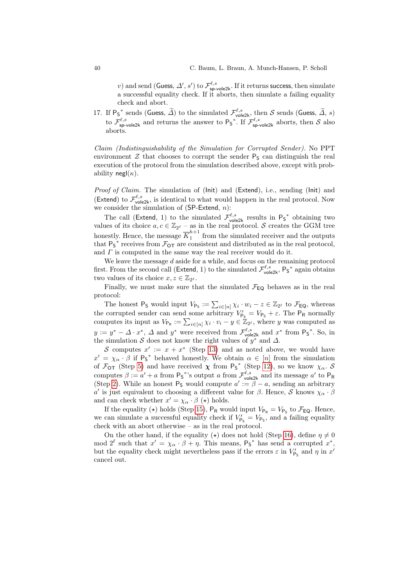v) and send (Guess,  $\Delta'$ , s') to  $\mathcal{F}^{\ell,s}_{sp\text{-}\mathsf{vole2k}}$ . If it returns success, then simulate a successful equality check. If it aborts, then simulate a failing equality check and abort.

17. If  $\mathsf{P}_{\mathsf{S}}^*$  sends (Guess,  $\widetilde{\Delta}$ ) to the simulated  $\mathcal{F}_{\mathsf{vole2k}}^{\ell,s}$ , then S sends (Guess,  $\widetilde{\Delta}$ , s) to  $\mathcal{F}^{\ell,s}_{\mathsf{sp}\text{-}\mathsf{vole2k}}$  and returns the answer to  $\mathsf{P}_{\mathsf{S}}^*$ . If  $\mathcal{F}^{\ell,s}_{\mathsf{sp}\text{-}\mathsf{vole2k}}$  aborts, then S also aborts.

Claim (Indistinguishability of the Simulation for Corrupted Sender). No PPT environment  $\mathcal Z$  that chooses to corrupt the sender  $\mathsf P_{\mathsf S}$  can distinguish the real execution of the protocol from the simulation described above, except with probability negl $(\kappa)$ .

Proof of Claim. The simulation of (Init) and (Extend), i.e., sending (Init) and (Extend) to  $\mathcal{F}_{\text{vole2k}}^{\ell,s}$ , is identical to what would happen in the real protocol. Now we consider the simulation of  $(SP\text{-}Extend, n)$ :

The call (Extend, 1) to the simulated  $\mathcal{F}_{\text{vole2k}}^{\ell,s}$  results in  $\mathsf{P}_{\mathsf{S}}^*$  obtaining two values of its choice  $a, c \in \mathbb{Z}_{2^{\ell}}$  – as in the real protocol. S creates the GGM tree honestly. Hence, the message  $\overline{K}_1^{h+1}$  $\frac{n+1}{1}$  from the simulated receiver and the outputs that  $P_S^*$  receives from  $\mathcal{F}_{OT}$  are consistent and distributed as in the real protocol, and  $\Gamma$  is computed in the same way the real receiver would do it.

We leave the message d aside for a while, and focus on the remaining protocol first. From the second call (Extend, 1) to the simulated  $\mathcal{F}^{\ell,s}_{\text{vole2k}}$ ,  $\mathsf{P}_{\mathsf{S}}^*$  again obtains two values of its choice  $x, z \in \mathbb{Z}_{2^{\ell}}$ .

Finally, we must make sure that the simulated  $\mathcal{F}_{EQ}$  behaves as in the real protocol:

The honest  $P_S$  would input  $V_{P_S} := \sum_{i \in [n]} \chi_i \cdot w_i - z \in \mathbb{Z}_{2^{\ell}}$  to  $\mathcal{F}_{EQ}$ , whereas the corrupted sender can send some arbitrary  $V'_{\text{Ps}} = V_{\text{Ps}} + \varepsilon$ . The  $\text{P}_{\text{R}}$  normally computes its input as  $V_{\mathsf{P}_{\mathsf{R}}} := \sum_{i \in [n]} \chi_i \cdot v_i - y \in \mathbb{Z}_{2^{\ell}}$ , where y was computed as  $y := y^* - \Delta \cdot x^*$ ,  $\Delta$  and  $y^*$  were received from  $\mathcal{F}_{\text{vole2k}}^{\ell,s}$  and  $x^*$  from  $\mathsf{P}_{\mathsf{S}}^*$ . So, in the simulation S does not know the right values of  $y^*$  and  $\Delta$ .

S computes  $x' := x + x^*$  (Step [13\)](#page-38-0) and as noted above, we would have  $x' = \chi_{\alpha} \cdot \beta$  if  $\mathsf{P}_{\mathsf{S}}^*$  behaved honestly. We obtain  $\alpha \in [n]$  from the simulation of  $\mathcal{F}_{OT}$  (Step [5\)](#page-38-1) and have received  $\chi$  from  $P_5^*$  (Step [12\)](#page-38-2), so we know  $\chi_{\alpha}$ . S computes  $\beta := a' + a$  from  $P_5^*$ 's output a from  $\mathcal{F}_{\text{vole2k}}^{\ell,s}$  and its message  $a'$  to  $P_R$ (Step [2\)](#page-38-3). While an honest  $P_5$  would compute  $a' := \beta - a$ , sending an arbitrary α' is just equivalent to choosing a different value for  $β$ . Hence,  $\mathcal{S}$  knows  $\chi_{\alpha} \cdot β$ and can check whether  $x' = \chi_{\alpha} \cdot \beta (\star)$  holds.

If the equality ( $\star$ ) holds (Step [15\)](#page-38-4),  $P_R$  would input  $V_{P_R} = V_{P_S}$  to  $\mathcal{F}_{EQ}$ . Hence, we can simulate a successful equality check if  $V'_{\mathsf{P}_\mathsf{S}} = V_{\mathsf{P}_\mathsf{S}}$ , and a failing equality check with an abort otherwise – as in the real protocol.

On the other hand, if the equality ( $\star$ ) does not hold (Step [16\)](#page-38-5), define  $\eta \neq 0$ mod  $2^{\ell}$  such that  $x' = \chi_{\alpha} \cdot \beta + \eta$ . This means,  $P_5^*$  has send a corrupted  $x^*$ , but the equality check might nevertheless pass if the errors  $\varepsilon$  in  $V'_{\mathsf{P}_\mathsf{S}}$  and  $\eta$  in  $x'$ cancel out.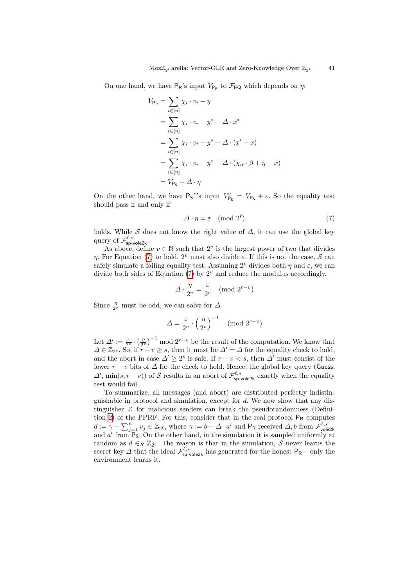On one hand, we have  $P_R$ 's input  $V_{P_R}$  to  $\mathcal{F}_{EQ}$  which depends on  $\eta$ :

$$
V_{\mathsf{P}_{\mathsf{R}}} = \sum_{i \in [n]} \chi_i \cdot v_i - y
$$
  
= 
$$
\sum_{i \in [n]} \chi_i \cdot v_i - y^* + \Delta \cdot x^*
$$
  
= 
$$
\sum_{i \in [n]} \chi_i \cdot v_i - y^* + \Delta \cdot (x' - x)
$$
  
= 
$$
\sum_{i \in [n]} \chi_i \cdot v_i - y^* + \Delta \cdot (\chi_\alpha \cdot \beta + \eta - x)
$$
  
= 
$$
V_{\mathsf{P}_{\mathsf{S}}} + \Delta \cdot \eta
$$

On the other hand, we have  $P_S^*$ 's input  $V'_{P_S} = V_{P_S} + \varepsilon$ . So the equality test should pass if and only if

<span id="page-40-0"></span>
$$
\Delta \cdot \eta = \varepsilon \pmod{2^{\ell}} \tag{7}
$$

holds. While S does not know the right value of  $\Delta$ , it can use the global key query of  $\mathcal{F}^{\ell,s}_{\mathsf{sp}\text{-}\mathsf{vole2k}}.$ 

As above, define  $v \in \mathbb{N}$  such that  $2^v$  is the largest power of two that divides η. For Equation [\(7\)](#page-40-0) to hold,  $2^v$  must also divide  $\varepsilon$ . If this is not the case, S can safely simulate a failing equality test. Assuming  $2^v$  divides both  $\eta$  and  $\varepsilon$ , we can divide both sides of Equation  $(7)$  by  $2^v$  and reduce the modulus accordingly.

$$
\Delta \cdot \frac{\eta}{2^v} = \frac{\varepsilon}{2^v} \pmod{2^{r-v}}
$$

Since  $\frac{\eta}{2^{\nu}}$  must be odd, we can solve for  $\Delta$ .

$$
\Delta = \frac{\varepsilon}{2^v} \cdot \left(\frac{\eta}{2^v}\right)^{-1} \pmod{2^{r-v}}
$$

Let  $\Delta' := \frac{\varepsilon}{2^v} \cdot \left(\frac{\eta}{2^v}\right)^{-1}$  mod  $2^{r-v}$  be the result of the computation. We know that  $\Delta \in \mathbb{Z}_{2^s}$ . So, if  $r - v \geq s$ , then it must be  $\Delta' = \Delta$  for the equality check to hold, and the abort in case  $\Delta' \geq 2^s$  is safe. If  $r - v < s$ , then  $\Delta'$  must consist of the lower  $r - v$  bits of  $\Delta$  for the check to hold. Hence, the global key query (Guess,  $\Delta'$ , min $(s, r - v)$  of S results in an abort of  $\mathcal{F}_{\text{sp-vole2k}}^{\ell,s}$  exactly when the equality test would fail.

To summarize, all messages (and abort) are distributed perfectly indistinguishable in protocol and simulation, except for d. We now show that any distinguisher  $\mathcal Z$  for malicious senders can break the pseudorandomness (Defini-tion [2\)](#page-12-2) of the PPRF. For this, consider that in the real protocol  $P_R$  computes  $d := \gamma - \sum_{j=1}^{n} v_j \in \mathbb{Z}_{2^{\ell}}$ , where  $\gamma := b - \Delta \cdot a'$  and  $P_R$  received  $\Delta, b$  from  $\mathcal{F}_{\text{vole2k}}^{\ell,s}$  and  $a'$  from  $P_S$ . On the other hand, in the simulation it is sampled uniformly at random as  $d \in_R \mathbb{Z}_{2^{\ell}}$ . The reason is that in the simulation,  $S$  never learns the secret key  $\Delta$  that the ideal  $\mathcal{F}^{\ell,s}_{\text{sp-vole2k}}$  has generated for the honest  $P_R$  – only the environment learns it.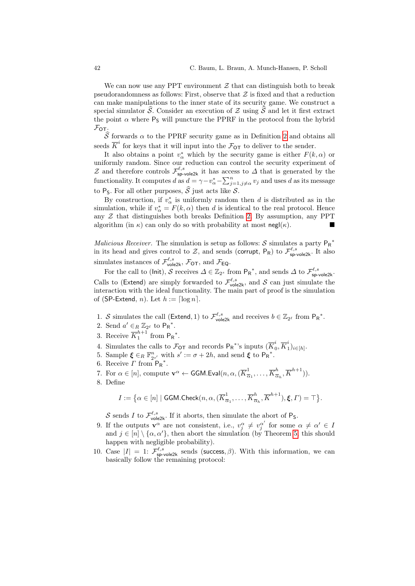We can now use any PPT environment  $\mathcal Z$  that can distinguish both to break pseudorandomness as follows: First, observe that  $\mathcal Z$  is fixed and that a reduction can make manipulations to the inner state of its security game. We construct a special simulator  $\widehat{\mathcal{S}}$ . Consider an execution of Z using  $\widehat{\mathcal{S}}$  and let it first extract the point  $\alpha$  where  $P_S$  will puncture the PPRF in the protocol from the hybrid  $\mathcal{F}_{\text{OT}}$ .

 $\widehat{S}$  forwards  $\alpha$  to the PPRF security game as in Definition [2](#page-12-2) and obtains all seeds  $\overline{K}^i$  for keys that it will input into the  $\mathcal{F}_{\text{OT}}$  to deliver to the sender.

It also obtains a point  $v^*_{\alpha}$  which by the security game is either  $F(k, \alpha)$  or uniformly random. Since our reduction can control the security experiment of Z and therefore controls  $\mathcal{F}^{\ell,s}_{sp\text{-}v \text{ole2k}}$  it has access to  $\Delta$  that is generated by the functionality. It computes d as  $d = \gamma - v^*_{\alpha} - \sum_{j=1, j\neq \alpha}^n v_j$  and uses d as its message to P<sub>S</sub>. For all other purposes,  $\widehat{S}$  just acts like S.

By construction, if  $v^*_{\alpha}$  is uniformly random then d is distributed as in the simulation, while if  $v^*_{\alpha} = F(k, \alpha)$  then d is identical to the real protocol. Hence any  $\mathcal Z$  that distinguishes both breaks Definition [2.](#page-12-2) By assumption, any PPT algorithm (in  $\kappa$ ) can only do so with probability at most negl( $\kappa$ ).

*Malicious Receiver*. The simulation is setup as follows:  $S$  simulates a party  $P_R^*$ in its head and gives control to  $Z$ , and sends (corrupt,  $P_R$ ) to  $\mathcal{F}_{sp-vole2k}^{\ell,s}$ . It also simulates instances of  $\mathcal{F}_{\text{vole2k}}^{\ell,s}$ ,  $\mathcal{F}_{\text{OT}}$ , and  $\mathcal{F}_{\text{EQ}}$ .

For the call to (lnit), S receives  $\Delta \in \mathbb{Z}_{2^s}$  from  $P_R^*$ , and sends  $\Delta$  to  $\mathcal{F}_{sp\text{-}vole2k}^{\ell,s}$ . Calls to (Extend) are simply forwarded to  $\mathcal{F}^{\ell,s}_{\text{vole2k}}$ , and S can just simulate the interaction with the ideal functionality. The main part of proof is the simulation of (SP-Extend, *n*). Let  $h := \lceil \log n \rceil$ .

- 1. S simulates the call (Extend, 1) to  $\mathcal{F}_{\text{vole2k}}^{\ell,s}$  and receives  $b \in \mathbb{Z}_{2^{\ell}}$  from  $P_R^*$ .
- <span id="page-41-0"></span>2. Send  $a' \in_R \mathbb{Z}_{2^{\ell}}$  to  $P_R^*$ .
- <span id="page-41-2"></span>3. Receive  $\overline{K}_1^{h+1}$  $\int_1^{h+1}$  from  $P_R^*$ .
- 4. Simulates the calls to  $\mathcal{F}_{\text{OT}}$  and records  $\mathsf{P}_{\mathsf{R}}^*$ 's inputs  $(\overline{K}_{0}^i)$  $i\overline{0},\overline{K}^i_1$  $i_{1}^{i})_{i\in[h]}$ .
- <span id="page-41-4"></span>5. Sample  $\xi \in_R \mathbb{F}_{2s'}^n$  with  $s' := \sigma + 2h$ , and send  $\xi$  to  $\mathsf{P}_{\mathsf{R}}^*$ .
- <span id="page-41-3"></span>6. Receive  $\Gamma$  from  $P_R^*$ .
- 7. For  $\alpha \in [n]$ , compute  $\mathbf{v}^{\alpha} \leftarrow \mathsf{GGM}$ . Eval $(n, \alpha, (\overline{K}_{\overline{\alpha}}^{1}))$  $\frac{1}{\overline{\alpha}_1},\ldots,\overline{K}_{\overline{\alpha}}^h$  $\frac{h}{\overline{\alpha}_h}, \overline{K}^{h+1})$ ).
- <span id="page-41-5"></span>8. Define

$$
I := \big\{ \alpha \in [n] \mid \mathsf{GGM}.\mathsf{Check}(n, \alpha, (\overline{K}^1_{\overline{\alpha}_1}, \dots, \overline{K}^h_{\overline{\alpha}_h}, \overline{K}^{h+1}), \xi, \Gamma) = \top \big\}.
$$

S sends I to  $\mathcal{F}_{\text{vole2k}}^{\ell,s}$ . If it aborts, then simulate the abort of P<sub>S</sub>.

- <span id="page-41-6"></span>9. If the outputs  $\mathbf{v}^{\alpha}$  are not consistent, i.e.,  $v_j^{\alpha} \neq v_j^{\alpha'}$  for some  $\alpha \neq \alpha' \in I$ and  $j \in [n] \setminus {\alpha, \alpha'}$ , then abort the simulation (by Theorem [5,](#page-15-1) this should happen with negligible probability).
- <span id="page-41-1"></span>10. Case  $|I| = 1$ :  $\mathcal{F}_{\text{sp-vole2k}}^{\ell,s}$  sends (success,  $\beta$ ). With this information, we can basically follow the remaining protocol: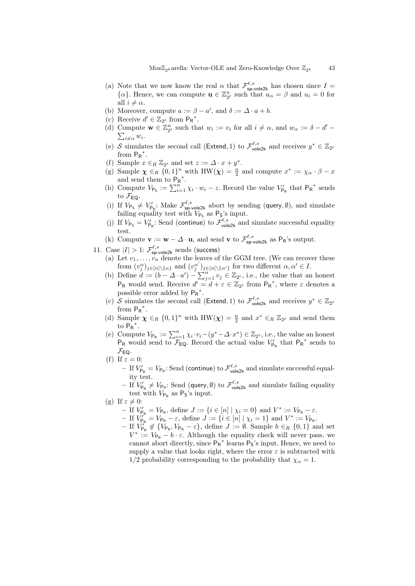- <span id="page-42-0"></span>(a) Note that we now know the real  $\alpha$  that  $\mathcal{F}^{\ell,s}_{sp\text{-}\mathsf{vole2k}}$  has chosen since  $I =$  $\{\alpha\}$ . Hence, we can compute  $\mathbf{u} \in \mathbb{Z}_{2^{\ell}}^n$  such that  $u_{\alpha} = \beta$  and  $u_i = 0$  for all  $i \neq \alpha$ .
- <span id="page-42-1"></span>(b) Moreover, compute  $a := \beta - a'$ , and  $\delta := \Delta \cdot a + b$ .
- (c) Receive  $d' \in \mathbb{Z}_{2^{\ell}}$  from  $P_{R}^*$ .
- <span id="page-42-2"></span>(d) Compute  $\mathbf{w} \in \mathbb{Z}_{2^{\ell}}^n$  such that  $w_i := v_i$  for all  $i \neq \alpha$ , and  $w_{\alpha} := \delta - d'$  $\sum_{i\neq\alpha}w_i.$
- (e) S simulates the second call (Extend, 1) to  $\mathcal{F}^{\ell,s}_{\text{vole2k}}$  and receives  $y^* \in \mathbb{Z}_{2^{\ell}}$ from  $P_R^*$ .
- (f) Sample  $x \in_R \mathbb{Z}_{2^{\ell}}$  and set  $z := \Delta \cdot x + y^*$ .
- (g) Sample  $\chi \in_R \{0,1\}^n$  with  $HW(\chi) = \frac{n}{2}$  and compute  $x^* := \chi_\alpha \cdot \beta x$ and send them to  $\overline{P}_R^*$ .
- (h) Compute  $V_{\mathsf{Ps}} := \sum_{i=1}^n \chi_i \cdot w_i z$ . Record the value  $V'_{\mathsf{Ps}}$  that  $\mathsf{Ps}^*$  sends to  $\mathcal{F}_{FO}$ .
- (i) If  $V_{\mathsf{P}_\mathsf{S}} \neq V'_{\mathsf{P}_\mathsf{R}}$ : Make  $\mathcal{F}_{\mathsf{sp}\text{-}\mathsf{vole2k}}^{\ell,s}$  abort by sending (query,  $\emptyset$ ), and simulate failing equality test with  $V_{\mathsf{P}_\mathsf{S}}$  as  $\mathsf{P}_\mathsf{S}$ 's input.
- (j) If  $V_{\mathsf{Ps}} = V'_{\mathsf{Ps}}$ : Send (continue) to  $\mathcal{F}_{\mathsf{vole2k}}^{\ell,s}$  and simulate successful equality test.
- <span id="page-42-3"></span>(k) Compute  $\mathbf{v} := \mathbf{w} - \Delta \cdot \mathbf{u}$ , and send  $\mathbf{v}$  to  $\mathcal{F}^{\ell,s}_{\mathsf{sp-vole2k}}$  as  $P_R$ 's output.
- <span id="page-42-9"></span><span id="page-42-8"></span><span id="page-42-7"></span><span id="page-42-6"></span><span id="page-42-5"></span><span id="page-42-4"></span>11. Case  $|I| > 1$ :  $\mathcal{F}_{\text{sp-vole2k}}^{\ell,s}$  sends (success)
	- (a) Let  $v_1, \ldots, v_n$  denote the leaves of the GGM tree. (We can recover these from  $(v_j^{\alpha})_{j\in[n]\setminus\{\alpha\}}$  and  $(v_j^{\alpha'})_{j\in[n]\setminus\{\alpha'\}}$  for two different  $\alpha, \alpha' \in I$ .
	- (b) Define  $d := (b \Delta \cdot a') \sum_{j=1}^{n} v_j \in \mathbb{Z}_{2^{\ell}}$ , i.e., the value that an honest  $P_R$  would send. Receive  $d' = d + \varepsilon \in \mathbb{Z}_{2^{\ell}}$  from  $P_R^*$ , where  $\varepsilon$  denotes a possible error added by  $P_R^*$ .
	- (c) S simulates the second call (Extend, 1) to  $\mathcal{F}^{\ell,s}_{\text{vole2k}}$  and receives  $y^* \in \mathbb{Z}_{2^{\ell}}$ from  $P_R^*$ .
	- (d) Sample  $\chi \in_R \{0,1\}^n$  with  $HW(\chi) = \frac{n}{2}$  and  $x^* \in_R \mathbb{Z}_{2^{\ell}}$  and send them to  $P_R^*$ .
	- (e) Compute  $V_{\mathsf{P}_{\mathsf{R}}} := \sum_{i=1}^n \chi_i \cdot v_i (y^* \Delta \cdot x^*) \in \mathbb{Z}_{2^{\ell}},$  i.e., the value an honest  $P_R$  would send to  $\mathcal{F}_{Eq}$ . Record the actual value  $V'_{P_R}$  that  $P_R^*$  sends to  $\mathcal{F}_{EQ}$ .
	- (f) If  $\varepsilon = 0$ :
		- If  $V'_{P_R} = V_{P_R}$ : Send (continue) to  $\mathcal{F}^{\ell,s}_{\text{vole2k}}$  and simulate successful equality test.
		- If  $V'_{\mathsf{P}_{\mathsf{R}}} \neq V_{\mathsf{P}_{\mathsf{R}}}$ : Send (query,  $\emptyset$ ) to  $\mathcal{F}^{\ell,s}_{\mathsf{vole2k}}$  and simulate failing equality test with  $V_{\mathsf{P}_{\mathsf{R}}}$  as  $\mathsf{P}_{\mathsf{S}}$ 's input.
	- (g) If  $\varepsilon \neq 0$ :
		- If  $V'_{\mathsf{P}_{\mathsf{R}}} = V_{\mathsf{P}_{\mathsf{R}}}$ , define  $J := \{i \in [n] \mid \chi_i = 0\}$  and  $V^* := V_{\mathsf{P}_{\mathsf{R}}} \varepsilon$ .
		- If  $V_{\mathsf{P}_{\mathsf{R}}}^{N} = V_{\mathsf{P}_{\mathsf{R}}} \varepsilon$ , define  $J := \{i \in [n] \mid \chi_i = 1\}$  and  $V^* := V_{\mathsf{P}_{\mathsf{R}}}$ .
		- If  $V_{\mathsf{P}_{\mathsf{R}}}^{j^{\infty}} \notin \{V_{\mathsf{P}_{\mathsf{R}}}, V_{\mathsf{P}_{\mathsf{R}}} \varepsilon\}$ , define  $J := \emptyset$ . Sample  $b \in_R \{0,1\}$  and set  $V^* := V_{P_R} - b \cdot \varepsilon$ . Although the equality check will never pass, we cannot abort directly, since  $P_R^*$  learns  $P_S$ 's input. Hence, we need to supply a value that looks right, where the error  $\varepsilon$  is subtracted with 1/2 probability corresponding to the probability that  $\chi_{\alpha} = 1$ .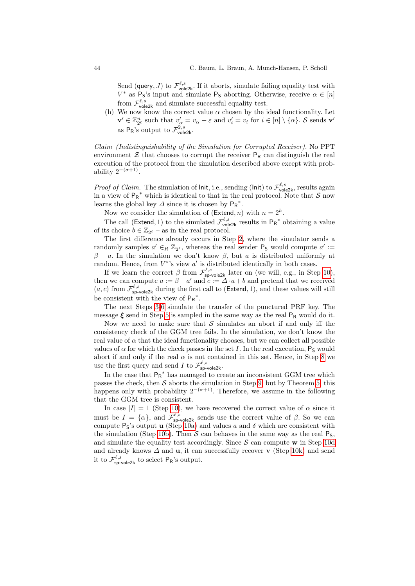Send (query, J) to  $\mathcal{F}_{\text{vole2k}}^{\ell,s}$ . If it aborts, simulate failing equality test with  $V^*$  as P<sub>S</sub>'s input and simulate P<sub>S</sub> aborting. Otherwise, receive  $\alpha \in [n]$ from  $\mathcal{F}_{\text{vole2k}}^{\ell,s}$  and simulate successful equality test.

<span id="page-43-0"></span>(h) We now know the correct value  $\alpha$  chosen by the ideal functionality. Let  $\mathbf{v}' \in \mathbb{Z}_{2^{\ell}}^n$  such that  $v'_{\alpha} = v_{\alpha} - \varepsilon$  and  $v'_i = v_i$  for  $i \in [n] \setminus {\alpha}$ . S sends  $\mathbf{v}'$ as  $P_R$ 's output to  $\mathcal{F}_{\text{vole2k}}^{2,s}$ .

Claim (Indistinguishability of the Simulation for Corrupted Receiver). No PPT environment  $\mathcal Z$  that chooses to corrupt the receiver  $P_R$  can distinguish the real execution of the protocol from the simulation described above except with probability  $2^{-(\sigma+1)}$ .

*Proof of Claim.* The simulation of lnit, i.e., sending (lnit) to  $\mathcal{F}_{\text{vole2k}}^{\ell,s}$ , results again in a view of  $P_R^*$  which is identical to that in the real protocol. Note that S now learns the global key  $\Delta$  since it is chosen by  $P_R^*$ .

Now we consider the simulation of (Extend, n) with  $n = 2<sup>h</sup>$ .

The call (Extend, 1) to the simulated  $\mathcal{F}_{\text{vole2k}}^{\ell,s}$  results in  $P_R^*$  obtaining a value of its choice  $b \in \mathbb{Z}_{2^{\ell}}$  – as in the real protocol.

The first difference already occurs in Step [2,](#page-41-0) where the simulator sends a randomly samples  $a' \in_R \mathbb{Z}_{2^{\ell}}$ , whereas the real sender  $P_5$  would compute  $a' :=$  $β - a$ . In the simulation we don't know β, but a is distributed uniformly at random. Hence, from  $V^*$ 's view  $a'$  is distributed identically in both cases.

If we learn the correct  $\beta$  from  $\mathcal{F}_{\text{sp-vole2k}}^{\ell,s}$  later on (we will, e.g., in Step [10\)](#page-41-1), then we can compute  $a := \beta - a'$  and  $c := \Delta \cdot a + b$  and pretend that we received  $(a, c)$  from  $\mathcal{F}^{\ell, s}_{\text{sp-vole2k}}$  during the first call to (Extend, 1), and these values will still be consistent with the view of  $P_R^*$ .

The next Steps [3-](#page-41-2)[6](#page-41-3) simulate the transfer of the punctured PRF key. The message  $\xi$  send in Step [5](#page-41-4) is sampled in the same way as the real  $P_R$  would do it.

Now we need to make sure that  $S$  simulates an abort if and only iff the consistency check of the GGM tree fails. In the simulation, we don't know the real value of  $\alpha$  that the ideal functionality chooses, but we can collect all possible values of  $\alpha$  for which the check passes in the set I. In the real execution,  $P_S$  would abort if and only if the real  $\alpha$  is not contained in this set. Hence, in Step [8](#page-41-5) we use the first query and send I to  $\mathcal{F}_{\text{sp-vole2k}}^{\ell,s}$ .

In the case that  $\mathsf{P_R}^*$  has managed to create an inconsistent GGM tree which passes the check, then  $S$  aborts the simulation in Step [9,](#page-41-6) but by Theorem [5,](#page-15-1) this happens only with probability  $2^{-(\sigma+1)}$ . Therefore, we assume in the following that the GGM tree is consistent.

In case  $|I| = 1$  (Step [10\)](#page-41-1), we have recovered the correct value of  $\alpha$  since it must be  $I = {\alpha}$ , and  $\mathcal{F}_{\text{sp-vole2k}}^{\ell,s}$  sends use the correct value of  $\beta$ . So we can compute  $P_5$ 's output **u** (Step [10a\)](#page-42-0) and values a and  $\delta$  which are consistent with the simulation (Step [10b\)](#page-42-1). Then  $S$  can behaves in the same way as the real  $P_S$ , and simulate the equality test accordingly. Since  $S$  can compute w in Step [10d](#page-42-2) and already knows  $\Delta$  and **u**, it can successfully recover **v** (Step [10k\)](#page-42-3) and send it to  $\mathcal{F}^{\ell,s}_{\mathsf{sp}\text{-}\mathsf{vole2k}}$  to select  $\mathsf{P}_\mathsf{R}$ 's output.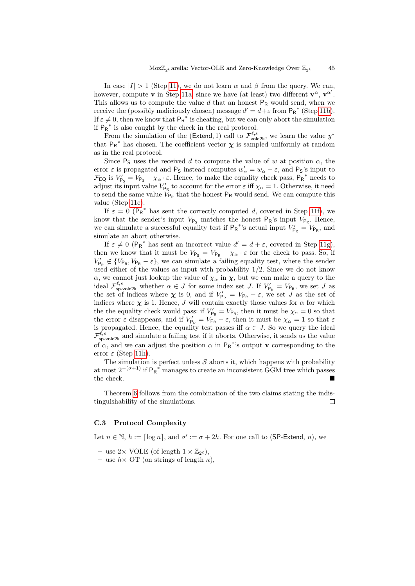In case  $|I| > 1$  (Step [11\)](#page-42-4), we do not learn  $\alpha$  and  $\beta$  from the query. We can, however, compute **v** in Step [11a,](#page-42-5) since we have (at least) two different  $\mathbf{v}^{\alpha}$ ,  $\mathbf{v}^{\alpha'}$ . This allows us to compute the value  $d$  that an honest  $P_R$  would send, when we receive the (possibly maliciously chosen) message  $d' = d + \varepsilon$  from  $P_R^*$  (Step [11b\)](#page-42-6). If  $\varepsilon \neq 0$ , then we know that  $P_R^*$  is cheating, but we can only abort the simulation if  $P_R^*$  is also caught by the check in the real protocol.

From the simulation of the (Extend, 1) call to  $\mathcal{F}^{\ell,s}_{\text{vole2k}}$ , we learn the value  $y^*$ that  $P_R^*$  has chosen. The coefficient vector  $\chi$  is sampled uniformly at random as in the real protocol.

Since  $P_5$  uses the received d to compute the value of w at position  $\alpha$ , the error  $\varepsilon$  is propagated and  $P_5$  instead computes  $w'_\alpha = w_\alpha - \varepsilon$ , and  $P_5$ 's input to  $\mathcal{F}_{\textsf{EQ}}$  is  $V'_{\textsf{P}_{\textsf{S}}} = V_{\textsf{P}_{\textsf{S}}} - \chi_{\alpha} \cdot \varepsilon$ . Hence, to make the equality check pass,  $\textsf{P}_{\textsf{R}}^*$  needs to adjust its input value  $V'_{\mathsf{P}_{\mathsf{R}}}$  to account for the error  $\varepsilon$  iff  $\chi_{\alpha} = 1$ . Otherwise, it need to send the same value  $V_{\mathsf{P}_R}$  that the honest  $\mathsf{P}_R$  would send. We can compute this value (Step [11e\)](#page-42-7).

If  $\varepsilon = 0$  ( $P_R^*$  has sent the correctly computed d, covered in Step [11f\)](#page-42-8), we know that the sender's input  $V_{\mathsf{P}_\mathsf{S}}$  matches the honest  $\mathsf{P}_\mathsf{R}$ 's input  $V_{\mathsf{P}_\mathsf{R}}$ . Hence, we can simulate a successful equality test if  $P_R^*$ 's actual input  $V'_{P_R} = V_{P_R}$ , and simulate an abort otherwise.

If  $\varepsilon \neq 0$  (P<sub>R</sub><sup>\*</sup> has sent an incorrect value  $d' = d + \varepsilon$ , covered in Step [11g\)](#page-42-9), then we know that it must be  $V_{\text{Ps}} = V_{\text{Ps}} - \chi_{\alpha} \cdot \varepsilon$  for the check to pass. So, if  $V'_{\mathsf{P}_{\mathsf{R}}} \notin \{V_{\mathsf{P}_{\mathsf{R}}}, V_{\mathsf{P}_{\mathsf{R}}} - \varepsilon\}$ , we can simulate a failing equality test, where the sender used either of the values as input with probability 1/2. Since we do not know  $\alpha$ , we cannot just lookup the value of  $\chi_{\alpha}$  in  $\chi$ , but we can make a query to the ideal  $\mathcal{F}^{\ell,s}_{\text{sp-vole2k}}$  whether  $\alpha \in J$  for some index set J. If  $V'_{\text{P}_{\text{R}}} = V_{\text{P}_{\text{R}}}$ , we set J as the set of indices where  $\chi$  is 0, and if  $V'_{P_R} = V_{P_R} - \varepsilon$ , we set J as the set of indices where  $\chi$  is 1. Hence, J will contain exactly those values for  $\alpha$  for which the the equality check would pass: if  $V'_{P_R} = V_{P_R}$ , then it must be  $\chi_{\alpha} = 0$  so that the error  $\varepsilon$  disappears, and if  $V'_{P_R} = V_{P_R} - \varepsilon$ , then it must be  $\chi_{\alpha} = 1$  so that  $\varepsilon$ is propagated. Hence, the equality test passes if  $\alpha \in J$ . So we query the ideal  $\mathcal{F}_{\text{sp-vole2k}}^{\ell,s}$  and simulate a failing test if it aborts. Otherwise, it sends us the value of  $\alpha$ , and we can adjust the position  $\alpha$  in  $P_R^*$ 's output v corresponding to the error  $\varepsilon$  (Step [11h\)](#page-43-0).

The simulation is perfect unless  $S$  aborts it, which happens with probability at most  $2^{-(\sigma+1)}$  if  $P_R^*$  manages to create an inconsistent GGM tree which passes  $\mathbf{t}$  the check.

Theorem [6](#page-15-0) follows from the combination of the two claims stating the indistinguishability of the simulations.  $\Box$ 

#### <span id="page-44-0"></span>C.3 Protocol Complexity

Let  $n \in \mathbb{N}$ ,  $h := \lceil \log n \rceil$ , and  $\sigma' := \sigma + 2h$ . For one call to (SP-Extend, n), we

- use  $2 \times \text{VOLE}$  (of length  $1 \times \mathbb{Z}_{2^{\ell}}$ ),
- use  $h \times \overline{\text{OT}}$  (on strings of length  $\kappa$ ),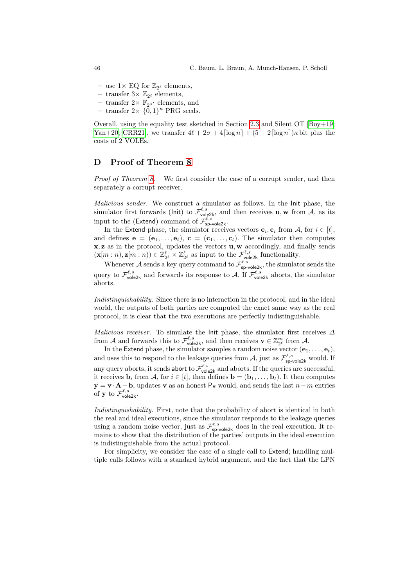- use  $1 \times$  EQ for  $\mathbb{Z}_{2^{\ell}}$  elements,
- $-$  transfer  $3 \times \mathbb{Z}_{2^{\ell}}$  elements,
- transfer  $2 \times \mathbb{F}_{2\sigma'}$  elements, and
- transfer  $2 \times \{0,1\}^{\kappa}$  PRG seeds.

Overall, using the equality test sketched in Section [2.3](#page-6-1) and Silent OT  $[Boy+19;$ [Yan+20;](#page-32-8) [CRR21\]](#page-31-7), we transfer  $4\ell + 2\sigma + 4\lceil \log n \rceil + (5 + 2\lceil \log n \rceil)\kappa$  bit plus the costs of 2 VOLEs.

# <span id="page-45-0"></span>D Proof of Theorem [8](#page-17-3)

Proof of Theorem [8.](#page-17-3) We first consider the case of a corrupt sender, and then separately a corrupt receiver.

Malicious sender. We construct a simulator as follows. In the Init phase, the simulator first forwards (lnit) to  $\mathcal{F}^{\ell,s}_{\text{vol} \in 2k}$ , and then receives  $\mathbf{u}, \mathbf{w}$  from  $\mathcal{A}$ , as its input to the (Extend) command of  $\mathcal{F}^{\ell,s}_{\mathsf{sp-role2k}}$ .

In the Extend phase, the simulator receives vectors  $e_i, c_i$  from A, for  $i \in [t]$ , and defines  $e = (e_1, \ldots, e_t)$ ,  $c = (c_1, \ldots, c_t)$ . The simulator then computes  $x, z$  as in the protocol, updates the vectors  $u, w$  accordingly, and finally sends  $(\mathbf{x}[m:n], \mathbf{z}[m:n)) \in \mathbb{Z}_{2^{\ell}}^{\ell} \times \mathbb{Z}_{2^{\ell}}^{\ell}$  as input to the  $\mathcal{F}_{\text{vole2k}}^{\ell,s}$  functionality.

Whenever A sends a key query command to  $\mathcal{F}_{\text{sp-vole2k}}^{\ell,s}$ , the simulator sends the query to  $\mathcal{F}^{\ell,s}_{\text{vole2k}}$  and forwards its response to A. If  $\mathcal{F}^{\ell,s}_{\text{vole2k}}$  aborts, the simulator aborts.

Indistinguishability. Since there is no interaction in the protocol, and in the ideal world, the outputs of both parties are computed the exact same way as the real protocol, it is clear that the two executions are perfectly indistinguishable.

Malicious receiver. To simulate the Init phase, the simulator first receives  $\Delta$ from A and forwards this to  $\mathcal{F}_{\text{vole2k}}^{\ell,s}$ , and then receives  $\mathbf{v} \in \mathbb{Z}_{2^{\ell}}^m$  from A.

In the Extend phase, the simulator samples a random noise vector  $(e_1, \ldots, e_t)$ , and uses this to respond to the leakage queries from A, just as  $\mathcal{F}^{\ell,s}_{\text{sp-vole2k}}$  would. If any query aborts, it sends abort to  $\mathcal{F}_{\text{vole2k}}^{\ell,s}$  and aborts. If the queries are successful, it receives  $\mathbf{b}_i$  from A, for  $i \in [t]$ , then defines  $\mathbf{b} = (\mathbf{b}_1, \dots, \mathbf{b}_t)$ . It then computes  $y = v \cdot A + b$ , updates v as an honest P<sub>R</sub> would, and sends the last  $n-m$  entries of **y** to  $\mathcal{F}_{\text{vole2k}}^{\ell,s}$ .

Indistinguishability. First, note that the probability of abort is identical in both the real and ideal executions, since the simulator responds to the leakage queries using a random noise vector, just as  $\mathcal{F}_{\text{sp-vole2k}}^{\ell,s}$  does in the real execution. It remains to show that the distribution of the parties' outputs in the ideal execution is indistinguishable from the actual protocol.

For simplicity, we consider the case of a single call to Extend; handling multiple calls follows with a standard hybrid argument, and the fact that the LPN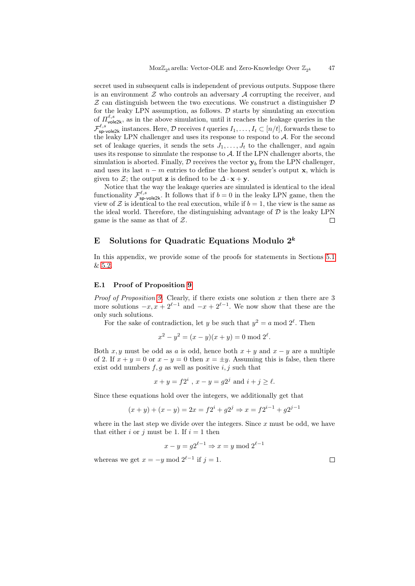secret used in subsequent calls is independent of previous outputs. Suppose there is an environment  $\mathcal Z$  who controls an adversary  $\mathcal A$  corrupting the receiver, and  $Z$  can distinguish between the two executions. We construct a distinguisher  $D$ for the leaky LPN assumption, as follows.  $\mathcal D$  starts by simulating an execution of  $\Pi_{\text{vole2k}}^{\ell,s}$ , as in the above simulation, until it reaches the leakage queries in the  $\mathcal{F}^{\ell,s}_{\mathsf{sp}\text{-}\mathsf{vole2k}}$  instances. Here,  $\mathcal D$  receives t queries  $I_1,\ldots,I_t\subset [n/t]$ , forwards these to the leaky LPN challenger and uses its response to respond to  $A$ . For the second set of leakage queries, it sends the sets  $J_1, \ldots, J_t$  to the challenger, and again uses its response to simulate the response to  $A$ . If the LPN challenger aborts, the simulation is aborted. Finally,  $\mathcal D$  receives the vector  $\mathbf y_b$  from the LPN challenger, and uses its last  $n - m$  entries to define the honest sender's output x, which is given to  $\mathcal{Z}$ ; the output **z** is defined to be  $\Delta \cdot \mathbf{x} + \mathbf{y}$ .

Notice that the way the leakage queries are simulated is identical to the ideal functionality  $\mathcal{F}^{\ell,s}_{\text{sp-vole2k}}$ . It follows that if  $b=0$  in the leaky LPN game, then the view of  $\mathcal Z$  is identical to the real execution, while if  $b = 1$ , the view is the same as the ideal world. Therefore, the distinguishing advantage of  $\mathcal D$  is the leaky LPN game is the same as that of  $Z$ .  $\Box$ 

# E Solutions for Quadratic Equations Modulo  $2^k$

In this appendix, we provide some of the proofs for statements in Sections [5.1](#page-18-2) & [5.2.](#page-21-3)

# <span id="page-46-0"></span>E.1 Proof of Proposition [9](#page-18-1)

*Proof of Proposition [9.](#page-18-1)* Clearly, if there exists one solution  $x$  then there are 3 more solutions  $-x, x + 2^{\ell-1}$  and  $-x + 2^{\ell-1}$ . We now show that these are the only such solutions.

For the sake of contradiction, let y be such that  $y^2 = a \mod 2^{\ell}$ . Then

$$
x^2 - y^2 = (x - y)(x + y) = 0 \mod 2^{\ell}.
$$

Both x, y must be odd as a is odd, hence both  $x + y$  and  $x - y$  are a multiple of 2. If  $x + y = 0$  or  $x - y = 0$  then  $x = \pm y$ . Assuming this is false, then there exist odd numbers  $f, g$  as well as positive  $i, j$  such that

$$
x + y = f2^i, x - y = g2^j \text{ and } i + j \ge \ell.
$$

Since these equations hold over the integers, we additionally get that

$$
(x + y) + (x - y) = 2x = f2^{i} + g2^{j} \Rightarrow x = f2^{i-1} + g2^{j-1}
$$

where in the last step we divide over the integers. Since  $x$  must be odd, we have that either i or j must be 1. If  $i = 1$  then

$$
x - y = g2^{\ell - 1} \Rightarrow x = y \bmod 2^{\ell - 1}
$$

whereas we get  $x = -y \mod 2^{\ell-1}$  if  $j = 1$ .

 $\Box$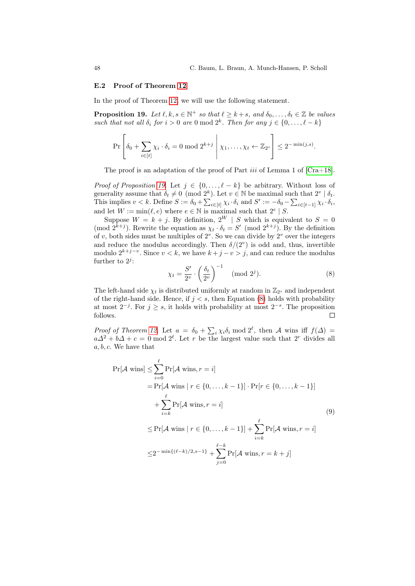#### <span id="page-47-0"></span>E.2 Proof of Theorem [12](#page-21-0)

In the proof of Theorem [12,](#page-21-0) we will use the following statement.

**Proposition 19.** Let  $\ell, k, s \in \mathbb{N}^+$  so that  $\ell \geq k+s$ , and  $\delta_0, \ldots, \delta_t \in \mathbb{Z}$  be values such that not all  $\delta_i$  for  $i > 0$  are 0 mod  $2^k$ . Then for any  $j \in \{0, \ldots, \ell - k\}$ 

<span id="page-47-1"></span>
$$
\Pr\left[\delta_0 + \sum_{i \in [t]} \chi_i \cdot \delta_i = 0 \text{ mod } 2^{k+j} \middle| \chi_1, \ldots, \chi_t \leftarrow \mathbb{Z}_{2^s}\right] \leq 2^{-\min(j,s)}.
$$

The proof is an adaptation of the proof of Part *iii* of Lemma 1 of  $[Cra+18]$ .

*Proof of Proposition [19.](#page-47-1)* Let  $j \in \{0, ..., \ell - k\}$  be arbitrary. Without loss of generality assume that  $\delta_t \neq 0 \pmod{2^k}$ . Let  $v \in \mathbb{N}$  be maximal such that  $2^v \mid \delta_t$ . This implies  $v < k$ . Define  $S := \delta_0 + \sum_{i \in [t]} \chi_i \cdot \delta_i$  and  $S' := -\delta_0 - \sum_{i \in [t-1]} \chi_i \cdot \delta_i$ , and let  $W := \min(\ell, e)$  where  $e \in \mathbb{N}$  is maximal such that  $2^e \mid S$ .

Suppose  $W = k + j$ . By definition,  $2^W \mid S$  which is equivalent to  $S = 0$ (mod  $2^{k+j}$ ). Rewrite the equation as  $\chi_t \cdot \delta_t = S'$  (mod  $2^{k+j}$ ). By the definition of  $v$ , both sides must be multiples of  $2^v$ . So we can divide by  $2^v$  over the integers and reduce the modulus accordingly. Then  $\delta/(2^v)$  is odd and, thus, invertible modulo  $2^{k+j-v}$ . Since  $v < k$ , we have  $k+j-v > j$ , and can reduce the modulus further to  $2^j$ :

<span id="page-47-2"></span>
$$
\chi_t = \frac{S'}{2^v} \cdot \left(\frac{\delta_t}{2^v}\right)^{-1} \pmod{2^j}.
$$
 (8)

The left-hand side  $\chi_t$  is distributed uniformly at random in  $\mathbb{Z}_{2^s}$  and independent of the right-hand side. Hence, if  $j < s$ , then Equation [\(8\)](#page-47-2) holds with probability at most  $2^{-j}$ . For  $j \geq s$ , it holds with probability at most  $2^{-s}$ . The proposition follows.  $\Box$ 

Proof of Theorem [12.](#page-21-0) Let  $a = \delta_0 + \sum_i \chi_i \delta_i \mod 2^{\ell}$ , then A wins iff  $f(\Delta) =$  $a\Delta^2 + b\Delta + c = 0$  mod  $2^{\ell}$ . Let r be the largest value such that  $2^r$  divides all a, b, c. We have that

<span id="page-47-3"></span>
$$
\Pr[\mathcal{A} \text{ wins}] \le \sum_{i=0}^{\ell} \Pr[\mathcal{A} \text{ wins}, r = i]
$$
\n
$$
= \Pr[\mathcal{A} \text{ wins} | r \in \{0, \dots, k - 1\}] \cdot \Pr[r \in \{0, \dots, k - 1\}]
$$
\n
$$
+ \sum_{i=k}^{\ell} \Pr[\mathcal{A} \text{ wins}, r = i]
$$
\n
$$
\le \Pr[\mathcal{A} \text{ wins} | r \in \{0, \dots, k - 1\}] + \sum_{i=k}^{\ell} \Pr[\mathcal{A} \text{ wins}, r = i]
$$
\n
$$
\le 2^{-\min\{(\ell - k)/2, s - 1\}} + \sum_{j=0}^{\ell - k} \Pr[\mathcal{A} \text{ wins}, r = k + j]
$$
\n(9)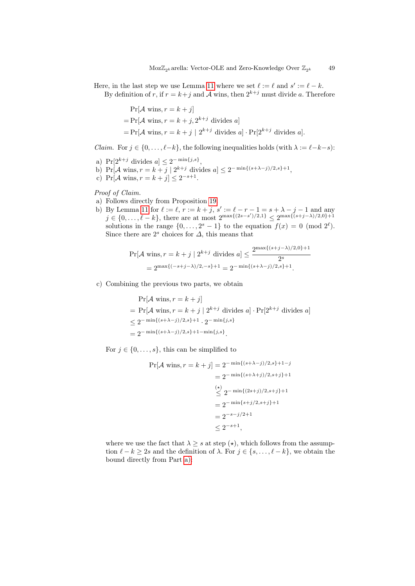Here, in the last step we use Lemma [11](#page-19-1) where we set  $\ell := \ell$  and  $s' := \ell - k$ . By definition of r, if  $r = k + j$  and A wins, then  $2^{k+j}$  must divide a. Therefore

> $Pr[\mathcal{A} \text{ wins}, r = k + j]$  $= Pr[\mathcal{A} \text{ wins}, r = k + j, 2^{k+j} \text{ divides } a]$  $= Pr[\mathcal{A} \text{ wins}, r = k + j \mid 2^{k+j} \text{ divides } a] \cdot Pr[2^{k+j} \text{ divides } a].$

*Claim.* For  $j \in \{0, \ldots, \ell-k\}$ , the following inequalities holds (with  $\lambda := \ell-k-s$ ):

- <span id="page-48-0"></span>a)  $Pr[2^{k+j} \text{ divides } a] \leq 2^{-\min\{j,s\}},$
- b)  $Pr[\mathcal{A} \text{ wins}, r = k + j \mid 2^{k+j} \text{ divides } a] \leq 2^{-\min\{(s+\lambda-j)/2, s\}+1},$
- c) Pr[ $\mathcal A$  wins,  $r = k + j$ ]  $\leq 2^{-s+1}$ .

## Proof of Claim.

- a) Follows directly from Proposition [19.](#page-47-1)
- b) By Lemma [11](#page-19-1) for  $\ell := \ell, r := k + j, s' := \ell r 1 = s + \lambda j 1$  and any  $j \in \{0, \ldots, \ell - k\}$ , there are at most  $2^{\max\{(2s-s')/2, 1\}} \leq 2^{\max\{(s+j-\lambda)/2, 0\}+1}$ solutions in the range  $\{0, \ldots, 2^s - 1\}$  to the equation  $f(x) = 0 \pmod{2^{\ell}}$ . Since there are  $2^s$  choices for  $\Delta$ , this means that

$$
\Pr[\mathcal{A} \text{ wins}, r = k + j \mid 2^{k+j} \text{ divides } a] \le \frac{2^{\max\{(s+j-\lambda)/2,0\}+1}}{2^s}
$$

$$
= 2^{\max\{(-s+j-\lambda)/2, -s\}+1} = 2^{-\min\{(s+\lambda-j)/2, s\}+1}.
$$

c) Combining the previous two parts, we obtain

$$
\Pr[\mathcal{A} \text{ wins}, r = k + j]
$$
  
= 
$$
\Pr[\mathcal{A} \text{ wins}, r = k + j | 2^{k+j} \text{ divides } a] \cdot \Pr[2^{k+j} \text{ divides } a]
$$
  

$$
\leq 2^{-\min\{(s+\lambda-j)/2, s\}+1} \cdot 2^{-\min\{j, s\}}
$$
  
= 
$$
2^{-\min\{(s+\lambda-j)/2, s\}+1-\min\{j, s\}}.
$$

For  $j \in \{0, \ldots, s\}$ , this can be simplified to

$$
Pr[\mathcal{A} \text{ wins}, r = k + j] = 2^{-\min\{(s + \lambda - j)/2, s\} + 1 - j}
$$
  
= 2<sup>-\min\{(s + \lambda + j)/2, s + j\} + 1  
 $\leq$  2<sup>-\min\{(2s + j)/2, s + j\} + 1  
= 2<sup>-\min\{s + j/2, s + j\} + 1  
= 2<sup>-s-j/2+1</sup>  
 $\leq$  2<sup>-s+1</sup>,</sup></sup></sup>

where we use the fact that  $\lambda \geq s$  at step  $(\star)$ , which follows from the assumption  $\ell - k \geq 2s$  and the definition of  $\lambda$ . For  $j \in \{s, \ldots, \ell - k\}$ , we obtain the bound directly from Part [a\):](#page-48-0)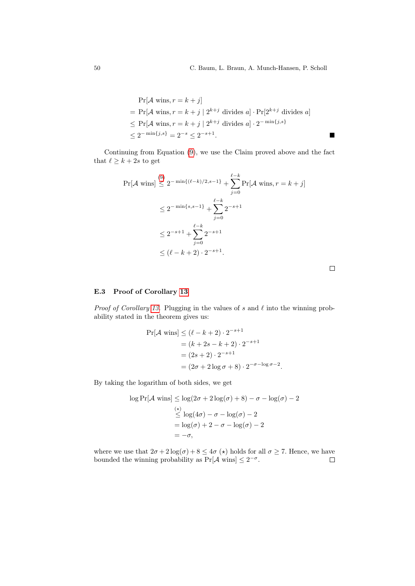$$
\Pr[\mathcal{A} \text{ wins}, r = k + j]
$$
  
= 
$$
\Pr[\mathcal{A} \text{ wins}, r = k + j | 2^{k+j} \text{ divides } a] \cdot \Pr[2^{k+j} \text{ divides } a]
$$
  

$$
\leq \Pr[\mathcal{A} \text{ wins}, r = k + j | 2^{k+j} \text{ divides } a] \cdot 2^{-\min\{j, s\}}
$$
  

$$
\leq 2^{-\min\{j, s\}} = 2^{-s} \leq 2^{-s+1}.
$$

Continuing from Equation [\(9\)](#page-47-3), we use the Claim proved above and the fact that  $\ell \geq k+2s$  to get

$$
\Pr[\mathcal{A} \text{ wins}] \stackrel{(9)}{\leq} 2^{-\min\{(\ell-k)/2, s-1\}} + \sum_{j=0}^{\ell-k} \Pr[\mathcal{A} \text{ wins}, r = k + j] \\
\leq 2^{-\min\{s, s-1\}} + \sum_{j=0}^{\ell-k} 2^{-s+1} \\
\leq 2^{-s+1} + \sum_{j=0}^{\ell-k} 2^{-s+1} \\
\leq (\ell - k + 2) \cdot 2^{-s+1}.
$$

 $\Box$ 

# <span id="page-49-0"></span>E.3 Proof of Corollary [13](#page-21-2)

*Proof of Corollary [13.](#page-21-2)* Plugging in the values of s and  $\ell$  into the winning probability stated in the theorem gives us:

$$
\Pr[\mathcal{A} \text{ wins}] \le (\ell - k + 2) \cdot 2^{-s+1}
$$
  
=  $(k + 2s - k + 2) \cdot 2^{-s+1}$   
=  $(2s + 2) \cdot 2^{-s+1}$   
=  $(2\sigma + 2 \log \sigma + 8) \cdot 2^{-\sigma - \log \sigma - 2}$ .

By taking the logarithm of both sides, we get

$$
\log \Pr[\mathcal{A} \text{ wins}] \le \log(2\sigma + 2\log(\sigma) + 8) - \sigma - \log(\sigma) - 2
$$
  
\n
$$
\le \log(4\sigma) - \sigma - \log(\sigma) - 2
$$
  
\n
$$
= \log(\sigma) + 2 - \sigma - \log(\sigma) - 2
$$
  
\n
$$
= -\sigma,
$$

where we use that  $2\sigma + 2\log(\sigma) + 8 \leq 4\sigma$  ( $\star$ ) holds for all  $\sigma \geq 7$ . Hence, we have bounded the winning probability as  $Pr[\mathcal{A} \text{ wins}] \leq 2^{-\sigma}$ .  $\Box$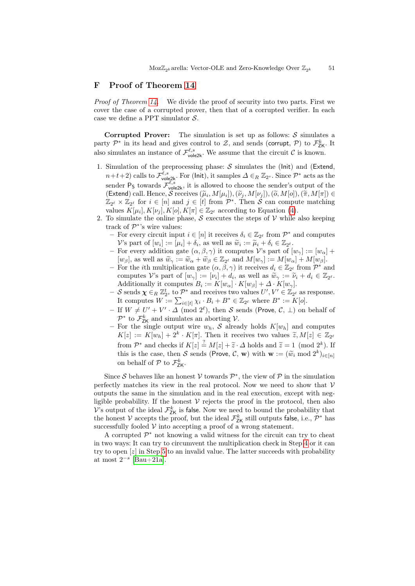# <span id="page-50-0"></span>F Proof of Theorem [14](#page-22-0)

*Proof of Theorem [14.](#page-22-0)* We divide the proof of security into two parts. First we cover the case of a corrupted prover, then that of a corrupted verifier. In each case we define a PPT simulator  $S$ .

Corrupted Prover: The simulation is set up as follows:  $S$  simulates a party  $\mathcal{P}^*$  in its head and gives control to  $\mathcal{Z}$ , and sends (corrupt,  $\mathcal{P}$ ) to  $\mathcal{F}_{\mathsf{ZK}}^k$ . It also simulates an instance of  $\mathcal{F}_{\text{vole2k}}^{\ell,s}$ . We assume that the circuit  $\mathcal{C}$  is known.

- 1. Simulation of the preprocessing phase:  $S$  simulates the (lnit) and (Extend,  $n+t+2$ ) calls to  $\mathcal{F}_{\text{vole2k}}^{\ell,s}$ . For (lnit), it samples  $\Delta \in_R \mathbb{Z}_{2^s}$ . Since  $\mathcal{P}^*$  acts as the sender  $P_S$  towards  $\mathcal{F}_{\text{vole2k}}^{\ell,s}$ , it is allowed to choose the sender's output of the (Extend) call. Hence,  $S$  receives  $(\tilde{\mu}_i, M[\mu_i]), (\tilde{\nu}_j, M[\nu_j]), (\tilde{\sigma}, M[\sigma]), (\tilde{\pi}, M[\pi]) \in$ <br>  $\mathbb{Z} \times \mathbb{Z}$  to for  $i \in [n]$  and  $i \in [t]$  from  $\mathcal{D}^*$ . Then  $S$  can compute matching  $\mathbb{Z}_{2^{\ell}} \times \mathbb{Z}_{2^{\ell}}$  for  $i \in [n]$  and  $j \in [t]$  from  $\mathcal{P}^*$ . Then S can compute matching values  $K[\mu_i], K[\nu_j], K[o], K[\pi] \in \mathbb{Z}_{2^{\ell}}$  according to Equation [\(4\)](#page-21-4).
- 2. To simulate the online phase,  $S$  executes the steps of  $V$  while also keeping track of  $\mathcal{P}^*$ 's wire values:
	- $-$  For every circuit input  $i ∈ [n]$  it receives  $δ<sub>i</sub> ∈ ℤ<sub>2</sub>$  from  $P<sup>*</sup>$  and computes V's part of  $[w_i] := [\mu_i] + \delta_i$ , as well as  $\widetilde{w}_i := \widetilde{\mu}_i + \delta_i \in \mathbb{Z}_{2^{\ell}}$ .<br>For overy addition gate  $(\alpha, \beta, \alpha)$  it computes  $y_i$  part of f
	- For every addition gate  $(\alpha, \beta, \gamma)$  it computes V's part of  $[w_{\gamma}] := [w_{\alpha}] +$  $[w_\beta]$ , as well as  $\widetilde{w}_\gamma := \widetilde{w}_\alpha + \widetilde{w}_\beta \in \mathbb{Z}_{2^\ell}$  and  $M[w_\gamma] := M[w_\alpha] + M[w_\beta]$ .<br>For the *i*th multiplication gate  $(\alpha, \beta, \alpha)$  it receives  $d_i \in \mathbb{Z}_{\geq 0}$  from  $\mathcal{D}^*$ .
	- For the *i*th multiplication gate  $(\alpha, \beta, \gamma)$  it receives  $d_i \in \mathbb{Z}_{2^{\ell}}$  from  $\mathcal{P}^*$  and computes V's part of  $[w_{\gamma}] := [v_i] + d_i$ , as well as  $\widetilde{w}_{\gamma} := \widetilde{v}_i + d_i \in \mathbb{Z}_{2^{\ell}}$ .<br>Additionally it computes  $B := K[w_1] - K[w_2] + A - K[w_1]$ Additionally it computes  $B_i := K[w_\alpha] \cdot K[w_\beta] + \Delta \cdot K[w_\gamma]$ .
	- $-$  S sends  $\chi \in_R \mathbb{Z}_{2^s}^t$  to  $\mathcal{P}^*$  and receives two values  $U', V' \in \mathbb{Z}_{2^{\ell}}$  as response. It computes  $W := \sum_{i \in [t]} \chi_i \cdot B_i + B^* \in \mathbb{Z}_{2^{\ell}}$  where  $B^* := K[o]$ .
	- If  $W \neq U' + V' \cdot \Delta \pmod{2^{\ell}}$ , then S sends (Prove, C,  $\perp$ ) on behalf of  $\mathcal{P}^*$  to  $\mathcal{F}_{\mathsf{ZK}}^k$  and simulates an aborting  $\mathcal{V}$ .
	- For the single output wire  $w_h$ , S already holds  $K[w_h]$  and computes  $K[z] := K[w_h] + 2^k \cdot K[\pi]$ . Then it receives two values  $\widetilde{z}, M[z] \in \mathbb{Z}_{2^k}$ from  $\mathcal{P}^*$  and checks if  $K[z] \stackrel{?}{=} M[z] + \tilde{z} \cdot \Delta$  holds and  $\tilde{z} = 1 \pmod{2^k}$ . If this is the case, then S sends (Prove, C, w) with  $\mathbf{w} := (\widetilde{w}_i \bmod 2^k)_{i \in [n]}$ on behalf of  $P$  to  $\mathcal{F}_{\mathsf{ZK}}^k$ .

Since S behaves like an honest V towards  $\mathcal{P}^*$ , the view of  $\mathcal{P}$  in the simulation perfectly matches its view in the real protocol. Now we need to show that  $V$ outputs the same in the simulation and in the real execution, except with negligible probability. If the honest  $V$  rejects the proof in the protocol, then also V's output of the ideal  $\mathcal{F}_{\text{ZK}}^{k}$  is false. Now we need to bound the probability that the honest  $\mathcal V$  accepts the proof, but the ideal  $\mathcal F_{\mathsf{ZK}}^k$  still outputs false, i.e.,  $\mathcal P^*$  has successfully fooled  $V$  into accepting a proof of a wrong statement.

A corrupted  $\mathcal{P}^*$  not knowing a valid witness for the circuit can try to cheat in two ways: It can try to circumvent the multiplication check in Step [4](#page-23-3) or it can try to open [z] in Step [5](#page-23-4) to an invalid value. The latter succeeds with probability at most  $2^{-s}$  [\[Bau+21a\]](#page-31-5).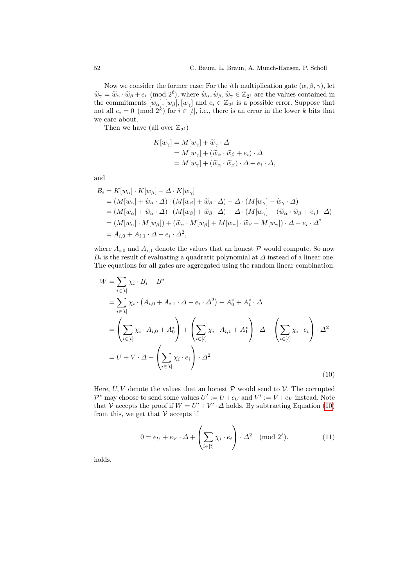Now we consider the former case: For the *i*th multiplication gate  $(\alpha, \beta, \gamma)$ , let  $\widetilde{w}_{\gamma} = \widetilde{w}_{\alpha} \cdot \widetilde{w}_{\beta} + e_i \pmod{2^{\ell}}$ , where  $\widetilde{w}_{\alpha}, \widetilde{w}_{\beta}, \widetilde{w}_{\gamma} \in \mathbb{Z}_{2^{\ell}}$  are the values contained in the commitments  $[w, 1, [w, 1, \text{end}]$  and  $e_i \in \mathbb{Z}_{2^{\ell}}$  is a possible error. Suppose that the commitments  $[w_\alpha], [w_\beta], [w_\gamma]$  and  $e_i \in \mathbb{Z}_{2^\ell}$  is a possible error. Suppose that not all  $e_i = 0 \pmod{2^k}$  for  $i \in [t]$ , i.e., there is an error in the lower k bits that we care about.

Then we have (all over  $\mathbb{Z}_{2^{\ell}}$ )

$$
K[w_{\gamma}] = M[w_{\gamma}] + \widetilde{w}_{\gamma} \cdot \Delta
$$
  
=  $M[w_{\gamma}] + (\widetilde{w}_{\alpha} \cdot \widetilde{w}_{\beta} + e_i) \cdot \Delta$   
=  $M[w_{\gamma}] + (\widetilde{w}_{\alpha} \cdot \widetilde{w}_{\beta}) \cdot \Delta + e_i \cdot \Delta,$ 

and

$$
B_i = K[w_\alpha] \cdot K[w_\beta] - \Delta \cdot K[w_\gamma]
$$
  
=  $(M[w_\alpha] + \widetilde{w}_\alpha \cdot \Delta) \cdot (M[w_\beta] + \widetilde{w}_\beta \cdot \Delta) - \Delta \cdot (M[w_\gamma] + \widetilde{w}_\gamma \cdot \Delta)$   
=  $(M[w_\alpha] + \widetilde{w}_\alpha \cdot \Delta) \cdot (M[w_\beta] + \widetilde{w}_\beta \cdot \Delta) - \Delta \cdot (M[w_\gamma] + (\widetilde{w}_\alpha \cdot \widetilde{w}_\beta + e_i) \cdot \Delta)$   
=  $(M[w_\alpha] \cdot M[w_\beta]) + (\widetilde{w}_\alpha \cdot M[w_\beta] + M[w_\alpha] \cdot \widetilde{w}_\beta - M[w_\gamma]) \cdot \Delta - e_i \cdot \Delta^2$   
=  $A_{i,0} + A_{i,1} \cdot \Delta - e_i \cdot \Delta^2$ ,

where  $A_{i,0}$  and  $A_{i,1}$  denote the values that an honest  $P$  would compute. So now  $B_i$  is the result of evaluating a quadratic polynomial at  $\Delta$  instead of a linear one. The equations for all gates are aggregated using the random linear combination:

<span id="page-51-0"></span>
$$
W = \sum_{i \in [t]} \chi_i \cdot B_i + B^*
$$
  
\n
$$
= \sum_{i \in [t]} \chi_i \cdot (A_{i,0} + A_{i,1} \cdot \Delta - e_i \cdot \Delta^2) + A_0^* + A_1^* \cdot \Delta
$$
  
\n
$$
= \left(\sum_{i \in [t]} \chi_i \cdot A_{i,0} + A_0^*\right) + \left(\sum_{i \in [t]} \chi_i \cdot A_{i,1} + A_1^*\right) \cdot \Delta - \left(\sum_{i \in [t]} \chi_i \cdot e_i\right) \cdot \Delta^2
$$
  
\n
$$
= U + V \cdot \Delta - \left(\sum_{i \in [t]} \chi_i \cdot e_i\right) \cdot \Delta^2
$$
\n(10)

Here,  $U, V$  denote the values that an honest  $P$  would send to  $V$ . The corrupted  $\mathcal{P}^*$  may choose to send some values  $U':=U+e_U$  and  $V':=V+e_V$  instead. Note that V accepts the proof if  $W = U' + V' \cdot \Delta$  holds. By subtracting Equation [\(10\)](#page-51-0) from this, we get that  $V$  accepts if

<span id="page-51-1"></span>
$$
0 = e_U + e_V \cdot \Delta + \left(\sum_{i \in [t]} \chi_i \cdot e_i\right) \cdot \Delta^2 \pmod{2^{\ell}}.
$$
 (11)

holds.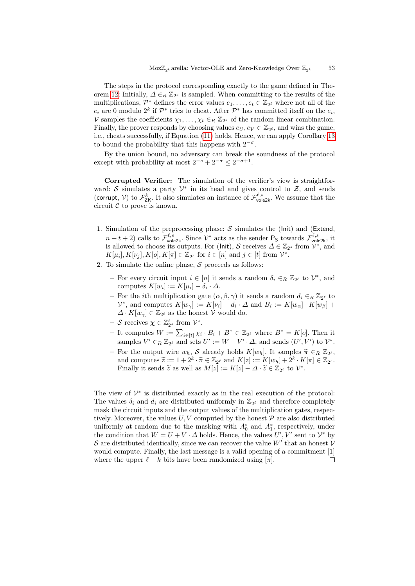The steps in the protocol corresponding exactly to the game defined in The-orem [12:](#page-21-0) Initially,  $\Delta \in_R \mathbb{Z}_{2^s}$  is sampled. When committing to the results of the multiplications,  $\mathcal{P}^*$  defines the error values  $e_1, \ldots, e_t \in \mathbb{Z}_{2^{\ell}}$  where not all of the  $e_i$  are 0 modulo  $2^k$  if  $\mathcal{P}^*$  tries to cheat. After  $\mathcal{P}^*$  has committed itself on the  $e_i$ , V samples the coefficients  $\chi_1, \ldots, \chi_t \in_R \mathbb{Z}_{2^s}$  of the random linear combination. Finally, the prover responds by choosing values  $e_U, e_V \in \mathbb{Z}_{2^{\ell}}$ , and wins the game, i.e., cheats successfully, if Equation [\(11\)](#page-51-1) holds. Hence, we can apply Corollary [13](#page-21-2) to bound the probability that this happens with  $2^{-\sigma}$ .

By the union bound, no adversary can break the soundness of the protocol except with probability at most  $2^{-s} + 2^{-\sigma} \leq 2^{-\sigma+1}$ .

Corrupted Verifier: The simulation of the verifier's view is straightforward: S simulates a party  $\mathcal{V}^*$  in its head and gives control to  $\mathcal{Z}$ , and sends (corrupt, V) to  $\mathcal{F}_{\text{ZK}}^k$ . It also simulates an instance of  $\mathcal{F}_{\text{vole2k}}^{\ell,s}$ . We assume that the circuit  $\mathcal C$  to prove is known.

- 1. Simulation of the preprocessing phase:  $S$  simulates the (lnit) and (Extend,  $n+t+2$ ) calls to  $\mathcal{F}^{\ell,s}_{\text{vole2k}}$ . Since  $\mathcal{V}^*$  acts as the sender  $\mathsf{P}_\mathsf{S}$  towards  $\mathcal{F}^{\ell,s}_{\text{vole2k}}$ , it is allowed to choose its outputs. For (lnit), S receives  $\Delta \in \mathbb{Z}_{2^s}$  from  $\mathcal{V}^*$ , and  $K[\mu_i], K[\nu_j], K[o], K[\pi] \in \mathbb{Z}_{2^{\ell}}$  for  $i \in [n]$  and  $j \in [t]$  from  $\mathcal{V}^*$ .
- 2. To simulate the online phase,  $S$  proceeds as follows:
	- $-$  For every circuit input  $i \in [n]$  it sends a random  $δ<sub>i</sub> ∈ R Z<sub>2</sub>$  to  $V<sup>*</sup>$ , and computes  $K[w_i] := K[\mu_i] - \delta_i \cdot \Delta$ .
	- For the *i*th multiplication gate  $(\alpha, \beta, \gamma)$  it sends a random  $d_i \in_R \mathbb{Z}_{2^{\ell}}$  to  $\mathcal{V}^*$ , and computes  $K[w_\gamma] := K[\nu_i] - d_i \cdot \Delta$  and  $B_i := K[w_\alpha] \cdot K[w_\beta] +$  $\Delta \cdot K[w_{\gamma}] \in \mathbb{Z}_{2^{\ell}}$  as the honest  $\mathcal{V}$  would do.
	- $-$  S receives  $\boldsymbol{\chi} \in \mathbb{Z}_{2^s}^t$  from  $\mathcal{V}^*$ .
	- It computes  $W := \sum_{i \in [t]} \chi_i \cdot B_i + B^* \in \mathbb{Z}_{2^{\ell}}$  where  $B^* = K[\rho]$ . Then it samples  $V' \in_R \mathbb{Z}_{2^{\ell}}$  and sets  $U' := W - V' \cdot \Delta$ , and sends  $(U', V')$  to  $\mathcal{V}^*$ .
	- For the output wire  $w_h$ , S already holds  $K[w_h]$ . It samples  $\widetilde{\pi} \in_R \mathbb{Z}_{2^{\ell}}$ ,<br>and computes  $\widetilde{z} := 1 + 2^k \widetilde{z} \subset \mathbb{Z}$ , and  $K[x] := K[w_h] + 2^k K[x] \subset \mathbb{Z}$ . and computes  $\widetilde{z} := 1 + 2^k \cdot \widetilde{\pi} \in \mathbb{Z}_{2^{\ell}}$  and  $K[z] := K[w_h] + 2^k \cdot K[\pi] \in \mathbb{Z}_{2^{\ell}}$ .<br>Finally it conde  $\widetilde{z}$  as well as  $M[z] := K[z]$ .  $A \widetilde{z} \in \mathbb{Z}_{2}$ , to  $\mathcal{V}^*$ . Finally it sends  $\tilde{z}$  as well as  $M[z] := K[z] - \Delta \cdot \tilde{z} \in \mathbb{Z}_{2^{\ell}}$  to  $\mathcal{V}^*$ .

The view of  $\mathcal{V}^*$  is distributed exactly as in the real execution of the protocol: The values  $\delta_i$  and  $d_i$  are distributed uniformly in  $\mathbb{Z}_{2^{\ell}}$  and therefore completely mask the circuit inputs and the output values of the multiplication gates, respectively. Moreover, the values  $U, V$  computed by the honest  $P$  are also distributed uniformly at random due to the masking with  $A_0^*$  and  $A_1^*$ , respectively, under the condition that  $W = U + V \cdot \Delta$  holds. Hence, the values  $U', V'$  sent to  $V^*$  by S are distributed identically, since we can recover the value  $W'$  that an honest  $\mathcal V$ would compute. Finally, the last message is a valid opening of a commitment [1]  $\Box$ where the upper  $\ell - k$  bits have been randomized using  $[\pi]$ .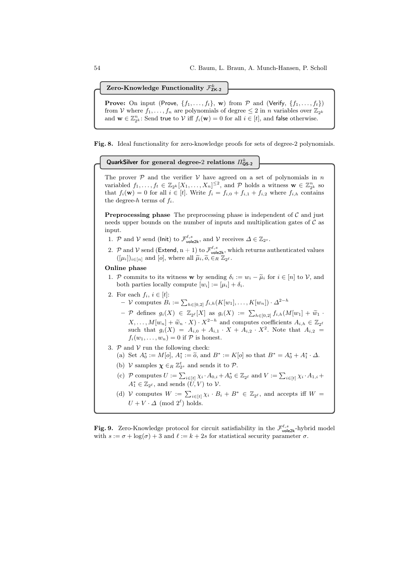Zero-Knowledge Functionality  $\mathcal{F}_\mathsf{ZK-2}^k$ 

**Prove:** On input (Prove,  $\{f_1, \ldots, f_t\}$ , w) from  $\mathcal{P}$  and (Verify,  $\{f_1, \ldots, f_t\}$ ) from V where  $f_1, \ldots, f_n$  are polynomials of degree  $\leq 2$  in n variables over  $\mathbb{Z}_{2^k}$ and  $\mathbf{w} \in \mathbb{Z}_{2^k}^n$ : Send true to  $\mathcal V$  iff  $f_i(\mathbf{w}) = 0$  for all  $i \in [t]$ , and false otherwise.

<span id="page-53-0"></span>Fig. 8. Ideal functionality for zero-knowledge proofs for sets of degree-2 polynomials.

QuarkSilver for general degree-2 relations  $\Pi^k_{\textsf{QS-2}}$ 

The prover  $P$  and the verifier  $V$  have agreed on a set of polynomials in n variabled  $f_1, \ldots, f_t \in \mathbb{Z}_{2^k}[X_1, \ldots, X_n]^{\leq 2}$ , and  $P$  holds a witness  $\mathbf{w} \in \mathbb{Z}_{2^k}^n$  so that  $f_i(\mathbf{w}) = 0$  for all  $i \in [t]$ . Write  $f_i = f_{i,0} + f_{i,1} + f_{i,2}$  where  $f_{i,h}$  contains the degree- $h$  terms of  $f_i$ .

**Preprocessing phase** The preprocessing phase is independent of  $\mathcal{C}$  and just needs upper bounds on the number of inputs and multiplication gates of  $\mathcal C$  as input.

- 1. P and V send (lnit) to  $\mathcal{F}_{\text{vole2k}}^{\ell,s}$ , and V receives  $\Delta \in \mathbb{Z}_{2^s}$ .
- 2. P and  $V$  send (Extend, n + 1) to  $\mathcal{F}^{\ell,s}_{\mathsf{vole2k}}$ , which returns authenticated values  $([\mu_i])_{i\in[n]}$  and  $[o]$ , where all  $\widetilde{\mu}_i, \widetilde{o}, \widetilde{\in}_R \mathbb{Z}_{2^{\ell}}$ .

#### Online phase

- 1. P commits to its witness w by sending  $\delta_i := w_i \tilde{\mu}_i$  for  $i \in [n]$  to V, and both parties locally compute  $[w_i] := [\mu_i] + \delta_i$ .
- <span id="page-53-2"></span>2. For each  $f_i, i \in [t]$ :
	- $-$  *V* computes  $B_i := \sum_{h \in [0,2]} f_{i,h}(K[w_1], \ldots, K[w_n]) \cdot Δ^{2-h}$
	- $-$  *P* defines  $g_i(X)$  ∈  $\mathbb{Z}_{2^{\ell}}[X]$  as  $g_i(X) := \sum_{h \in [0,2]} f_{i,h}(M[w_1] + \tilde{w}_1)$  $X, \ldots, M[w_n] + \widetilde{w}_n \cdot X \cdot X^{2-h}$  and computes coefficients  $A_{i,h} \in \mathbb{Z}_{2^k}$ such that  $g_i(X) = A_{i,0} + A_{i,1} \cdot X + A_{i,2} \cdot X^2$ . Note that  $A_{i,2} =$  $f_i(w_1,\ldots,w_n)=0$  if  $P$  is honest.
- <span id="page-53-3"></span>3.  $P$  and  $V$  run the following check:
	- (a) Set  $A_0^* := M[o], A_1^* := \tilde{o}$ , and  $B^* := K[o]$  so that  $B^* = A_0^* + A_1^* \cdot \Delta$ .
	- (b)  $\mathcal V$  samples  $\boldsymbol{\chi} \in_R \mathbb{Z}_2^t$  and sends it to  $\mathcal P$ .
	- (c)  $\mathcal P$  computes  $U := \sum_{i \in [t]} \chi_i \cdot A_{0,i} + A_0^* \in \mathbb{Z}_{2^{\ell}}$  and  $V := \sum_{i \in [t]} \chi_i \cdot A_{1,i} +$  $A_1^* \in \mathbb{Z}_{2^{\ell}}$ , and sends  $(U, V)$  to  $V$ .
	- (d) V computes  $W := \sum_{i \in [t]} \chi_i \cdot B_i + B^* \in \mathbb{Z}_{2^{\ell}}$ , and accepts iff  $W =$  $U + V \cdot \Delta \pmod{2^{\ell}}$  holds.

<span id="page-53-1"></span>**Fig. 9.** Zero-Knowledge protocol for circuit satisfiability in the  $\mathcal{F}_{\text{vole2k}}^{\ell,s}$ -hybrid model with  $s := \sigma + \log(\sigma) + 3$  and  $\ell := k + 2s$  for statistical security parameter  $\sigma$ .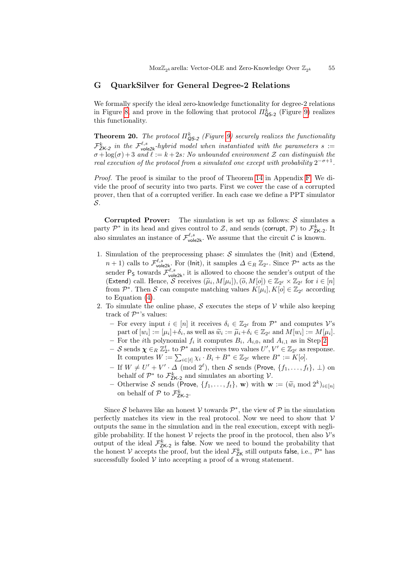# <span id="page-54-0"></span>G QuarkSilver for General Degree-2 Relations

We formally specify the ideal zero-knowledge functionality for degree-2 relations in Figure [8,](#page-53-0) and prove in the following that protocol  $\Pi_{\textsf{QS-2}}^k$  (Figure [9\)](#page-53-1) realizes this functionality.

**Theorem 20.** The protocol  $\Pi_{\mathsf{QS-2}}^k$  (Figure [9\)](#page-53-1) securely realizes the functionality  $\mathcal{F}_{Z\mathsf{K-2}}^k$  in the  $\mathcal{F}_{\mathsf{vole2k}}^{\ell,s}$ -hybrid model when instantiated with the parameters s :=  $\sigma + \log(\sigma) + 3$  and  $\ell := k + 2s$ : No unbounded environment Z can distinguish the real execution of the protocol from a simulated one except with probability  $2^{-\sigma+1}$ .

Proof. The proof is similar to the proof of Theorem [14](#page-22-0) in Appendix [F.](#page-50-0) We divide the proof of security into two parts. First we cover the case of a corrupted prover, then that of a corrupted verifier. In each case we define a PPT simulator S.

**Corrupted Prover:** The simulation is set up as follows:  $S$  simulates a party  $\mathcal{P}^*$  in its head and gives control to  $\mathcal{Z}$ , and sends (corrupt,  $\mathcal{P}$ ) to  $\mathcal{F}_{ZK-2}^k$ . It also simulates an instance of  $\mathcal{F}_{\text{vole2k}}^{\ell,s}$ . We assume that the circuit  $\mathcal{C}$  is known.

- 1. Simulation of the preprocessing phase:  $S$  simulates the (lnit) and (Extend,  $n+1$ ) calls to  $\mathcal{F}_{\text{vole2k}}^{\ell,s}$ . For (lnit), it samples  $\Delta \in_R \mathbb{Z}_{2^s}$ . Since  $\mathcal{P}^*$  acts as the sender  $P_S$  towards  $\mathcal{F}_{\text{vole2k}}^{\ell,s}$ , it is allowed to choose the sender's output of the (Extend) call. Hence, S receives  $(\tilde{\mu}_i, M[\mu_i]), (\tilde{\rho}, M[\rho]) \in \mathbb{Z}_{2^{\ell}} \times \mathbb{Z}_{2^{\ell}}$  for  $i \in [n]$ <br>from  $\mathbb{Z}^*$ . Then S are compute matching values  $K[\mu] \times [\rho] \subset \mathbb{Z}$ , according from  $\mathcal{P}^*$ . Then S can compute matching values  $K[\mu_i], K[o] \in \mathbb{Z}_{2^{\ell}}$  according to Equation [\(4\)](#page-21-4).
- 2. To simulate the online phase,  $S$  executes the steps of  $V$  while also keeping track of  $\mathcal{P}^*$ 's values:
	- $-$  For every input  $i \in [n]$  it receives  $δ<sub>i</sub> ∈ \mathbb{Z}_{2}$  from  $\mathcal{P}^*$  and computes  $V$ 's part of  $[w_i] := [\mu_i] + \delta_i$ , as well as  $\widetilde{w}_i := \widetilde{\mu}_i + \delta_i \in \mathbb{Z}_{2^{\ell}}$  and  $M[w_i] := M[\mu_i]$ .<br>For the *i*th polynomial f, it computes  $B_i$ ,  $A_{i,j}$  and  $A_{i,j}$  as in Stop 2.
	- For the *i*th polynomial  $f_i$  it computes  $B_i$ ,  $A_{i,0}$ , and  $A_{i,1}$  as in Step [2.](#page-53-2)
	- $-$  S sends  $\chi \in_R \mathbb{Z}_{2^s}^t$  to  $\mathcal{P}^*$  and receives two values  $U', V' \in \mathbb{Z}_{2^\ell}$  as response. It computes  $W := \sum_{i \in [t]} \chi_i \cdot B_i + B^* \in \mathbb{Z}_{2^{\ell}}$  where  $B^* := K[o]$ .
	- If  $W \neq U' + V' \cdot \Delta \pmod{2^{\ell}}$ , then S sends (Prove,  $\{f_1, \ldots, f_t\}, \perp$ ) on behalf of  $\mathcal{P}^*$  to  $\mathcal{F}_{\mathsf{ZK-2}}^k$  and simulates an aborting  $\mathcal{V}$ .
	- Otherwise S sends (Prove,  $\{f_1, \ldots, f_t\}$ , **w**) with **w** :=  $(\widetilde{w}_i \mod 2^k)_{i \in [n]}$ on behalf of  $P$  to  $\mathcal{F}_{\mathsf{ZK-2}}^k$ .

Since S behaves like an honest V towards  $\mathcal{P}^*$ , the view of  $\mathcal{P}$  in the simulation perfectly matches its view in the real protocol. Now we need to show that  $V$ outputs the same in the simulation and in the real execution, except with negligible probability. If the honest  $\mathcal V$  rejects the proof in the protocol, then also  $\mathcal V$ 's output of the ideal  $\mathcal{F}_{\mathsf{ZK}\text{-}2}^k$  is false. Now we need to bound the probability that the honest V accepts the proof, but the ideal  $\mathcal{F}_{\text{ZK}}^{k}$  still outputs false, i.e.,  $\mathcal{P}^{*}$  has successfully fooled  $V$  into accepting a proof of a wrong statement.